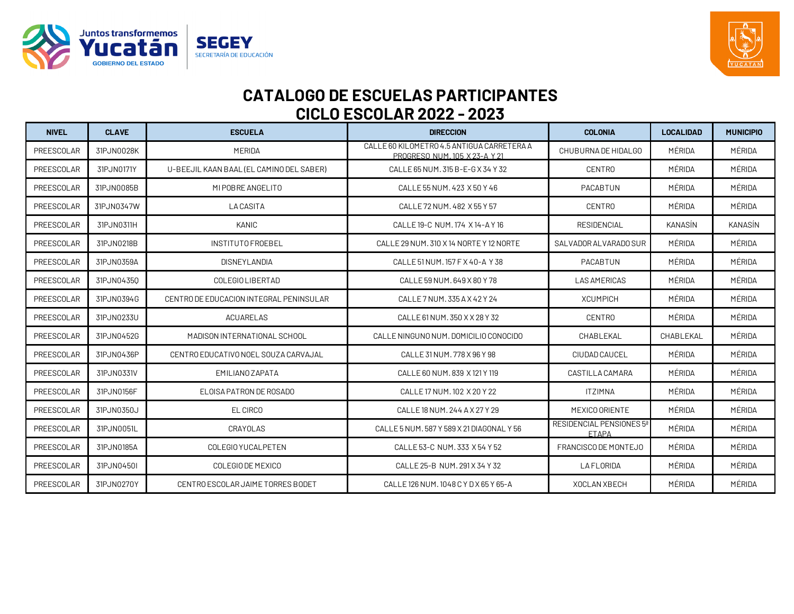



| <b>NIVEL</b>      | <b>CLAVE</b> | <b>ESCUELA</b>                           | <b>DIRECCION</b>                                                            | <b>COLONIA</b>                           | <b>LOCALIDAD</b> | <b>MUNICIPIO</b> |
|-------------------|--------------|------------------------------------------|-----------------------------------------------------------------------------|------------------------------------------|------------------|------------------|
| <b>PREESCOLAR</b> | 31PJN0028K   | MERIDA                                   | CALLE 60 KILOMETRO 4.5 ANTIGUA CARRETERA A<br>PROGRESO NUM. 105 X 23-A Y 21 | CHUBURNA DE HIDALGO                      | MÉRIDA           | MÉRIDA           |
| PREESCOLAR        | 31PJN0171Y   | U-BEEJIL KAAN BAAL (EL CAMINO DEL SABER) | CALLE 65 NUM. 315 B-E-G X 34 Y 32                                           | <b>CENTRO</b>                            | MÉRIDA           | MÉRIDA           |
| PREESCOLAR        | 31PJN0085B   | MI POBRE ANGELITO                        | CALLE 55 NUM, 423 X 50 Y 46                                                 | PACABTUN                                 | MÉRIDA           | MÉRIDA           |
| PREESCOLAR        | 31PJN0347W   | <b>LACASITA</b>                          | CALLE 72 NUM, 482 X 55 Y 57                                                 | <b>CENTRO</b>                            | MÉRIDA           | MÉRIDA           |
| <b>PREESCOLAR</b> | 31PJN0311H   | KANIC                                    | CALLE 19-C NUM, 174 X 14-A Y 16                                             | <b>RESIDENCIAL</b>                       | KANASÍN          | KANASÍN          |
| PREESCOLAR        | 31PJN0218B   | <b>INSTITUTO FROEBEL</b>                 | CALLE 29 NUM, 310 X 14 NORTE Y 12 NORTE                                     | SALVADOR ALVARADO SUR                    | MÉRIDA           | MÉRIDA           |
| PREESCOLAR        | 31PJN0359A   | DISNEYLANDIA                             | CALLE 51 NUM. 157 F X 40-A Y 38                                             | <b>PACABTUN</b>                          | MÉRIDA           | MÉRIDA           |
| PREESCOLAR        | 31PJN04350   | COLEGIO LIBERTAD                         | CALLE 59 NUM. 649 X 80 Y 78                                                 | <b>LAS AMERICAS</b>                      | MÉRIDA           | MÉRIDA           |
| PREESCOLAR        | 31PJN0394G   | CENTRO DE EDUCACION INTEGRAL PENINSULAR  | CALLE 7 NUM. 335 A X 42 Y 24                                                | <b>XCUMPICH</b>                          | MÉRIDA           | MÉRIDA           |
| PREESCOLAR        | 31PJN0233U   | <b>ACUARELAS</b>                         | CALLE 61 NUM. 350 X X 28 Y 32                                               | <b>CENTRO</b>                            | MÉRIDA           | MÉRIDA           |
| PREESCOLAR        | 31PJN0452G   | MADISON INTERNATIONAL SCHOOL             | CALLE NINGUNO NUM. DOMICILIO CONOCIDO                                       | CHABLEKAL                                | CHABLEKAL        | MÉRIDA           |
| <b>PREESCOLAR</b> | 31PJN0436P   | CENTRO EDUCATIVO NOEL SOUZA CARVAJAL     | CALLE 31 NUM, 778 X 96 Y 98                                                 | CIUDAD CAUCEL                            | MÉRIDA           | MÉRIDA           |
| PREESCOLAR        | 31PJN0331V   | EMILIANO ZAPATA                          | CALLE 60 NUM, 839 X 121 Y 119                                               | CASTILLA CAMARA                          | MÉRIDA           | MÉRIDA           |
| PREESCOLAR        | 31PJN0156F   | ELOISA PATRON DE ROSADO                  | CALLE 17 NUM. 102 X 20 Y 22                                                 | ITZIMNA                                  | MÉRIDA           | MÉRIDA           |
| PREESCOLAR        | 31PJN0350J   | EL CIRCO                                 | CALLE 18 NUM, 244 A X 27 Y 29                                               | MEXICO ORIENTE                           | MÉRIDA           | MÉRIDA           |
| <b>PREESCOLAR</b> | 31PJN0051L   | CRAYOLAS                                 | CALLE 5 NUM. 587 Y 589 X 21 DIAGONAL Y 56                                   | RESIDENCIAL PENSIONES 5ª<br><b>ETAPA</b> | MÉRIDA           | MÉRIDA           |
| PREESCOLAR        | 31PJN0185A   | COLEGIO YUCALPETEN                       | CALLE 53-C NUM. 333 X 54 Y 52                                               | FRANCISCO DE MONTEJO                     | MÉRIDA           | MÉRIDA           |
| PREESCOLAR        | 31PJN04501   | COLEGIO DE MEXICO                        | CALLE 25-B NUM. 291 X 34 Y 32                                               | <b>LAFLORIDA</b>                         | MÉRIDA           | MÉRIDA           |
| PREESCOLAR        | 31PJN0270Y   | CENTRO ESCOLAR JAIME TORRES BODET        | CALLE 126 NUM, 1048 C Y D X 65 Y 65-A                                       | XOCLAN XBECH                             | MÉRIDA           | MÉRIDA           |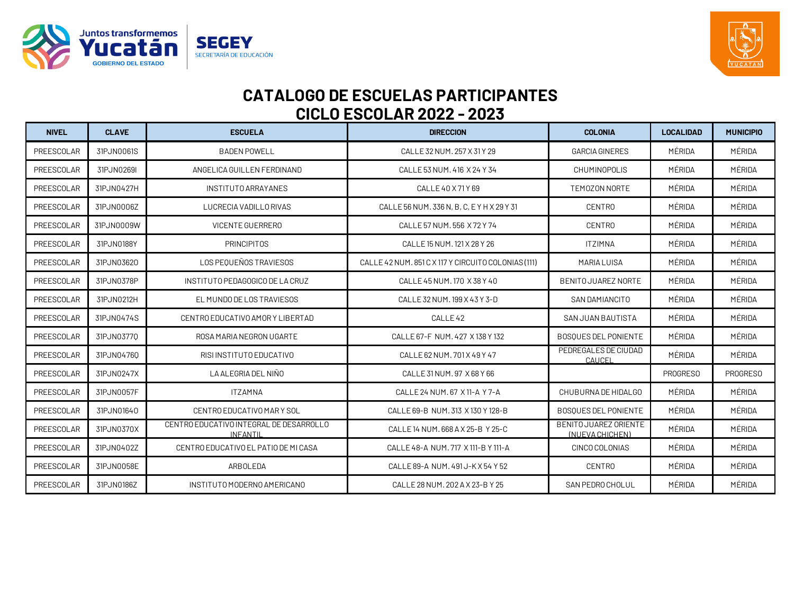



| <b>NIVEL</b> | <b>CLAVE</b> | <b>ESCUELA</b>                                             | <b>DIRECCION</b>                                    | <b>COLONIA</b>                           | <b>LOCALIDAD</b> | <b>MUNICIPIO</b> |
|--------------|--------------|------------------------------------------------------------|-----------------------------------------------------|------------------------------------------|------------------|------------------|
| PREESCOLAR   | 31PJN0061S   | <b>BADEN POWELL</b>                                        | CALLE 32 NUM, 257 X 31 Y 29                         | <b>GARCIA GINERES</b>                    | MÉRIDA           | MÉRIDA           |
| PREESCOLAR   | 31PJN0269I   | ANGELICA GUILLEN FERDINAND                                 | CALLE 53 NUM, 416 X 24 Y 34                         | <b>CHUMINOPOLIS</b>                      | MÉRIDA           | MÉRIDA           |
| PREESCOLAR   | 31PJN0427H   | INSTITUTO ARRAYANES                                        | CALLE 40 X 71 Y 69                                  | TEMOZON NORTE                            | MÉRIDA           | MÉRIDA           |
| PREESCOLAR   | 31PJN0006Z   | LUCRECIA VADILLO RIVAS                                     | CALLE 56 NUM. 336 N, B, C, E Y H X 29 Y 31          | <b>CENTRO</b>                            | MÉRIDA           | MÉRIDA           |
| PREESCOLAR   | 31PJN0009W   | <b>VICENTE GUERRERO</b>                                    | CALLE 57 NUM, 556 X 72 Y 74                         | <b>CENTRO</b>                            | MÉRIDA           | MÉRIDA           |
| PREESCOLAR   | 31PJN0188Y   | <b>PRINCIPITOS</b>                                         | CALLE 15 NUM, 121 X 28 Y 26                         | <b>ITZIMNA</b>                           | MÉRIDA           | MÉRIDA           |
| PREESCOLAR   | 31PJN03620   | LOS PEOUEÑOS TRAVIESOS                                     | CALLE 42 NUM. 851 C X 117 Y CIRCUITO COLONIAS (111) | <b>MARIA LUISA</b>                       | MÉRIDA           | MÉRIDA           |
| PREESCOLAR   | 31PJN0378P   | INSTITUTO PEDAGOGICO DE LA CRUZ                            | CALLE 45 NUM. 170 X 38 Y 40                         | <b>BENITO JUAREZ NORTE</b>               | MÉRIDA           | MÉRIDA           |
| PREESCOLAR   | 31PJN0212H   | EL MUNDO DE LOS TRAVIESOS                                  | CALLE 32 NUM. 199 X 43 Y 3-D                        | SAN DAMIANCITO                           | MÉRIDA           | MÉRIDA           |
| PREESCOLAR   | 31PJN0474S   | CENTRO EDUCATIVO AMORY LIBERTAD                            | CALLE <sub>42</sub>                                 | <b>SAN JUAN BAUTISTA</b>                 | MÉRIDA           | MÉRIDA           |
| PREESCOLAR   | 31PJN03770   | ROSA MARIA NEGRON UGARTE                                   | CALLE 67-F NUM, 427 X 138 Y 132                     | <b>BOSOUES DEL PONIENTE</b>              | MÉRIDA           | MÉRIDA           |
| PREESCOLAR   | 31PJN04760   | RISI INSTITUTO EDUCATIVO                                   | CALLE 62 NUM. 701 X 49 Y 47                         | PEDREGALES DE CIUDAD<br>CAUCEL           | MÉRIDA           | MÉRIDA           |
| PREESCOLAR   | 31PJN0247X   | LA ALEGRIA DEL NIÑO                                        | CALLE 31 NUM, 97 X 68 Y 66                          |                                          | PROGRESO         | PROGRESO         |
| PREESCOLAR   | 31PJN0057F   | <b>ITZAMNA</b>                                             | CALLE 24 NUM, 67 X 11-A Y 7-A                       | CHUBURNA DE HIDALGO                      | MÉRIDA           | MÉRIDA           |
| PREESCOLAR   | 31PJN01640   | CENTRO EDUCATIVO MARY SOL                                  | CALLE 69-B NUM. 313 X 130 Y 128-B                   | <b>BOSOUES DEL PONIENTE</b>              | MÉRIDA           | MÉRIDA           |
| PREESCOLAR   | 31PJN0370X   | CENTRO EDUCATIVO INTEGRAL DE DESARROLLO<br><b>INFANTIL</b> | CALLE 14 NUM, 668 A X 25-B Y 25-C                   | BENITO JUAREZ ORIENTE<br>(NUEVA CHICHEN) | MÉRIDA           | MÉRIDA           |
| PREESCOLAR   | 31PJN0402Z   | CENTRO EDUCATIVO EL PATIO DE MI CASA                       | CALLE 48-A NUM. 717 X 111-B Y 111-A                 | CINCO COLONIAS                           | MÉRIDA           | MÉRIDA           |
| PREESCOLAR   | 31PJN0058E   | ARBOLEDA                                                   | CALLE 89-A NUM. 491 J-K X 54 Y 52                   | <b>CENTRO</b>                            | MÉRIDA           | MÉRIDA           |
| PREESCOLAR   | 31PJN0186Z   | INSTITUTO MODERNO AMERICANO                                | CALLE 28 NUM, 202 A X 23-B Y 25                     | SAN PEDRO CHOLUL                         | MÉRIDA           | MÉRIDA           |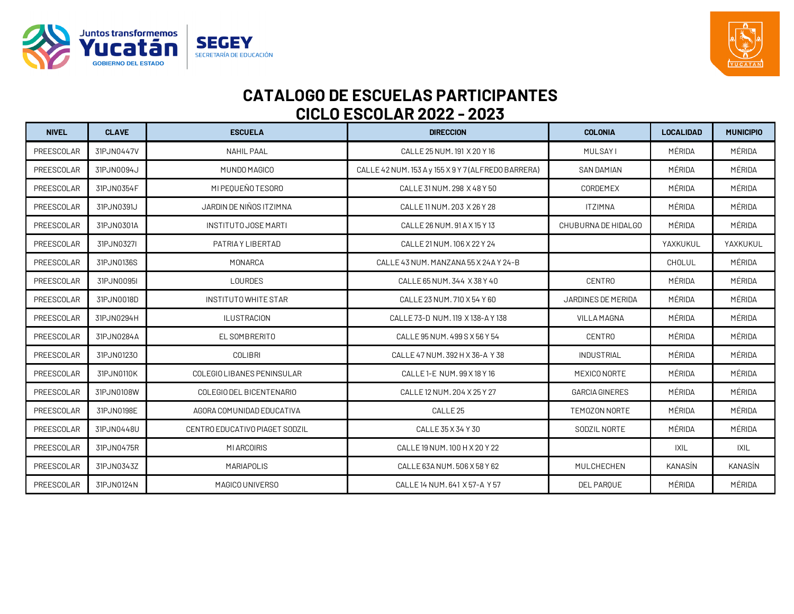



| <b>NIVEL</b> | <b>CLAVE</b> | <b>ESCUELA</b>                 | <b>DIRECCION</b>                                    | <b>COLONIA</b>        | <b>LOCALIDAD</b> | <b>MUNICIPIO</b> |
|--------------|--------------|--------------------------------|-----------------------------------------------------|-----------------------|------------------|------------------|
| PREESCOLAR   | 31PJN0447V   | <b>NAHIL PAAL</b>              | CALLE 25 NUM, 191 X 20 Y 16                         | <b>MULSAYI</b>        | MÉRIDA           | MÉRIDA           |
| PREESCOLAR   | 31PJN0094J   | MUNDO MAGICO                   | CALLE 42 NUM. 153 A y 155 X 9 Y 7 (ALFREDO BARRERA) | <b>SAN DAMIAN</b>     | MÉRIDA           | MÉRIDA           |
| PREESCOLAR   | 31PJN0354F   | MI PEQUEÑO TESORO              | CALLE 31 NUM, 298 X 48 Y 50                         | CORDEMEX              | MÉRIDA           | MÉRIDA           |
| PREESCOLAR   | 31PJN0391J   | JARDIN DE NIÑOS ITZIMNA        | CALLE 11 NUM, 203 X 26 Y 28                         | <b>ITZIMNA</b>        | MÉRIDA           | MÉRIDA           |
| PREESCOLAR   | 31PJN0301A   | <b>INSTITUTO JOSE MARTI</b>    | CALLE 26 NUM, 91 A X 15 Y 13                        | CHUBURNA DE HIDALGO   | MÉRIDA           | MÉRIDA           |
| PREESCOLAR   | 31PJN0327I   | PATRIA Y LIBERTAD              | CALLE 21 NUM. 106 X 22 Y 24                         |                       | YAXKUKUL         | YAXKUKUL         |
| PREESCOLAR   | 31PJN0136S   | MONARCA                        | CALLE 43 NUM. MANZANA 55 X 24A Y 24-B               |                       | CHOLUL           | MÉRIDA           |
| PREESCOLAR   | 31PJN0095I   | LOURDES                        | CALLE 65 NUM. 344 X 38 Y 40                         | <b>CENTRO</b>         | MÉRIDA           | MÉRIDA           |
| PREESCOLAR   | 31PJN0018D   | INSTITUTO WHITE STAR           | CALLE 23 NUM, 710 X 54 Y 60                         | JARDINES DE MERIDA    | MÉRIDA           | MÉRIDA           |
| PREESCOLAR   | 31PJN0294H   | <b>ILUSTRACION</b>             | CALLE 73-D NUM. 119 X 138-A Y 138                   | <b>VILLA MAGNA</b>    | MÉRIDA           | MÉRIDA           |
| PREESCOLAR   | 31PJN0284A   | EL SOMBRERITO                  | CALLE 95 NUM, 499 S X 56 Y 54                       | <b>CENTRO</b>         | MÉRIDA           | MÉRIDA           |
| PREESCOLAR   | 31PJN01230   | <b>COLIBRI</b>                 | CALLE 47 NUM. 392 H X 36-A Y 38                     | <b>INDUSTRIAL</b>     | MÉRIDA           | MÉRIDA           |
| PREESCOLAR   | 31PJN0110K   | COLEGIO LIBANES PENINSULAR     | CALLE 1-E NUM, 99 X 18 Y 16                         | MEXICO NORTE          | MÉRIDA           | MÉRIDA           |
| PREESCOLAR   | 31PJN0108W   | COLEGIO DEL BICENTENARIO       | CALLE 12 NUM. 204 X 25 Y 27                         | <b>GARCIA GINERES</b> | MÉRIDA           | MÉRIDA           |
| PREESCOLAR   | 31PJN0198E   | AGORA COMUNIDAD EDUCATIVA      | CALLE <sub>25</sub>                                 | TEMOZON NORTE         | MÉRIDA           | MÉRIDA           |
| PREESCOLAR   | 31PJN0448U   | CENTRO EDUCATIVO PIAGET SODZIL | CALLE 35 X 34 Y 30                                  | SODZIL NORTE          | MÉRIDA           | MÉRIDA           |
| PREESCOLAR   | 31PJN0475R   | MI ARCOIRIS                    | CALLE 19 NUM. 100 H X 20 Y 22                       |                       | <b>IXIL</b>      | IXIL             |
| PREESCOLAR   | 31PJN0343Z   | <b>MARIAPOLIS</b>              | CALLE 63A NUM, 506 X 58 Y 62                        | MULCHECHEN            | KANASÍN          | KANASÍN          |
| PREESCOLAR   | 31PJN0124N   | MAGICO UNIVERSO                | CALLE 14 NUM, 641 X 57-A Y 57                       | <b>DEL PAROUE</b>     | MÉRIDA           | MÉRIDA           |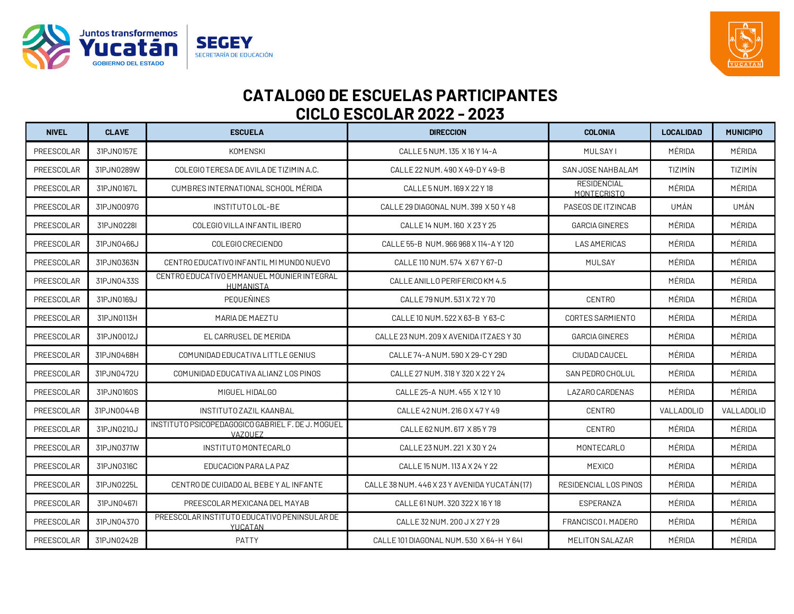



| <b>NIVEL</b> | <b>CLAVE</b> | <b>ESCUELA</b>                                               | <b>DIRECCION</b>                              | <b>COLONIA</b>                    | <b>LOCALIDAD</b> | <b>MUNICIPIO</b> |
|--------------|--------------|--------------------------------------------------------------|-----------------------------------------------|-----------------------------------|------------------|------------------|
| PREESCOLAR   | 31PJN0157E   | <b>KOMENSKI</b>                                              | CALLE 5 NUM. 135 X 16 Y 14-A                  | <b>MULSAYI</b>                    | MÉRIDA           | MÉRIDA           |
| PREESCOLAR   | 31PJN0289W   | COLEGIO TERESA DE AVILA DE TIZIMIN A.C.                      | CALLE 22 NUM, 490 X 49-D Y 49-B               | SAN JOSE NAHBALAM                 | TIZIMÍN          | TIZIMÍN          |
| PREESCOLAR   | 31PJN0167L   | CUMBRES INTERNATIONAL SCHOOL MÉRIDA                          | CALLE 5 NUM. 169 X 22 Y 18                    | <b>RESIDENCIAL</b><br>MONTFCRISTO | MÉRIDA           | MÉRIDA           |
| PREESCOLAR   | 31PJN0097G   | INSTITUTO LOL-BE                                             | CALLE 29 DIAGONAL NUM, 399 X 50 Y 48          | PASEOS DE ITZINCAB                | UMÁN             | UMÁN             |
| PREESCOLAR   | 31PJN0228I   | COLEGIO VILLA INFANTIL IBERO                                 | CALLE 14 NUM. 160 X 23 Y 25                   | <b>GARCIA GINERES</b>             | MÉRIDA           | MÉRIDA           |
| PREESCOLAR   | 31PJN0466J   | COLEGIO CRECIENDO                                            | CALLE 55-B NUM, 966 968 X 114-A Y 120         | <b>LAS AMERICAS</b>               | MÉRIDA           | MÉRIDA           |
| PREESCOLAR   | 31PJN0363N   | CENTRO EDUCATIVO INFANTIL MI MUNDO NUEVO                     | CALLE 110 NUM, 574 X 67 Y 67-D                | MULSAY                            | MÉRIDA           | MÉRIDA           |
| PREESCOLAR   | 31PJN0433S   | CENTRO EDUCATIVO EMMANUEL MOUNIER INTEGRAL<br>HUMANISTA      | CALLE ANILLO PERIFERICO KM 4.5                |                                   | MÉRIDA           | MÉRIDA           |
| PREESCOLAR   | 31PJN0169J   | PEQUEÑINES                                                   | CALLE 79 NUM, 531 X 72 Y 70                   | <b>CENTRO</b>                     | MÉRIDA           | MÉRIDA           |
| PREESCOLAR   | 31PJN0113H   | MARIA DE MAEZTU                                              | CALLE 10 NUM, 522 X 63-B Y 63-C               | CORTES SARMIENTO                  | MÉRIDA           | MÉRIDA           |
| PREESCOLAR   | 31PJN0012J   | EL CARRUSEL DE MERIDA                                        | CALLE 23 NUM. 209 X AVENIDA ITZAES Y 30       | <b>GARCIA GINERES</b>             | MÉRIDA           | MÉRIDA           |
| PREESCOLAR   | 31PJN0468H   | COMUNIDAD EDUCATIVA LITTLE GENIUS                            | CALLE 74-A NUM. 590 X 29-C Y 29D              | CIUDAD CAUCEL                     | MÉRIDA           | MÉRIDA           |
| PREESCOLAR   | 31PJN0472U   | COMUNIDAD EDUCATIVA ALIANZILOS PINOS                         | CALLE 27 NUM. 318 Y 320 X 22 Y 24             | SAN PEDRO CHOLUL                  | MÉRIDA           | MÉRIDA           |
| PREESCOLAR   | 31PJN0160S   | MIGUEL HIDALGO                                               | CALLE 25-A NUM, 455 X 12 Y 10                 | LAZARO CARDENAS                   | MÉRIDA           | MÉRIDA           |
| PREESCOLAR   | 31PJN0044B   | <b>INSTITUTO ZAZIL KAANBAL</b>                               | CALLE 42 NUM. 216 G X 47 Y 49                 | <b>CENTRO</b>                     | VALLADOLID       | VALLADOLID       |
| PREESCOLAR   | 31PJN0210J   | INSTITUTO PSICOPEDAGOGICO GABRIEL F. DE J. MOGUEL<br>VAZOUEZ | CALLE 62 NUM. 617 X 85 Y 79                   | <b>CENTRO</b>                     | MÉRIDA           | MÉRIDA           |
| PREESCOLAR   | 31PJN0371W   | INSTITUTO MONTECARLO                                         | CALLE 23 NUM. 221 X 30 Y 24                   | MONTECARLO                        | MÉRIDA           | MÉRIDA           |
| PREESCOLAR   | 31PJN0316C   | EDUCACION PARA LA PAZ                                        | CALLE 15 NUM. 113 A X 24 Y 22                 | <b>MEXICO</b>                     | MÉRIDA           | MÉRIDA           |
| PREESCOLAR   | 31PJN0225L   | CENTRO DE CUIDADO AL BEBE Y AL INFANTE                       | CALLE 38 NUM. 446 X 23 Y AVENIDA YUCATÁN (17) | RESIDENCIAL LOS PINOS             | MÉRIDA           | MÉRIDA           |
| PREESCOLAR   | 31PJN0467I   | PREESCOLAR MEXICANA DEL MAYAB                                | CALLE 61 NUM. 320 322 X 16 Y 18               | ESPERANZA                         | MÉRIDA           | MÉRIDA           |
| PREESCOLAR   | 31PJN04370   | PREESCOLAR INSTITUTO EDUCATIVO PENINSULAR DE<br>YUCATAN      | CALLE 32 NUM. 200 J X 27 Y 29                 | FRANCISCO I. MADERO               | MÉRIDA           | MÉRIDA           |
| PREESCOLAR   | 31PJN0242B   | PATTY                                                        | CALLE 101 DIAGONAL NUM. 530 X 64-H Y 641      | MELITON SALAZAR                   | MÉRIDA           | MÉRIDA           |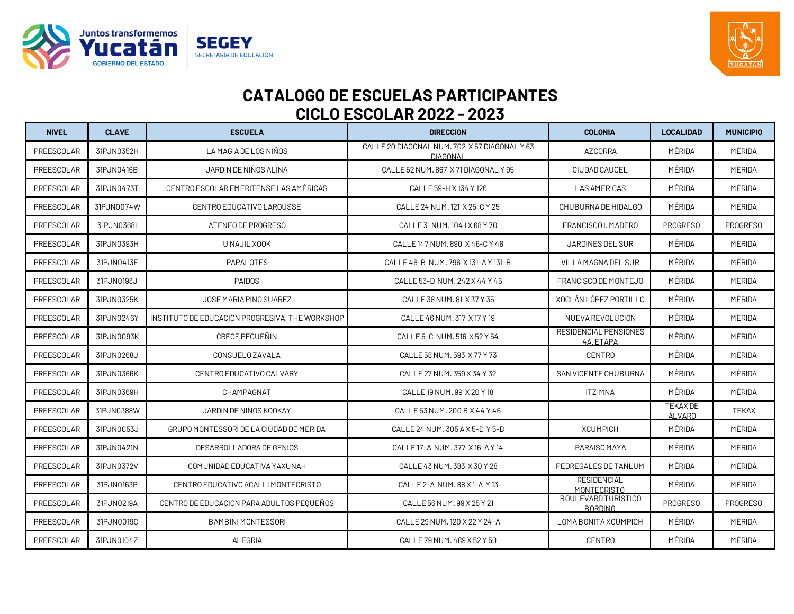



| <b>NIVEL</b> | <b>CLAVE</b> | <b>ESCUELA</b>                                  | <b>DIRECCION</b>                                                 | <b>COLONIA</b>                            | <b>LOCALIDAD</b>          | <b>MUNICIPIO</b> |
|--------------|--------------|-------------------------------------------------|------------------------------------------------------------------|-------------------------------------------|---------------------------|------------------|
| PREESCOLAR   | 31PJN0352H   | LA MAGIA DE LOS NIÑOS                           | CALLE 20 DIAGONAL NUM. 702 X 57 DIAGONAL Y 63<br><b>DIAGONAL</b> | <b>AZCORRA</b>                            | MÉRIDA                    | MÉRIDA           |
| PREESCOLAR   | 31PJN0416B   | JARDIN DE NIÑOS ALINA                           | CALLE 52 NUM, 867 X 71 DIAGONAL Y 95                             | CIUDAD CAUCEL                             | MÉRIDA                    | MÉRIDA           |
| PREESCOLAR   | 31PJN0473T   | CENTRO ESCOLAR EMERITENSE LAS AMÉRICAS          | CALLE 59-H X 134 Y 126                                           | <b>LAS AMERICAS</b>                       | MÉRIDA                    | MÉRIDA           |
| PREESCOLAR   | 31PJN0074W   | CENTRO EDUCATIVO LAROUSSE                       | CALLE 24 NUM. 121 X 25-C Y 25                                    | CHUBURNA DE HIDALGO                       | MÉRIDA                    | MÉRIDA           |
| PREESCOLAR   | 31PJN0368L   | ATENEO DE PROGRESO                              | CALLE 31 NUM. 104 1 X 68 Y 70                                    | FRANCISCO I. MADERO                       | PROGRESO                  | PROGRESO         |
| PREESCOLAR   | 31PJN0393H   | U NAJIL XOOK                                    | CALLE 147 NUM, 890 X 46-C Y 48                                   | <b>JARDINES DEL SUR</b>                   | MÉRIDA                    | MÉRIDA           |
| PREESCOLAR   | 31PJN0413E   | PAPALOTES                                       | CALLE 46-B NUM, 796 X 131-A Y 131-B                              | VILLA MAGNA DEL SUR                       | MÉRIDA                    | MÉRIDA           |
| PREESCOLAR   | 31PJN0193J   | <b>PAIDOS</b>                                   | CALLE 53-D NUM. 242 X 44 Y 46                                    | FRANCISCO DE MONTEJO                      | MÉRIDA                    | MÉRIDA           |
| PREESCOLAR   | 31PJN0325K   | JOSE MARIA PINO SUAREZ                          | CALLE 38 NUM. 81 X 37 Y 35                                       | XOCLÁN LÓPEZ PORTILLO                     | MÉRIDA                    | MÉRIDA           |
| PREESCOLAR   | 31PJN0246Y   | INSTITUTO DE EDUCACION PROGRESIVA, THE WORKSHOP | CALLE 46 NUM, 317 X 17 Y 19                                      | NUEVA REVOLUCION                          | MÉRIDA                    | MÉRIDA           |
| PREESCOLAR   | 31PJN0093K   | CRECE PEOUEÑIN                                  | CALLE 5-C NUM. 516 X 52 Y 54                                     | <b>RESIDENCIAL PENSIONES</b><br>4A. ETAPA | MÉRIDA                    | MÉRIDA           |
| PREESCOLAR   | 31PJN0268J   | CONSUELO ZAVALA                                 | CALLE 58 NUM, 593 X 77 Y 73                                      | <b>CENTRO</b>                             | MÉRIDA                    | MÉRIDA           |
| PREESCOLAR   | 31PJN0366K   | CENTRO EDUCATIVO CALVARY                        | CALLE 27 NUM. 359 X 34 Y 32                                      | <b>SAN VICENTE CHUBURNA</b>               | MÉRIDA                    | MÉRIDA           |
| PREESCOLAR   | 31PJN0369H   | CHAMPAGNAT                                      | CALLE 19 NUM, 99 X 20 Y 18                                       | <b>ITZIMNA</b>                            | MÉRIDA                    | MÉRIDA           |
| PREESCOLAR   | 31PJN0388W   | JARDIN DE NIÑOS KOOKAY                          | CALLE 53 NUM, 200 B X 44 Y 46                                    |                                           | <b>TEKAX DE</b><br>ÁLVARO | <b>TEKAX</b>     |
| PREESCOLAR   | 31PJN0053J   | GRUPO MONTESSORI DE LA CIUDAD DE MERIDA         | CALLE 24 NUM. 305 A X 5-D Y 5-B                                  | <b>XCUMPICH</b>                           | MÉRIDA                    | MÉRIDA           |
| PREESCOLAR   | 31PJN0421N   | DESARROLLADORA DE GENIOS                        | CALLE 17-A NUM. 377 X 16-A Y 14                                  | PARAISO MAYA                              | MÉRIDA                    | MÉRIDA           |
| PREESCOLAR   | 31PJN0372V   | COMUNIDAD EDUCATIVA YAXUNAH                     | CALLE 43 NUM. 383 X 30 Y 28                                      | PEDREGALES DE TANLUM                      | MÉRIDA                    | MÉRIDA           |
| PREESCOLAR   | 31PJN0163P   | CENTRO EDUCATIVO ACALLI MONTECRISTO             | CALLE 2-A NUM, 88 X 1-A Y 13                                     | <b>RESIDENCIAL</b><br><b>MONTECRISTO</b>  | MÉRIDA                    | MÉRIDA           |
| PREESCOLAR   | 31PJN0219A   | CENTRO DE EDUCACION PARA ADULTOS PEQUEÑOS       | CALLE 56 NUM. 99 X 25 Y 21                                       | BOULEVARD TURÍSTICO<br><b>BORDING</b>     | <b>PROGRESO</b>           | <b>PROGRESO</b>  |
| PREESCOLAR   | 31PJN0019C   | <b>BAMBINI MONTESSORI</b>                       | CALLE 29 NUM. 120 X 22 Y 24-A                                    | LOMA BONITA XCUMPICH                      | MÉRIDA                    | MÉRIDA           |
| PREESCOLAR   | 31PJN0104Z   | ALEGRIA                                         | CALLE 79 NUM, 489 X 52 Y 50                                      | <b>CENTRO</b>                             | MÉRIDA                    | MÉRIDA           |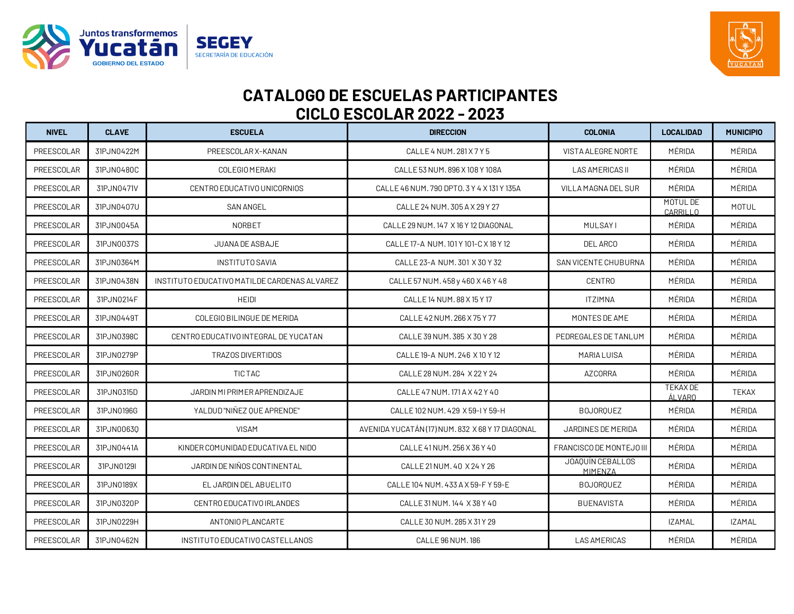



| <b>NIVEL</b> | <b>CLAVE</b> | <b>ESCUELA</b>                               | <b>DIRECCION</b>                                 | <b>COLONIA</b>              | <b>LOCALIDAD</b>          | <b>MUNICIPIO</b> |
|--------------|--------------|----------------------------------------------|--------------------------------------------------|-----------------------------|---------------------------|------------------|
| PREESCOLAR   | 31PJN0422M   | PREESCOLAR X-KANAN                           | CALLE 4 NUM. 281 X 7 Y 5                         | VISTA ALEGRE NORTE          | MÉRIDA                    | MÉRIDA           |
| PREESCOLAR   | 31PJN0480C   | COLEGIO MERAKI                               | CALLE 53 NUM, 896 X 108 Y 108A                   | <b>LAS AMERICAS II</b>      | MÉRIDA                    | MÉRIDA           |
| PREESCOLAR   | 31PJN0471V   | CENTRO EDUCATIVO UNICORNIOS                  | CALLE 46 NUM. 790 DPT0. 3 Y 4 X 131 Y 135A       | VILLA MAGNA DEL SUR         | MÉRIDA                    | MÉRIDA           |
| PREESCOLAR   | 31PJN0407U   | <b>SAN ANGEL</b>                             | CALLE 24 NUM. 305 A X 29 Y 27                    |                             | MOTUL DE<br>CARRILLO      | <b>MOTUL</b>     |
| PREESCOLAR   | 31PJN0045A   | <b>NORBET</b>                                | CALLE 29 NUM. 147 X 16 Y 12 DIAGONAL             | <b>MULSAYI</b>              | MÉRIDA                    | MÉRIDA           |
| PREESCOLAR   | 31PJN0037S   | JUANA DE ASBAJE                              | CALLE 17-A NUM. 101 Y 101-C X 18 Y 12            | DEL ARCO                    | MÉRIDA                    | MÉRIDA           |
| PREESCOLAR   | 31PJN0364M   | INSTITUTO SAVIA                              | CALLE 23-A NUM. 301 X 30 Y 32                    | SAN VICENTE CHUBURNA        | MÉRIDA                    | MÉRIDA           |
| PREESCOLAR   | 31PJN0438N   | INSTITUTO EDUCATIVO MATILDE CARDENAS ALVAREZ | CALLE 57 NUM. 458 y 460 X 46 Y 48                | <b>CENTRO</b>               | MÉRIDA                    | MÉRIDA           |
| PREESCOLAR   | 31PJN0214F   | <b>HEIDI</b>                                 | CALLE 14 NUM. 88 X 15 Y 17                       | <b>ITZIMNA</b>              | MÉRIDA                    | MÉRIDA           |
| PREESCOLAR   | 31PJN0449T   | COLEGIO BILINGUE DE MERIDA                   | CALLE 42 NUM, 266 X 75 Y 77                      | MONTES DE AME               | MÉRIDA                    | MÉRIDA           |
| PREESCOLAR   | 31PJN0398C   | CENTRO EDUCATIVO INTEGRAL DE YUCATAN         | CALLE 39 NUM. 385 X 30 Y 28                      | PEDREGALES DE TANLUM        | MÉRIDA                    | MÉRIDA           |
| PREESCOLAR   | 31PJN0279P   | <b>TRAZOS DIVERTIDOS</b>                     | CALLE 19-A NUM. 246 X 10 Y 12                    | MARIA LUISA                 | MÉRIDA                    | MÉRIDA           |
| PREESCOLAR   | 31PJN0260R   | TIC TAC                                      | CALLE 28 NUM. 284 X 22 Y 24                      | <b>AZCORRA</b>              | MÉRIDA                    | MÉRIDA           |
| PREESCOLAR   | 31PJN0315D   | JARDIN MI PRIMER APRENDIZAJE                 | CALLE 47 NUM. 171 A X 42 Y 40                    |                             | <b>TEKAX DE</b><br>ÁLVARO | <b>TEKAX</b>     |
| PREESCOLAR   | 31PJN0196G   | YALDUD "NIÑEZ QUE APRENDE"                   | CALLE 102 NUM, 429 X 59-I Y 59-H                 | <b>BOJORQUEZ</b>            | MÉRIDA                    | MÉRIDA           |
| PREESCOLAR   | 31PJN00630   | <b>VISAM</b>                                 | AVENIDA YUCATÁN (17) NUM. 832 X 68 Y 17 DIAGONAL | JARDINES DE MERIDA          | MÉRIDA                    | MÉRIDA           |
| PREESCOLAR   | 31PJN0441A   | KINDER COMUNIDAD EDUCATIVA EL NIDO           | CALLE 41 NUM. 256 X 36 Y 40                      | FRANCISCO DE MONTEJO III    | MÉRIDA                    | MÉRIDA           |
| PREESCOLAR   | 31PJN0129I   | JARDIN DE NIÑOS CONTINENTAL                  | CALLE 21 NUM, 40 X 24 Y 26                       | JOAOUÍN CEBALLOS<br>MIMENZA | MÉRIDA                    | MÉRIDA           |
| PREESCOLAR   | 31PJN0189X   | EL JARDIN DEL ABUELITO                       | CALLE 104 NUM, 433 A X 59-F Y 59-E               | <b>BOJORQUEZ</b>            | MÉRIDA                    | MÉRIDA           |
| PREESCOLAR   | 31PJN0320P   | CENTRO EDUCATIVO IRLANDES                    | CALLE 31 NUM. 144 X 38 Y 40                      | <b>BUENAVISTA</b>           | MÉRIDA                    | MÉRIDA           |
| PREESCOLAR   | 31PJN0229H   | ANTONIO PLANCARTE                            | CALLE 30 NUM. 285 X 31 Y 29                      |                             | <b>IZAMAL</b>             | <b>IZAMAL</b>    |
| PREESCOLAR   | 31PJN0462N   | INSTITUTO EDUCATIVO CASTELLANOS              | CALLE 96 NUM. 186                                | <b>LAS AMERICAS</b>         | MÉRIDA                    | MÉRIDA           |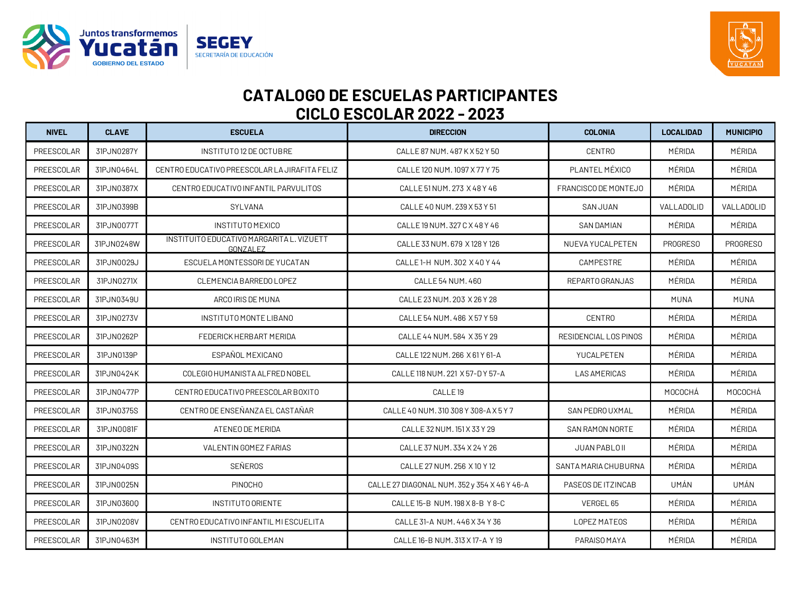



| <b>NIVEL</b> | <b>CLAVE</b> | <b>ESCUELA</b>                                        | <b>DIRECCION</b>                             | <b>COLONIA</b>         | <b>LOCALIDAD</b> | <b>MUNICIPIO</b> |
|--------------|--------------|-------------------------------------------------------|----------------------------------------------|------------------------|------------------|------------------|
| PREESCOLAR   | 31PJN0287Y   | INSTITUTO 12 DE OCTUBRE                               | CALLE 87 NUM, 487 K X 52 Y 50                | <b>CENTRO</b>          | MÉRIDA           | MÉRIDA           |
| PREESCOLAR   | 31PJN0464L   | CENTRO EDUCATIVO PREESCOLAR LA JIRAFITA FELIZ         | CALLE 120 NUM. 1097 X 77 Y 75                | PLANTEL MÉXICO         | MÉRIDA           | MÉRIDA           |
| PREESCOLAR   | 31PJN0387X   | CENTRO EDUCATIVO INFANTIL PARVULITOS                  | CALLE 51 NUM. 273 X 48 Y 46                  | FRANCISCO DE MONTEJO   | MÉRIDA           | MÉRIDA           |
| PREESCOLAR   | 31PJN0399B   | SYLVANA                                               | CALLE 40 NUM. 239 X 53 Y 51                  | <b>SAN JUAN</b>        | VALLADOLID       | VALLADOLID       |
| PREESCOLAR   | 31PJN0077T   | <b>INSTITUTO MEXICO</b>                               | CALLE 19 NUM. 327 C X 48 Y 46                | <b>SAN DAMIAN</b>      | MÉRIDA           | MÉRIDA           |
| PREESCOLAR   | 31PJN0248W   | INSTITUITO EDUCATIVO MARGARITA L. VIZUETT<br>GONZALEZ | CALLE 33 NUM. 679 X 128 Y 126                | NUEVA YUCALPETEN       | <b>PROGRESO</b>  | PROGRESO         |
| PREESCOLAR   | 31PJN0029J   | ESCUELA MONTESSORI DE YUCATAN                         | CALLE 1-H NUM. 302 X 40 Y 44                 | CAMPESTRE              | MÉRIDA           | MÉRIDA           |
| PREESCOLAR   | 31PJN0271X   | CLEMENCIA BARREDO LOPEZ                               | CALLE 54 NUM. 460                            | REPARTO GRANJAS        | MÉRIDA           | MÉRIDA           |
| PREESCOLAR   | 31PJN0349U   | ARCO IRIS DE MUNA                                     | CALLE 23 NUM. 203 X 26 Y 28                  |                        | <b>MUNA</b>      | <b>MUNA</b>      |
| PREESCOLAR   | 31PJN0273V   | INSTITUTO MONTE LIBANO                                | CALLE 54 NUM. 486 X 57 Y 59                  | <b>CENTRO</b>          | MÉRIDA           | MÉRIDA           |
| PREESCOLAR   | 31PJN0262P   | FEDERICK HERBART MERIDA                               | CALLE 44 NUM. 584 X 35 Y 29                  | RESIDENCIAL LOS PINOS  | MÉRIDA           | MÉRIDA           |
| PREESCOLAR   | 31PJN0139P   | ESPAÑOL MEXICANO                                      | CALLE 122 NUM, 266 X 61 Y 61-A               | YUCALPETEN             | MÉRIDA           | MÉRIDA           |
| PREESCOLAR   | 31PJN0424K   | COLEGIO HUMANISTA ALFRED NOBEL                        | CALLE 118 NUM. 221 X 57-D Y 57-A             | <b>LAS AMERICAS</b>    | MÉRIDA           | MÉRIDA           |
| PREESCOLAR   | 31PJN0477P   | CENTRO EDUCATIVO PREESCOLAR BOXITO                    | CALLE <sub>19</sub>                          |                        | MOCOCHÁ          | MOCOCHÁ          |
| PREESCOLAR   | 31PJN0375S   | CENTRO DE ENSEÑANZA EL CASTAÑAR                       | CALLE 40 NUM. 310 308 Y 308-A X 5 Y 7        | SAN PEDRO UXMAL        | MÉRIDA           | MÉRIDA           |
| PREESCOLAR   | 31PJN0081F   | ATENEO DE MERIDA                                      | CALLE 32 NUM. 151 X 33 Y 29                  | <b>SAN RAMON NORTE</b> | MÉRIDA           | MÉRIDA           |
| PREESCOLAR   | 31PJN0322N   | VALENTIN GOMEZ FARIAS                                 | CALLE 37 NUM. 334 X 24 Y 26                  | JUAN PABLO II          | MÉRIDA           | MÉRIDA           |
| PREESCOLAR   | 31PJN0409S   | SEÑEROS                                               | CALLE 27 NUM. 256 X 10 Y 12                  | SANTA MARIA CHUBURNA   | MÉRIDA           | MÉRIDA           |
| PREESCOLAR   | 31PJN0025N   | <b>PINOCHO</b>                                        | CALLE 27 DIAGONAL NUM. 352 y 354 X 46 Y 46-A | PASEOS DE ITZINCAB     | UMÁN             | UMÁN             |
| PREESCOLAR   | 31PJN03600   | INSTITUTO ORIENTE                                     | CALLE 15-B NUM. 198 X 8-B Y 8-C              | VERGEL 65              | MÉRIDA           | MÉRIDA           |
| PREESCOLAR   | 31PJN0208V   | CENTRO EDUCATIVO INFANTIL MI ESCUELITA                | CALLE 31-A NUM. 446 X 34 Y 36                | LOPEZ MATEOS           | MÉRIDA           | MÉRIDA           |
| PREESCOLAR   | 31PJN0463M   | INSTITUTO GOLEMAN                                     | CALLE 16-B NUM. 313 X 17-A Y 19              | PARAISO MAYA           | MÉRIDA           | MÉRIDA           |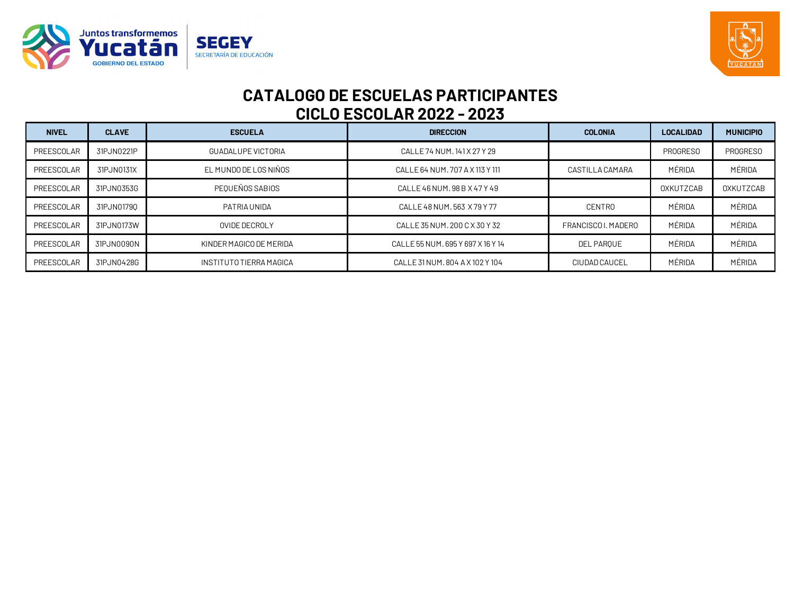



| <b>NIVEL</b> | <b>CLAVE</b> | <b>ESCUELA</b>            | <b>DIRECCION</b>                  | <b>COLONIA</b>      | <b>LOCALIDAD</b> | <b>MUNICIPIO</b> |
|--------------|--------------|---------------------------|-----------------------------------|---------------------|------------------|------------------|
| PREESCOLAR   | 31PJN0221P   | <b>GUADALUPE VICTORIA</b> | CALLE 74 NUM. 141 X 27 Y 29       |                     | <b>PROGRESO</b>  | <b>PROGRESO</b>  |
| PREESCOLAR   | 31PJN0131X   | EL MUNDO DE LOS NIÑOS     | CALLE 64 NUM, 707 A X 113 Y 111   | CASTILLA CAMARA     | MÉRIDA           | MÉRIDA           |
| PREESCOLAR   | 31PJN0353G   | PEOUEÑOS SABIOS           | CALLE 46 NUM, 98 B X 47 Y 49      |                     | OXKUTZCAB        | OXKUTZCAB        |
| PREESCOLAR   | 31PJN01790   | PATRIA UNIDA              | CALLE 48 NUM, 563 X 79 Y 77       | CENTRO              | MÉRIDA           | MÉRIDA           |
| PREESCOLAR   | 31PJN0173W   | OVIDE DECROLY             | CALLE 35 NUM, 200 C X 30 Y 32     | FRANCISCO I, MADERO | MÉRIDA           | MÉRIDA           |
| PREESCOLAR   | 31PJN0090N   | KINDER MAGICO DE MERIDA   | CALLE 55 NUM, 695 Y 697 X 16 Y 14 | DEL PAROUE          | MÉRIDA           | MÉRIDA           |
| PREESCOLAR   | 31PJN0428G   | INSTITUTO TIERRA MAGICA   | CALLE 31 NUM, 804 A X 102 Y 104   | CIUDAD CAUCEL       | MÉRIDA           | MÉRIDA           |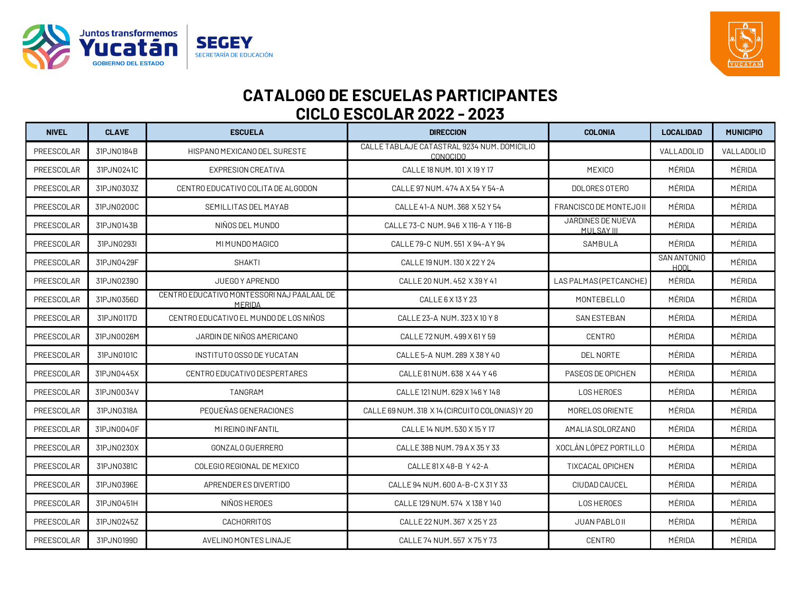



| <b>NIVEL</b> | <b>CLAVE</b> | <b>ESCUELA</b>                                        | <b>DIRECCION</b>                                               | <b>COLONIA</b>                  | <b>LOCALIDAD</b>           | <b>MUNICIPIO</b> |
|--------------|--------------|-------------------------------------------------------|----------------------------------------------------------------|---------------------------------|----------------------------|------------------|
| PREESCOLAR   | 31PJN0184B   | HISPANO MEXICANO DEL SURESTE                          | CALLE TABLAJE CATASTRAL 9234 NUM. DOMICILIO<br><b>CONOCIDO</b> |                                 | VALLADOLID                 | VALLADOLID       |
| PREESCOLAR   | 31PJN0241C   | <b>EXPRESION CREATIVA</b>                             | CALLE 18 NUM, 101 X 19 Y 17                                    | <b>MEXICO</b>                   | MÉRIDA                     | MÉRIDA           |
| PREESCOLAR   | 31PJN0303Z   | CENTRO EDUCATIVO COLITA DE ALGODON                    | CALLE 97 NUM. 474 A X 54 Y 54-A                                | DOLORES OTERO                   | MÉRIDA                     | MÉRIDA           |
| PREESCOLAR   | 31PJN0200C   | SEMILLITAS DEL MAYAB                                  | CALLE 41-A NUM, 368 X 52 Y 54                                  | FRANCISCO DE MONTEJO II         | MÉRIDA                     | MÉRIDA           |
| PREESCOLAR   | 31PJN0143B   | NIÑOS DEL MUNDO                                       | CALLE 73-C NUM, 946 X 116-A Y 116-B                            | JARDINES DE NUEVA<br>MULSAY III | MÉRIDA                     | MÉRIDA           |
| PREESCOLAR   | 31PJN0293I   | MI MUNDO MAGICO                                       | CALLE 79-C NUM. 551 X 94-A Y 94                                | SAMBULA                         | MÉRIDA                     | MÉRIDA           |
| PREESCOLAR   | 31PJN0429F   | <b>SHAKTI</b>                                         | CALLE 19 NUM. 130 X 22 Y 24                                    |                                 | SAN ANTONIO<br><b>HOOL</b> | MÉRIDA           |
| PREESCOLAR   | 31PJN02390   | JUEGO Y APRENDO                                       | CALLE 20 NUM, 452 X 39 Y 41                                    | LAS PALMAS (PETCANCHE)          | MÉRIDA                     | MÉRIDA           |
| PREESCOLAR   | 31PJN0356D   | CENTRO EDUCATIVO MONTESSORI NAJ PAAL AAL DE<br>MERIDA | CALLE 6 X 13 Y 23                                              | <b>MONTEBELLO</b>               | MÉRIDA                     | MÉRIDA           |
| PREESCOLAR   | 31PJN0117D   | CENTRO EDUCATIVO EL MUNDO DE LOS NIÑOS                | CALLE 23-A NUM. 323 X 10 Y 8                                   | <b>SAN ESTEBAN</b>              | MÉRIDA                     | MÉRIDA           |
| PREESCOLAR   | 31PJN0026M   | JARDIN DE NIÑOS AMERICANO                             | CALLE 72 NUM, 499 X 61 Y 59                                    | <b>CENTRO</b>                   | MÉRIDA                     | MÉRIDA           |
| PREESCOLAR   | 31PJN0101C   | INSTITUTO OSSO DE YUCATAN                             | CALLE 5-A NUM. 289 X 38 Y 40                                   | <b>DEL NORTE</b>                | MÉRIDA                     | MÉRIDA           |
| PREESCOLAR   | 31PJN0445X   | CENTRO EDUCATIVO DESPERTARES                          | CALLE 81 NUM, 638 X 44 Y 46                                    | PASEOS DE OPICHEN               | MÉRIDA                     | MÉRIDA           |
| PREESCOLAR   | 31PJN0034V   | TANGRAM                                               | CALLE 121 NUM. 629 X 146 Y 148                                 | <b>LOS HEROES</b>               | MÉRIDA                     | MÉRIDA           |
| PREESCOLAR   | 31PJN0318A   | PEOUEÑAS GENERACIONES                                 | CALLE 69 NUM. 318 X 14 (CIRCUITO COLONIAS) Y 20                | MORELOS ORIENTE                 | MÉRIDA                     | MÉRIDA           |
| PREESCOLAR   | 31PJN0040F   | MI REINO INFANTIL                                     | CALLE 14 NUM. 530 X 15 Y 17                                    | AMALIA SOLORZANO                | MÉRIDA                     | MÉRIDA           |
| PREESCOLAR   | 31PJN0230X   | GONZALO GUERRERO                                      | CALLE 38B NUM. 79 A X 35 Y 33                                  | XOCLÁN LÓPEZ PORTILLO           | MÉRIDA                     | MÉRIDA           |
| PREESCOLAR   | 31PJN0381C   | COLEGIO REGIONAL DE MEXICO                            | CALLE 81 X 48-B Y 42-A                                         | TIXCACAL OPICHEN                | MÉRIDA                     | MÉRIDA           |
| PREESCOLAR   | 31PJN0396E   | APRENDER ES DIVERTIDO                                 | CALLE 94 NUM. 600 A-B-C X 31 Y 33                              | CIUDAD CAUCEL                   | MÉRIDA                     | MÉRIDA           |
| PREESCOLAR   | 31PJN0451H   | NIÑOS HEROES                                          | CALLE 129 NUM, 574 X 138 Y 140                                 | <b>LOS HEROES</b>               | MÉRIDA                     | MÉRIDA           |
| PREESCOLAR   | 31PJN0245Z   | <b>CACHORRITOS</b>                                    | CALLE 22 NUM. 367 X 25 Y 23                                    | JUAN PABLO II                   | MÉRIDA                     | MÉRIDA           |
| PREESCOLAR   | 31PJN0199D   | AVELINO MONTES LINAJE                                 | CALLE 74 NUM, 557 X 75 Y 73                                    | <b>CENTRO</b>                   | MÉRIDA                     | MÉRIDA           |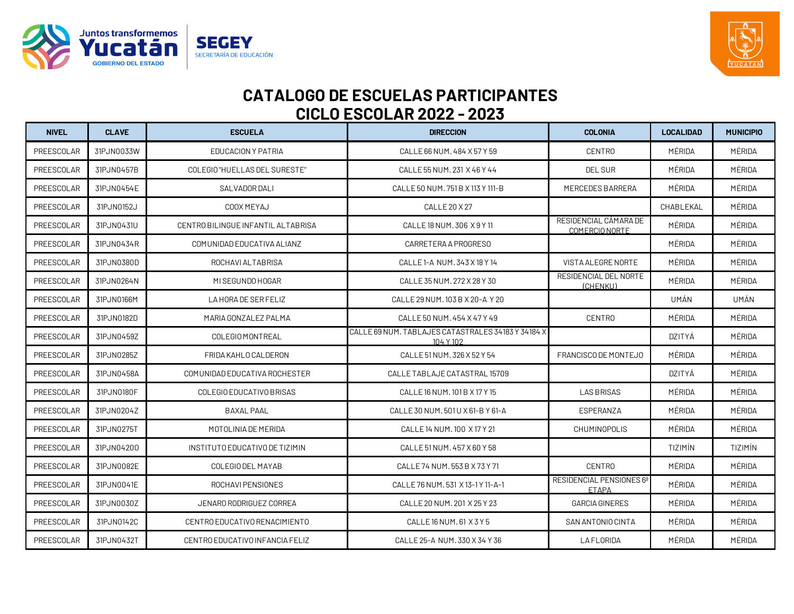



| <b>NIVEL</b> | <b>CLAVE</b> | <b>ESCUELA</b>                     | <b>DIRECCION</b>                                                | <b>COLONIA</b>                           | <b>LOCALIDAD</b> | <b>MUNICIPIO</b> |
|--------------|--------------|------------------------------------|-----------------------------------------------------------------|------------------------------------------|------------------|------------------|
| PREESCOLAR   | 31PJN0033W   | EDUCACION Y PATRIA                 | CALLE 66 NUM, 484 X 57 Y 59                                     | <b>CENTRO</b>                            | MÉRIDA           | MÉRIDA           |
| PREESCOLAR   | 31PJN0457B   | COLEGIO "HUELLAS DEL SURESTE"      | CALLE 55 NUM. 231 X 46 Y 44                                     | <b>DEL SUR</b>                           | MÉRIDA           | MÉRIDA           |
| PREESCOLAR   | 31PJN0454E   | SALVADOR DALI                      | CALLE 50 NUM, 751 B X 113 Y 111-B                               | MERCEDES BARRERA                         | MÉRIDA           | MÉRIDA           |
| PREESCOLAR   | 31PJN0152J   | COOX MEYAJ                         | CALLE 20 X 27                                                   |                                          | CHABLEKAL        | MÉRIDA           |
| PREESCOLAR   | 31PJN0431U   | CENTRO BILINGUE INFANTIL ALTABRISA | CALLE 18 NUM. 306 X 9 Y 11                                      | RESIDENCIAL CÁMARA DE<br>COMERCIO NORTE  | MÉRIDA           | MÉRIDA           |
| PREESCOLAR   | 31PJN0434R   | COMUNIDAD EDUCATIVA ALIANZ         | CARRETERA A PROGRESO                                            |                                          | MÉRIDA           | MÉRIDA           |
| PREESCOLAR   | 31PJN0380D   | ROCHAVI ALTABRISA                  | CALLE 1-A NUM. 343 X 18 Y 14                                    | VISTA ALEGRE NORTE                       | MÉRIDA           | MÉRIDA           |
| PREESCOLAR   | 31PJN0264N   | MI SEGUNDO HOGAR                   | CALLE 35 NUM. 272 X 28 Y 30                                     | RESIDENCIAL DEL NORTE<br>(CHENKU)        | MÉRIDA           | MÉRIDA           |
| PREESCOLAR   | 31PJN0166M   | LA HORA DE SER FELIZ               | CALLE 29 NUM. 103 B X 20-A Y 20                                 |                                          | UMÁN             | UMÁN             |
| PREESCOLAR   | 31PJN0182D   | MARIA GONZALEZ PALMA               | CALLE 50 NUM, 454 X 47 Y 49                                     | <b>CENTRO</b>                            | MÉRIDA           | MÉRIDA           |
| PREESCOLAR   | 31PJN0459Z   | COLEGIO MONTREAL                   | CALLE 69 NUM. TABLAJES CATASTRALES 34183 Y 34184 X<br>104 Y 102 |                                          | DZITYÁ           | MÉRIDA           |
| PREESCOLAR   | 31PJN0285Z   | FRIDA KAHLO CALDERON               | CALLE 51 NUM. 326 X 52 Y 54                                     | FRANCISCO DE MONTEJO                     | MÉRIDA           | MÉRIDA           |
| PREESCOLAR   | 31PJN0458A   | COMUNIDAD EDUCATIVA ROCHESTER      | CALLE TABLAJE CATASTRAL 15709                                   |                                          | <b>DZITYÁ</b>    | MÉRIDA           |
| PREESCOLAR   | 31PJN0180F   | COLEGIO EDUCATIVO BRISAS           | CALLE 16 NUM. 101 B X 17 Y 15                                   | <b>LAS BRISAS</b>                        | MÉRIDA           | MÉRIDA           |
| PREESCOLAR   | 31PJN0204Z   | <b>BAXAL PAAL</b>                  | CALLE 30 NUM. 501 U X 61-B Y 61-A                               | ESPERANZA                                | MÉRIDA           | MÉRIDA           |
| PREESCOLAR   | 31PJN0275T   | MOTOLINIA DE MERIDA                | CALLE 14 NUM, 100 X 17 Y 21                                     | <b>CHUMINOPOLIS</b>                      | MÉRIDA           | MÉRIDA           |
| PREESCOLAR   | 31PJN04200   | INSTITUTO EDUCATIVO DE TIZIMIN     | CALLE 51 NUM, 457 X 60 Y 58                                     |                                          | TIZIMÍN          | TIZIMÍN          |
| PREESCOLAR   | 31PJN0082E   | COLEGIO DEL MAYAB                  | CALLE 74 NUM, 553 B X 73 Y 71                                   | <b>CENTRO</b>                            | MÉRIDA           | MÉRIDA           |
| PREESCOLAR   | 31PJN0041E   | ROCHAVI PENSIONES                  | CALLE 76 NUM. 531 X 13-1 Y 11-A-1                               | RESIDENCIAL PENSIONES 6ª<br><b>ETAPA</b> | MÉRIDA           | MÉRIDA           |
| PREESCOLAR   | 31PJN0030Z   | JENARO RODRIGUEZ CORREA            | CALLE 20 NUM. 201 X 25 Y 23                                     | <b>GARCIA GINERES</b>                    | MÉRIDA           | MÉRIDA           |
| PREESCOLAR   | 31PJN0142C   | CENTRO EDUCATIVO RENACIMIENTO      | CALLE 16 NUM. 61 X 3 Y 5                                        | SAN ANTONIO CINTA                        | MÉRIDA           | MÉRIDA           |
| PREESCOLAR   | 31PJN0432T   | CENTRO EDUCATIVO INFANCIA FELIZ    | CALLE 25-A NUM. 330 X 34 Y 36                                   | <b>LAFLORIDA</b>                         | MÉRIDA           | MÉRIDA           |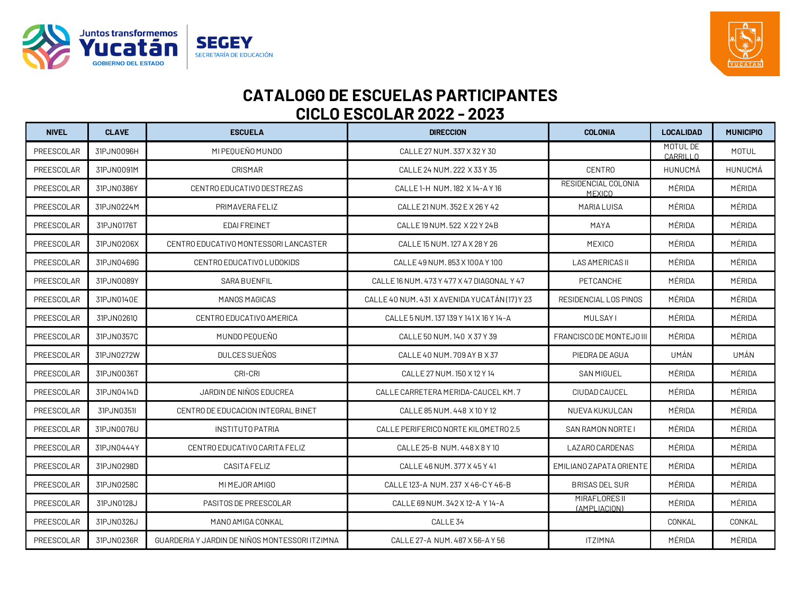



| <b>NIVEL</b> | <b>CLAVE</b> | <b>ESCUELA</b>                                 | <b>DIRECCION</b>                              | <b>COLONIA</b>                       | <b>LOCALIDAD</b>     | <b>MUNICIPIO</b> |
|--------------|--------------|------------------------------------------------|-----------------------------------------------|--------------------------------------|----------------------|------------------|
| PREESCOLAR   | 31PJN0096H   | MI PEOUEÑO MUNDO                               | CALLE 27 NUM. 337 X 32 Y 30                   |                                      | MOTUL DE<br>CARRILLO | MOTUL            |
| PREESCOLAR   | 31PJN0091M   | CRISMAR                                        | CALLE 24 NUM. 222 X 33 Y 35                   | <b>CENTRO</b>                        | HUNUCMÁ              | HUNUCMÁ          |
| PREESCOLAR   | 31PJN0386Y   | CENTRO EDUCATIVO DESTREZAS                     | CALLE 1-H NUM. 182 X 14-A Y 16                | RESIDENCIAL COLONIA<br><b>MEXICO</b> | MÉRIDA               | MÉRIDA           |
| PREESCOLAR   | 31PJN0224M   | PRIMAVERA FELIZ                                | CALLE 21 NUM. 352 E X 26 Y 42                 | <b>MARIA LUISA</b>                   | MÉRIDA               | MÉRIDA           |
| PREESCOLAR   | 31PJN0176T   | <b>EDAIFREINET</b>                             | CALLE 19 NUM, 522 X 22 Y 24 B                 | MAYA                                 | MÉRIDA               | MÉRIDA           |
| PREESCOLAR   | 31PJN0206X   | CENTRO EDUCATIVO MONTESSORI LANCASTER          | CALLE 15 NUM. 127 A X 28 Y 26                 | <b>MEXICO</b>                        | MÉRIDA               | MÉRIDA           |
| PREESCOLAR   | 31PJN0469G   | CENTRO EDUCATIVO LUDOKIDS                      | CALLE 49 NUM, 853 X 100 A Y 100               | LAS AMERICAS II                      | MÉRIDA               | MÉRIDA           |
| PREESCOLAR   | 31PJN0089Y   | SARA BUENFIL                                   | CALLE 16 NUM, 473 Y 477 X 47 DIAGONAL Y 47    | PETCANCHE                            | MÉRIDA               | MÉRIDA           |
| PREESCOLAR   | 31PJN0140E   | MANOS MAGICAS                                  | CALLE 40 NUM. 431 X AVENIDA YUCATÁN (17) Y 23 | RESIDENCIAL LOS PINOS                | MÉRIDA               | MÉRIDA           |
| PREESCOLAR   | 31PJN02610   | CENTRO EDUCATIVO AMERICA                       | CALLE 5 NUM. 137 139 Y 141 X 16 Y 14-A        | <b>MULSAYI</b>                       | MÉRIDA               | MÉRIDA           |
| PREESCOLAR   | 31PJN0357C   | MUNDO PEQUEÑO                                  | CALLE 50 NUM. 140 X 37 Y 39                   | FRANCISCO DE MONTEJO III             | MÉRIDA               | MÉRIDA           |
| PREESCOLAR   | 31PJN0272W   | DULCES SUEÑOS                                  | CALLE 40 NUM, 709 AY B X 37                   | PIEDRA DE AGUA                       | UMÁN                 | UMÁN             |
| PREESCOLAR   | 31PJN0036T   | CRI-CRI                                        | CALLE 27 NUM. 150 X 12 Y 14                   | <b>SAN MIGUEL</b>                    | MÉRIDA               | MÉRIDA           |
| PREESCOLAR   | 31PJN0414D   | JARDIN DE NIÑOS EDUCREA                        | CALLE CARRETERA MERIDA-CAUCEL KM. 7           | CIUDAD CAUCEL                        | MÉRIDA               | MÉRIDA           |
| PREESCOLAR   | 31PJN0351I   | CENTRO DE EDUCACION INTEGRAL BINET             | CALLE 85 NUM, 448 X 10 Y 12                   | NUEVA KUKULCAN                       | MÉRIDA               | MÉRIDA           |
| PREESCOLAR   | 31PJN0076U   | <b>INSTITUTO PATRIA</b>                        | CALLE PERIFERICO NORTE KILOMETRO 2.5          | SAN RAMON NORTE I                    | MÉRIDA               | MÉRIDA           |
| PREESCOLAR   | 31PJN0444Y   | CENTRO EDUCATIVO CARITA FELIZ                  | CALLE 25-B NUM. 448 X 8 Y 10                  | LAZARO CARDENAS                      | MÉRIDA               | MÉRIDA           |
| PREESCOLAR   | 31PJN0298D   | <b>CASITA FELIZ</b>                            | CALLE 46 NUM, 377 X 45 Y 41                   | EMILIANO ZAPATA ORIENTE              | MÉRIDA               | MÉRIDA           |
| PREESCOLAR   | 31PJN0258C   | MI MEJOR AMIGO                                 | CALLE 123-A NUM. 237 X 46-C Y 46-B            | <b>BRISAS DEL SUR</b>                | MÉRIDA               | MÉRIDA           |
| PREESCOLAR   | 31PJN0128J   | PASITOS DE PREESCOLAR                          | CALLE 69 NUM. 342 X 12-A Y 14-A               | MIRAFLORES II<br>(AMPLIACION)        | MÉRIDA               | MÉRIDA           |
| PREESCOLAR   | 31PJN0326J   | MANO AMIGA CONKAL                              | CALLE <sub>34</sub>                           |                                      | CONKAL               | CONKAL           |
| PREESCOLAR   | 31PJN0236R   | GUARDERIA Y JARDIN DE NIÑOS MONTESSORI ITZIMNA | CALLE 27-A NUM. 487 X 56-A Y 56               | <b>ITZIMNA</b>                       | MÉRIDA               | MÉRIDA           |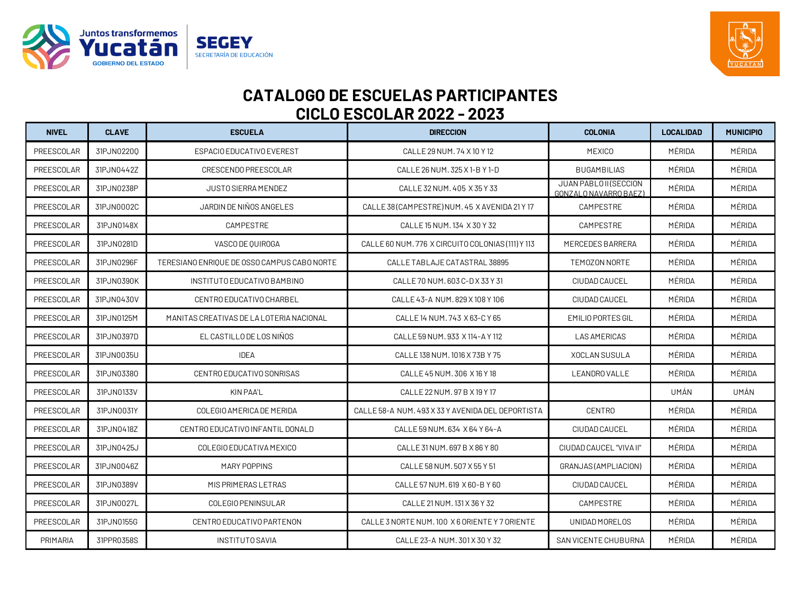



| <b>NIVEL</b> | <b>CLAVE</b> | <b>ESCUELA</b>                              | <b>DIRECCION</b>                                  | <b>COLONIA</b>                                  | <b>LOCALIDAD</b> | <b>MUNICIPIO</b> |
|--------------|--------------|---------------------------------------------|---------------------------------------------------|-------------------------------------------------|------------------|------------------|
| PREESCOLAR   | 31PJN02200   | ESPACIO EDUCATIVO EVEREST                   | CALLE 29 NUM, 74 X 10 Y 12                        | <b>MEXICO</b>                                   | MÉRIDA           | MÉRIDA           |
| PREESCOLAR   | 31PJN0442Z   | CRESCENDO PREESCOLAR                        | CALLE 26 NUM. 325 X 1-B Y 1-D                     | <b>BUGAMBILIAS</b>                              | MÉRIDA           | MÉRIDA           |
| PREESCOLAR   | 31PJN0238P   | <b>JUSTO SIERRA MENDEZ</b>                  | CALLE 32 NUM. 405 X 35 Y 33                       | JUAN PABLO II (SECCION<br>GONZALO NAVARRO BAEZ) | MÉRIDA           | MÉRIDA           |
| PREESCOLAR   | 31PJN0002C   | JARDIN DE NIÑOS ANGELES                     | CALLE 38 (CAMPESTRE) NUM, 45 X AVENIDA 21 Y 17    | CAMPESTRE                                       | MÉRIDA           | MÉRIDA           |
| PREESCOLAR   | 31PJN0148X   | CAMPESTRE                                   | CALLE 15 NUM. 134 X 30 Y 32                       | CAMPESTRE                                       | MÉRIDA           | MÉRIDA           |
| PREESCOLAR   | 31PJN0281D   | VASCO DE QUIROGA                            | CALLE 60 NUM. 776 X CIRCUITO COLONIAS (111) Y 113 | MERCEDES BARRERA                                | MÉRIDA           | MÉRIDA           |
| PREESCOLAR   | 31PJN0296F   | TERESIANO ENRIQUE DE OSSO CAMPUS CABO NORTE | CALLE TABLAJE CATASTRAL 38895                     | TEMOZON NORTE                                   | MÉRIDA           | MÉRIDA           |
| PREESCOLAR   | 31PJN0390K   | INSTITUTO EDUCATIVO BAMBINO                 | CALLE 70 NUM. 603 C-D X 33 Y 31                   | CIUDAD CAUCEL                                   | MÉRIDA           | MÉRIDA           |
| PREESCOLAR   | 31PJN0430V   | CENTRO EDUCATIVO CHARBEL                    | CALLE 43-A NUM. 829 X 108 Y 106                   | CIUDAD CAUCEL                                   | MÉRIDA           | MÉRIDA           |
| PREESCOLAR   | 31PJN0125M   | MANITAS CREATIVAS DE LA LOTERIA NACIONAL    | CALLE 14 NUM. 743 X 63-C Y 65                     | <b>EMILIO PORTES GIL</b>                        | MÉRIDA           | MÉRIDA           |
| PREESCOLAR   | 31PJN0397D   | EL CASTILLO DE LOS NIÑOS                    | CALLE 59 NUM. 933 X 114-A Y 112                   | <b>LAS AMERICAS</b>                             | MÉRIDA           | MÉRIDA           |
| PREESCOLAR   | 31PJN0035U   | <b>IDEA</b>                                 | CALLE 138 NUM, 1016 X 73B Y 75                    | <b>XOCLAN SUSULA</b>                            | MÉRIDA           | MÉRIDA           |
| PREESCOLAR   | 31PJN03380   | CENTRO EDUCATIVO SONRISAS                   | CALLE 45 NUM, 306 X 16 Y 18                       | <b>LEANDRO VALLE</b>                            | MÉRIDA           | MÉRIDA           |
| PREESCOLAR   | 31PJN0133V   | KIN PAA'L                                   | CALLE 22 NUM, 97 B X 19 Y 17                      |                                                 | UMÁN             | UMÁN             |
| PREESCOLAR   | 31PJN0031Y   | COLEGIO AMERICA DE MERIDA                   | CALLE 58-A NUM, 493 X 33 Y AVENIDA DEL DEPORTISTA | <b>CENTRO</b>                                   | MÉRIDA           | MÉRIDA           |
| PREESCOLAR   | 31PJN0418Z   | CENTRO EDUCATIVO INFANTIL DONALD            | CALLE 59 NUM. 634 X 64 Y 64-A                     | CIUDAD CAUCEL                                   | MÉRIDA           | MÉRIDA           |
| PREESCOLAR   | 31PJN0425J   | COLEGIO EDUCATIVA MEXICO                    | CALLE 31 NUM. 697 B X 86 Y 80                     | CIUDAD CAUCEL "VIVA II"                         | MÉRIDA           | MÉRIDA           |
| PREESCOLAR   | 31PJN0046Z   | MARY POPPINS                                | CALLE 58 NUM, 507 X 55 Y 51                       | GRANJAS (AMPLIACION)                            | MÉRIDA           | MÉRIDA           |
| PREESCOLAR   | 31PJN0389V   | MIS PRIMERAS LETRAS                         | CALLE 57 NUM. 619 X 60-B Y 60                     | CIUDAD CAUCEL                                   | MÉRIDA           | MÉRIDA           |
| PREESCOLAR   | 31PJN0027L   | COLEGIO PENINSULAR                          | CALLE 21 NUM. 131 X 36 Y 32                       | CAMPESTRE                                       | MÉRIDA           | MÉRIDA           |
| PREESCOLAR   | 31PJN0155G   | CENTRO EDUCATIVO PARTENON                   | CALLE 3 NORTE NUM. 100 X 6 ORIENTE Y 7 ORIENTE    | UNIDAD MORELOS                                  | MÉRIDA           | MÉRIDA           |
| PRIMARIA     | 31PPR0358S   | <b>INSTITUTO SAVIA</b>                      | CALLE 23-A NUM. 301 X 30 Y 32                     | <b>SAN VICENTE CHUBURNA</b>                     | MÉRIDA           | MÉRIDA           |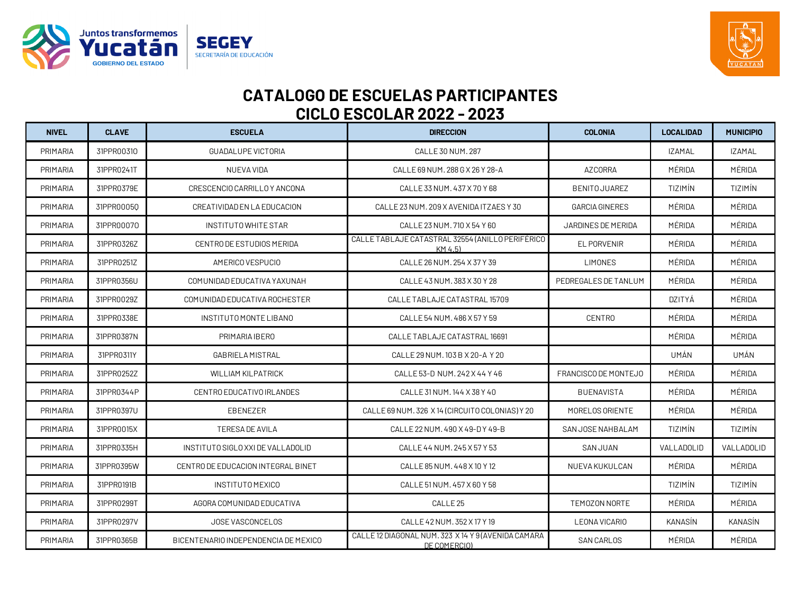



| <b>NIVEL</b> | <b>CLAVE</b> | <b>ESCUELA</b>                       | <b>DIRECCION</b>                                                    | <b>COLONIA</b>        | <b>LOCALIDAD</b> | <b>MUNICIPIO</b> |
|--------------|--------------|--------------------------------------|---------------------------------------------------------------------|-----------------------|------------------|------------------|
| PRIMARIA     | 31PPR00310   | GUADALUPE VICTORIA                   | CALLE 30 NUM. 287                                                   |                       | <b>IZAMAL</b>    | <b>IZAMAL</b>    |
| PRIMARIA     | 31PPR0241T   | NUEVA VIDA                           | CALLE 69 NUM. 288 G X 26 Y 28-A                                     | <b>AZCORRA</b>        | MÉRIDA           | MÉRIDA           |
| PRIMARIA     | 31PPR0379E   | CRESCENCIO CARRILLO Y ANCONA         | CALLE 33 NUM. 437 X 70 Y 68                                         | <b>BENITO JUAREZ</b>  | TIZIMÍN          | TIZIMÍN          |
| PRIMARIA     | 31PPR00050   | CREATIVIDAD EN LA EDUCACION          | CALLE 23 NUM. 209 X AVENIDA ITZAES Y 30                             | <b>GARCIA GINERES</b> | MÉRIDA           | MÉRIDA           |
| PRIMARIA     | 31PPR00070   | INSTITUTO WHITE STAR                 | CALLE 23 NUM, 710 X 54 Y 60                                         | JARDINES DE MERIDA    | MÉRIDA           | MÉRIDA           |
| PRIMARIA     | 31PPR0326Z   | CENTRO DE ESTUDIOS MERIDA            | CALLE TABLAJE CATASTRAL 32554 (ANILLO PERIFÉRICO<br>KM 4.5)         | <b>EL PORVENIR</b>    | MÉRIDA           | MÉRIDA           |
| PRIMARIA     | 31PPR0251Z   | AMERICO VESPUCIO                     | CALLE 26 NUM. 254 X 37 Y 39                                         | <b>LIMONES</b>        | MÉRIDA           | MÉRIDA           |
| PRIMARIA     | 31PPR0356U   | COMUNIDAD EDUCATIVA YAXUNAH          | CALLE 43 NUM. 383 X 30 Y 28                                         | PEDREGALES DE TANLUM  | MÉRIDA           | MÉRIDA           |
| PRIMARIA     | 31PPR0029Z   | COMUNIDAD EDUCATIVA ROCHESTER        | CALLE TABLAJE CATASTRAL 15709                                       |                       | <b>DZITYÁ</b>    | MÉRIDA           |
| PRIMARIA     | 31PPR0338E   | INSTITUTO MONTE LIBANO               | CALLE 54 NUM, 486 X 57 Y 59                                         | <b>CENTRO</b>         | MÉRIDA           | MÉRIDA           |
| PRIMARIA     | 31PPR0387N   | PRIMARIA IBERO                       | CALLE TABLAJE CATASTRAL 16691                                       |                       | MÉRIDA           | MÉRIDA           |
| PRIMARIA     | 31PPR0311Y   | <b>GABRIELA MISTRAL</b>              | CALLE 29 NUM. 103 B X 20-A Y 20                                     |                       | UMÁN             | UMÁN             |
| PRIMARIA     | 31PPR0252Z   | <b>WILLIAM KILPATRICK</b>            | CALLE 53-D NUM. 242 X 44 Y 46                                       | FRANCISCO DE MONTEJO  | MÉRIDA           | MÉRIDA           |
| PRIMARIA     | 31PPR0344P   | CENTRO EDUCATIVO IRLANDES            | CALLE 31 NUM. 144 X 38 Y 40                                         | <b>BUENAVISTA</b>     | MÉRIDA           | MÉRIDA           |
| PRIMARIA     | 31PPR0397U   | EBENEZER                             | CALLE 69 NUM. 326 X 14 (CIRCUITO COLONIAS) Y 20                     | MORELOS ORIENTE       | MÉRIDA           | MÉRIDA           |
| PRIMARIA     | 31PPR0015X   | <b>TERESA DE AVILA</b>               | CALLE 22 NUM. 490 X 49-D Y 49-B                                     | SAN JOSE NAHBALAM     | TIZIMÍN          | <b>TIZIMÍN</b>   |
| PRIMARIA     | 31PPR0335H   | INSTITUTO SIGLO XXI DE VALLADOLID    | CALLE 44 NUM, 245 X 57 Y 53                                         | <b>SAN JUAN</b>       | VALLADOLID       | VALLADOLID       |
| PRIMARIA     | 31PPR0395W   | CENTRO DE EDUCACION INTEGRAL BINET   | CALLE 85 NUM, 448 X 10 Y 12                                         | NUEVA KUKULCAN        | MÉRIDA           | MÉRIDA           |
| PRIMARIA     | 31PPR0191B   | INSTITUTO MEXICO                     | CALLE 51 NUM, 457 X 60 Y 58                                         |                       | TIZIMÍN          | <b>TIZIMÍN</b>   |
| PRIMARIA     | 31PPR0299T   | AGORA COMUNIDAD EDUCATIVA            | CALLE <sub>25</sub>                                                 | TEMOZON NORTE         | MÉRIDA           | MÉRIDA           |
| PRIMARIA     | 31PPR0297V   | JOSE VASCONCELOS                     | CALLE 42 NUM. 352 X 17 Y 19                                         | LEONA VICARIO         | <b>KANASÍN</b>   | <b>KANASÍN</b>   |
| PRIMARIA     | 31PPR0365B   | BICENTENARIO INDEPENDENCIA DE MEXICO | CALLE 12 DIAGONAL NUM. 323 X 14 Y 9 (AVENIDA CAMARA<br>DE COMERCIO) | <b>SAN CARLOS</b>     | MÉRIDA           | MÉRIDA           |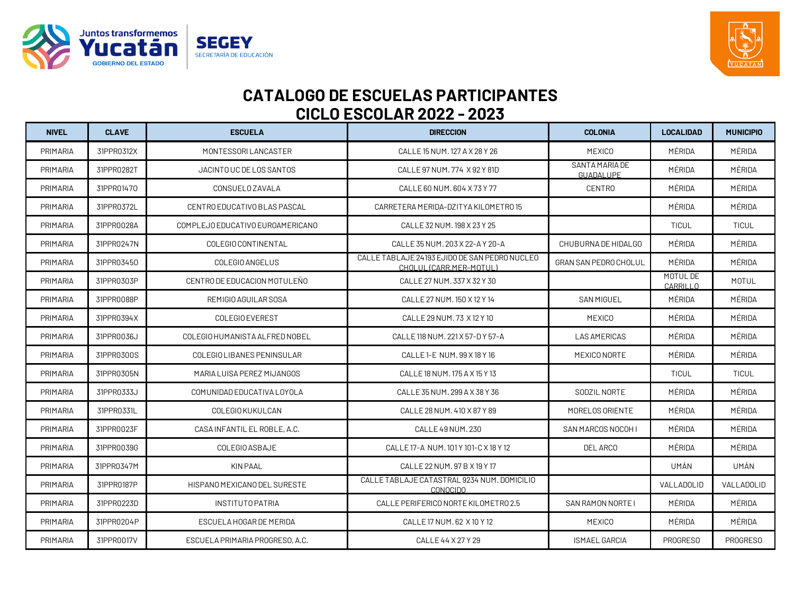



| <b>NIVEL</b>    | <b>CLAVE</b> | <b>ESCUELA</b>                   | <b>DIRECCION</b>                                                         | <b>COLONIA</b>               | <b>LOCALIDAD</b>            | <b>MUNICIPIO</b> |
|-----------------|--------------|----------------------------------|--------------------------------------------------------------------------|------------------------------|-----------------------------|------------------|
| PRIMARIA        | 31PPR0312X   | MONTESSORI LANCASTER             | CALLE 15 NUM. 127 A X 28 Y 26                                            | MEXICO                       | MÉRIDA                      | MÉRIDA           |
| PRIMARIA        | 31PPR0282T   | JACINTO UC DE LOS SANTOS         | CALLE 97 NUM, 774 X 92 Y 81D                                             | SANTA MARIA DE<br>GUADALUPE  | MÉRIDA                      | MÉRIDA           |
| PRIMARIA        | 31PPR01470   | <b>CONSUELO ZAVALA</b>           | CALLE 60 NUM. 604 X 73 Y 77                                              | <b>CENTRO</b>                | MÉRIDA                      | MÉRIDA           |
| <b>PRIMARIA</b> | 31PPR0372L   | CENTRO EDUCATIVO BLAS PASCAL     | CARRETERA MERIDA-DZITYA KILOMETRO 15                                     |                              | MÉRIDA                      | MÉRIDA           |
| PRIMARIA        | 31PPR0028A   | COMPLEJO EDUCATIVO EUROAMERICANO | CALLE 32 NUM, 198 X 23 Y 25                                              |                              | <b>TICUL</b>                | TICUL            |
| <b>PRIMARIA</b> | 31PPR0247N   | COLEGIO CONTINENTAL              | CALLE 35 NUM. 203 X 22-A Y 20-A                                          | CHUBURNA DE HIDALGO          | MÉRIDA                      | MÉRIDA           |
| PRIMARIA        | 31PPR03450   | COLEGIO ANGELUS                  | CALLE TABLAJE 24193 EJIDO DE SAN PEDRO NUCLEO<br>CHOLUL (CARR.MER-MOTUL) | <b>GRAN SAN PEDRO CHOLUL</b> | MÉRIDA                      | MÉRIDA           |
| PRIMARIA        | 31PPR0303P   | CENTRO DE EDUCACION MOTULEÑO     | CALLE 27 NUM. 337 X 32 Y 30                                              |                              | MOTUL DE<br><b>CARRILLO</b> | <b>MOTUL</b>     |
| PRIMARIA        | 31PPR0088P   | REMIGIO AGUILAR SOSA             | CALLE 27 NUM. 150 X 12 Y 14                                              | <b>SAN MIGUEL</b>            | MÉRIDA                      | MÉRIDA           |
| PRIMARIA        | 31PPR0394X   | <b>COLEGIO EVEREST</b>           | CALLE 29 NUM. 73 X 12 Y 10                                               | <b>MEXICO</b>                | MÉRIDA                      | MÉRIDA           |
| PRIMARIA        | 31PPR0036J   | COLEGIO HUMANISTA ALFRED NOBEL   | CALLE 118 NUM, 221 X 57-D Y 57-A                                         | LAS AMERICAS                 | MÉRIDA                      | MÉRIDA           |
| <b>PRIMARIA</b> | 31PPR0300S   | COLEGIO LIBANES PENINSULAR       | CALLE 1-E NUM. 99 X 18 Y 16                                              | MEXICO NORTE                 | MÉRIDA                      | MÉRIDA           |
| <b>PRIMARIA</b> | 31PPR0305N   | MARIA LUISA PEREZ MIJANGOS       | CALLE 18 NUM. 175 A X 15 Y 13                                            |                              | <b>TICUL</b>                | <b>TICUL</b>     |
| PRIMARIA        | 31PPR0333J   | COMUNIDAD EDUCATIVA LOYOLA       | CALLE 35 NUM. 299 A X 38 Y 36                                            | SODZIL NORTE                 | MÉRIDA                      | MÉRIDA           |
| <b>PRIMARIA</b> | 31PPR0331L   | COLEGIO KUKULCAN                 | CALLE 28 NUM. 410 X 87 Y 89                                              | MORELOS ORIENTE              | MÉRIDA                      | MÉRIDA           |
| PRIMARIA        | 31PPR0023F   | CASA INFANTIL EL ROBLE, A.C.     | CALLE 49 NUM. 230                                                        | SAN MARCOS NOCOH I           | MÉRIDA                      | MÉRIDA           |
| PRIMARIA        | 31PPR0039G   | COLEGIO ASBAJE                   | CALLE 17-A NUM. 101 Y 101-C X 18 Y 12                                    | DEL ARCO                     | MÉRIDA                      | MÉRIDA           |
| <b>PRIMARIA</b> | 31PPR0347M   | <b>KIN PAAL</b>                  | CALLE 22 NUM, 97 B X 19 Y 17                                             |                              | UMÁN                        | UMÁN             |
| PRIMARIA        | 31PPR0187P   | HISPANO MEXICANO DEL SURESTE     | CALLE TABLAJE CATASTRAL 9234 NUM. DOMICILIO<br><b>CONOCIDO</b>           |                              | VALLADOLID                  | VALLADOLID       |
| <b>PRIMARIA</b> | 31PPR0223D   | INSTITUTO PATRIA                 | CALLE PERIFERICO NORTE KILOMETRO 2.5                                     | SAN RAMON NORTE I            | MÉRIDA                      | MÉRIDA           |
| <b>PRIMARIA</b> | 31PPR0204P   | ESCUELA HOGAR DE MERIDA          | CALLE 17 NUM. 62 X 10 Y 12                                               | MEXICO                       | MÉRIDA                      | MÉRIDA           |
| <b>PRIMARIA</b> | 31PPR0017V   | ESCUELA PRIMARIA PROGRESO, A.C.  | CALLE 44 X 27 Y 29                                                       | <b>ISMAEL GARCIA</b>         | PROGRESO                    | PROGRESO         |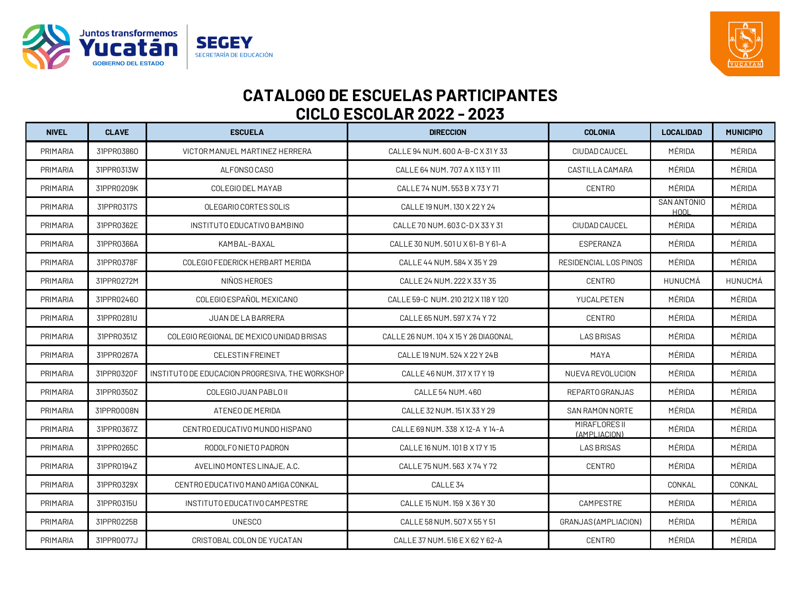



| <b>NIVEL</b>    | <b>CLAVE</b> | <b>ESCUELA</b>                                  | <b>DIRECCION</b>                     | <b>COLONIA</b>                | <b>LOCALIDAD</b>           | <b>MUNICIPIO</b> |
|-----------------|--------------|-------------------------------------------------|--------------------------------------|-------------------------------|----------------------------|------------------|
| PRIMARIA        | 31PPR03860   | VICTOR MANUEL MARTINEZ HERRERA                  | CALLE 94 NUM, 600 A-B-C X 31 Y 33    | CIUDAD CAUCEL                 | MÉRIDA                     | MÉRIDA           |
| PRIMARIA        | 31PPR0313W   | ALFONSO CASO                                    | CALLE 64 NUM, 707 A X 113 Y 111      | CASTILLA CAMARA               | MÉRIDA                     | MÉRIDA           |
| PRIMARIA        | 31PPR0209K   | COLEGIO DEL MAYAB                               | CALLE 74 NUM. 553 B X 73 Y 71        | <b>CENTRO</b>                 | MÉRIDA                     | MÉRIDA           |
| PRIMARIA        | 31PPR0317S   | OLEGARIO CORTES SOLIS                           | CALLE 19 NUM. 130 X 22 Y 24          |                               | SAN ANTONIO<br><b>HOOL</b> | MÉRIDA           |
| <b>PRIMARIA</b> | 31PPR0362E   | INSTITUTO EDUCATIVO BAMBINO                     | CALLE 70 NUM, 603 C-D X 33 Y 31      | CIUDAD CAUCEL                 | MÉRIDA                     | MÉRIDA           |
| PRIMARIA        | 31PPR0366A   | KAMBAL-BAXAL                                    | CALLE 30 NUM. 501 U X 61-B Y 61-A    | ESPERANZA                     | MÉRIDA                     | MÉRIDA           |
| PRIMARIA        | 31PPR0378F   | COLEGIO FEDERICK HERBART MERIDA                 | CALLE 44 NUM, 584 X 35 Y 29          | RESIDENCIAL LOS PINOS         | MÉRIDA                     | MÉRIDA           |
| PRIMARIA        | 31PPR0272M   | NIÑOS HEROES                                    | CALLE 24 NUM. 222 X 33 Y 35          | <b>CENTRO</b>                 | HUNUCMÁ                    | HUNUCMÁ          |
| PRIMARIA        | 31PPR02460   | COLEGIO ESPAÑOL MEXICANO                        | CALLE 59-C NUM. 210 212 X 118 Y 120  | YUCALPETEN                    | MÉRIDA                     | MÉRIDA           |
| <b>PRIMARIA</b> | 31PPR0281U   | JUAN DE LA BARRERA                              | CALLE 65 NUM, 597 X 74 Y 72          | <b>CENTRO</b>                 | MÉRIDA                     | MÉRIDA           |
| PRIMARIA        | 31PPR0351Z   | COLEGIO REGIONAL DE MEXICO UNIDAD BRISAS        | CALLE 26 NUM. 104 X 15 Y 26 DIAGONAL | <b>LAS BRISAS</b>             | MÉRIDA                     | MÉRIDA           |
| PRIMARIA        | 31PPR0267A   | <b>CELESTIN FREINET</b>                         | CALLE 19 NUM, 524 X 22 Y 24 B        | MAYA                          | MÉRIDA                     | MÉRIDA           |
| PRIMARIA        | 31PPR0320F   | INSTITUTO DE EDUCACION PROGRESIVA, THE WORKSHOP | CALLE 46 NUM. 317 X 17 Y 19          | NUEVA REVOLUCION              | MÉRIDA                     | MÉRIDA           |
| <b>PRIMARIA</b> | 31PPR0350Z   | COLEGIO JUAN PABLO II                           | CALLE 54 NUM, 460                    | REPARTO GRANJAS               | MÉRIDA                     | MÉRIDA           |
| PRIMARIA        | 31PPR0008N   | ATENEO DE MERIDA                                | CALLE 32 NUM. 151 X 33 Y 29          | SAN RAMON NORTE               | MÉRIDA                     | MÉRIDA           |
| PRIMARIA        | 31PPR0367Z   | CENTRO EDUCATIVO MUNDO HISPANO                  | CALLE 69 NUM. 338 X 12-A Y 14-A      | MIRAFLORES II<br>(AMPLIACION) | MÉRIDA                     | MÉRIDA           |
| PRIMARIA        | 31PPR0265C   | RODOLFO NIETO PADRON                            | CALLE 16 NUM, 101 B X 17 Y 15        | <b>LAS BRISAS</b>             | MÉRIDA                     | MÉRIDA           |
| PRIMARIA        | 31PPR0194Z   | AVELINO MONTES LINAJE, A.C.                     | CALLE 75 NUM, 563 X 74 Y 72          | <b>CENTRO</b>                 | MÉRIDA                     | MÉRIDA           |
| PRIMARIA        | 31PPR0329X   | CENTRO EDUCATIVO MANO AMIGA CONKAL              | CALLE <sub>34</sub>                  |                               | CONKAL                     | CONKAL           |
| PRIMARIA        | 31PPR0315U   | INSTITUTO EDUCATIVO CAMPESTRE                   | CALLE 15 NUM. 159 X 36 Y 30          | CAMPESTRE                     | MÉRIDA                     | MÉRIDA           |
| PRIMARIA        | 31PPR0225B   | <b>UNESCO</b>                                   | CALLE 58 NUM, 507 X 55 Y 51          | GRANJAS (AMPLIACION)          | MÉRIDA                     | MÉRIDA           |
| PRIMARIA        | 31PPR0077J   | CRISTOBAL COLON DE YUCATAN                      | CALLE 37 NUM. 516 E X 62 Y 62-A      | <b>CENTRO</b>                 | MÉRIDA                     | MÉRIDA           |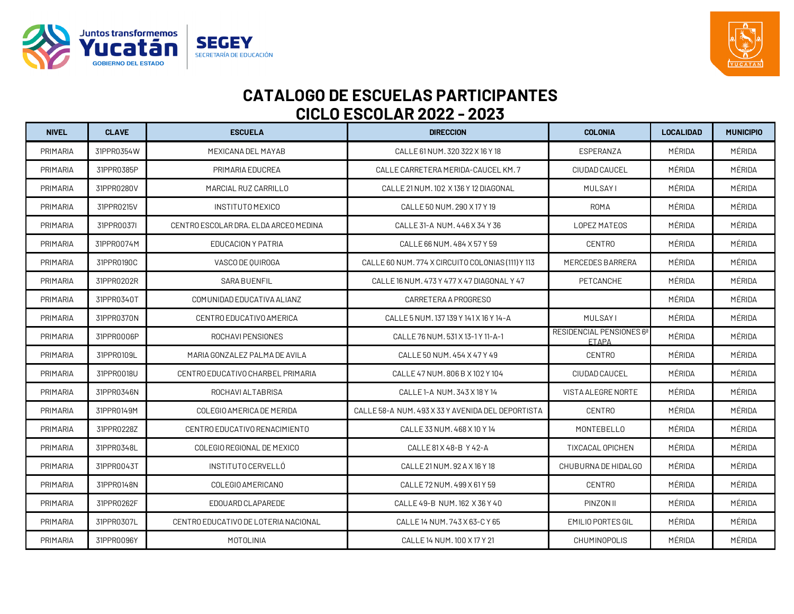



| <b>NIVEL</b>    | <b>CLAVE</b> | <b>ESCUELA</b>                        | <b>DIRECCION</b>                                  | <b>COLONIA</b>                                       | <b>LOCALIDAD</b> | <b>MUNICIPIO</b> |
|-----------------|--------------|---------------------------------------|---------------------------------------------------|------------------------------------------------------|------------------|------------------|
| PRIMARIA        | 31PPR0354W   | MEXICANA DEL MAYAB                    | CALLE 61 NUM. 320 322 X 16 Y 18                   | ESPERANZA                                            | MÉRIDA           | MÉRIDA           |
| PRIMARIA        | 31PPR0385P   | PRIMARIA EDUCREA                      | CALLE CARRETERA MERIDA-CAUCEL KM. 7               | CIUDAD CAUCEL                                        | MÉRIDA           | MÉRIDA           |
| PRIMARIA        | 31PPR0280V   | MARCIAL RUZ CARRILLO                  | CALLE 21 NUM. 102 X 136 Y 12 DIAGONAL             | <b>MULSAYI</b>                                       | MÉRIDA           | MÉRIDA           |
| PRIMARIA        | 31PPR0215V   | INSTITUTO MEXICO                      | CALLE 50 NUM, 290 X 17 Y 19                       | <b>ROMA</b>                                          | MÉRIDA           | MÉRIDA           |
| <b>PRIMARIA</b> | 31PPR0037I   | CENTRO ESCOLAR DRA. ELDA ARCEO MEDINA | CALLE 31-A NUM, 446 X 34 Y 36                     | <b>LOPEZ MATEOS</b>                                  | MÉRIDA           | MÉRIDA           |
| <b>PRIMARIA</b> | 31PPR0074M   | EDUCACION Y PATRIA                    | CALLE 66 NUM, 484 X 57 Y 59                       | <b>CENTRO</b>                                        | MÉRIDA           | MÉRIDA           |
| PRIMARIA        | 31PPR0190C   | VASCO DE QUIROGA                      | CALLE 60 NUM. 774 X CIRCUITO COLONIAS (111) Y 113 | <b>MERCEDES BARRERA</b>                              | MÉRIDA           | MÉRIDA           |
| PRIMARIA        | 31PPR0202R   | <b>SARA BUENFIL</b>                   | CALLE 16 NUM, 473 Y 477 X 47 DIAGONAL Y 47        | PETCANCHE                                            | MÉRIDA           | MÉRIDA           |
| PRIMARIA        | 31PPR0340T   | COMUNIDAD EDUCATIVA ALIANZ            | CARRETERA A PROGRESO                              |                                                      | MÉRIDA           | MÉRIDA           |
| <b>PRIMARIA</b> | 31PPR0370N   | CENTRO EDUCATIVO AMERICA              | CALLE 5 NUM. 137 139 Y 141 X 16 Y 14-A            | <b>MULSAYI</b>                                       | MÉRIDA           | MÉRIDA           |
| PRIMARIA        | 31PPR0006P   | ROCHAVI PENSIONES                     | CALLE 76 NUM, 531 X 13-1 Y 11-A-1                 | RESIDENCIAL PENSIONES 6 <sup>ª</sup><br><b>ETAPA</b> | MÉRIDA           | MÉRIDA           |
| PRIMARIA        | 31PPR0109L   | MARIA GONZALEZ PALMA DE AVILA         | CALLE 50 NUM, 454 X 47 Y 49                       | <b>CENTRO</b>                                        | MÉRIDA           | MÉRIDA           |
| PRIMARIA        | 31PPR0018U   | CENTRO EDUCATIVO CHARBEL PRIMARIA     | CALLE 47 NUM, 806 B X 102 Y 104                   | CIUDAD CAUCEL                                        | MÉRIDA           | MÉRIDA           |
| <b>PRIMARIA</b> | 31PPR0346N   | ROCHAVI ALTABRISA                     | CALLE 1-A NUM. 343 X 18 Y 14                      | VISTA ALEGRE NORTE                                   | MÉRIDA           | MÉRIDA           |
| PRIMARIA        | 31PPR0149M   | COLEGIO AMERICA DE MERIDA             | CALLE 58-A NUM, 493 X 33 Y AVENIDA DEL DEPORTISTA | <b>CENTRO</b>                                        | MÉRIDA           | MÉRIDA           |
| <b>PRIMARIA</b> | 31PPR0228Z   | CENTRO EDUCATIVO RENACIMIENTO         | CALLE 33 NUM, 468 X 10 Y 14                       | MONTEBELLO                                           | MÉRIDA           | MÉRIDA           |
| <b>PRIMARIA</b> | 31PPR0348L   | COLEGIO REGIONAL DE MEXICO            | CALLE 81 X 48-B Y 42-A                            | <b>TIXCACAL OPICHEN</b>                              | MÉRIDA           | MÉRIDA           |
| PRIMARIA        | 31PPR0043T   | INSTITUTO CERVELLÓ                    | CALLE 21 NUM. 92 A X 16 Y 18                      | CHUBURNA DE HIDALGO                                  | MÉRIDA           | MÉRIDA           |
| PRIMARIA        | 31PPR0148N   | COLEGIO AMERICANO                     | CALLE 72 NUM, 499 X 61 Y 59                       | <b>CENTRO</b>                                        | MÉRIDA           | MÉRIDA           |
| PRIMARIA        | 31PPR0262F   | EDOUARD CLAPAREDE                     | CALLE 49-B NUM. 162 X 36 Y 40                     | PINZON II                                            | MÉRIDA           | MÉRIDA           |
| <b>PRIMARIA</b> | 31PPR0307L   | CENTRO EDUCATIVO DE LOTERIA NACIONAL  | CALLE 14 NUM, 743 X 63-C Y 65                     | EMILIO PORTES GIL                                    | MÉRIDA           | MÉRIDA           |
| PRIMARIA        | 31PPR0096Y   | <b>MOTOLINIA</b>                      | CALLE 14 NUM, 100 X 17 Y 21                       | <b>CHUMINOPOLIS</b>                                  | MÉRIDA           | MÉRIDA           |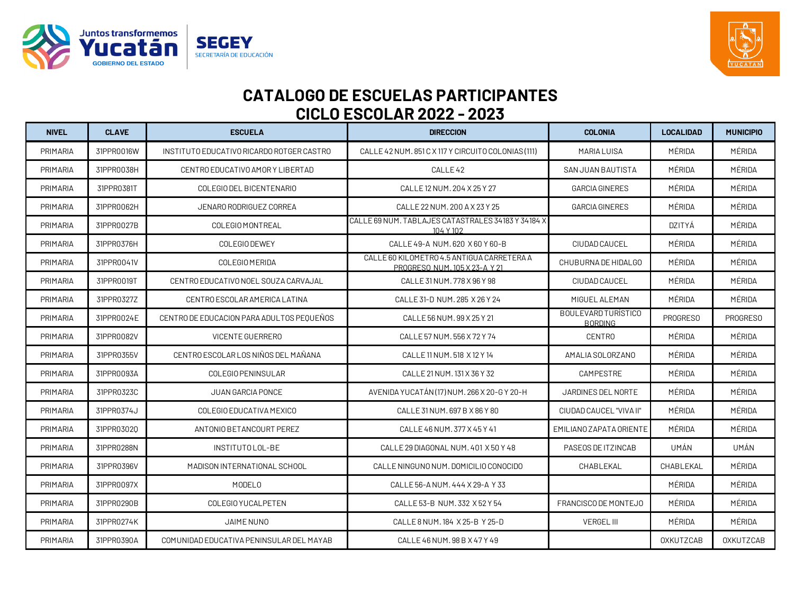



| <b>NIVEL</b>    | <b>CLAVE</b> | <b>ESCUELA</b>                            | <b>DIRECCION</b>                                                            | <b>COLONIA</b>                        | <b>LOCALIDAD</b> | <b>MUNICIPIO</b> |
|-----------------|--------------|-------------------------------------------|-----------------------------------------------------------------------------|---------------------------------------|------------------|------------------|
| PRIMARIA        | 31PPR0016W   | INSTITUTO EDUCATIVO RICARDO ROTGER CASTRO | CALLE 42 NUM. 851 C X 117 Y CIRCUITO COLONIAS (111)                         | MARIA LUISA                           | MÉRIDA           | MÉRIDA           |
| PRIMARIA        | 31PPR0038H   | CENTRO EDUCATIVO AMORY LIBERTAD           | CALLE <sub>42</sub>                                                         | SAN JUAN BAUTISTA                     | MÉRIDA           | MÉRIDA           |
| PRIMARIA        | 31PPR0381T   | COLEGIO DEL BICENTENARIO                  | CALLE 12 NUM. 204 X 25 Y 27                                                 | <b>GARCIA GINERES</b>                 | MÉRIDA           | MÉRIDA           |
| PRIMARIA        | 31PPR0062H   | JENARO RODRIGUEZ CORREA                   | CALLE 22 NUM. 200 A X 23 Y 25                                               | <b>GARCIA GINERES</b>                 | MÉRIDA           | MÉRIDA           |
| PRIMARIA        | 31PPR0027B   | COLEGIO MONTREAL                          | CALLE 69 NUM. TABLAJES CATASTRALES 34183 Y 34184 X<br>104 Y 102             |                                       | DZITYÁ           | MÉRIDA           |
| PRIMARIA        | 31PPR0376H   | COLEGIO DEWEY                             | CALLE 49-A NUM. 620 X 60 Y 60-B                                             | CIUDAD CAUCEL                         | MÉRIDA           | MÉRIDA           |
| PRIMARIA        | 31PPR0041V   | COLEGIO MERIDA                            | CALLE 60 KILOMETRO 4.5 ANTIGUA CARRETERA A<br>PROGRESO NUM. 105 X 23-A Y 21 | CHUBURNA DE HIDALGO                   | MÉRIDA           | MÉRIDA           |
| PRIMARIA        | 31PPR0019T   | CENTRO EDUCATIVO NOEL SOUZA CARVAJAL      | CALLE 31 NUM. 778 X 96 Y 98                                                 | CIUDAD CAUCEL                         | MÉRIDA           | MÉRIDA           |
| PRIMARIA        | 31PPR0327Z   | CENTRO ESCOLAR AMERICA LATINA             | CALLE 31-D NUM. 285 X 26 Y 24                                               | MIGUEL ALEMAN                         | MÉRIDA           | MÉRIDA           |
| <b>PRIMARIA</b> | 31PPR0024E   | CENTRO DE EDUCACION PARA ADULTOS PEOUEÑOS | CALLE 56 NUM. 99 X 25 Y 21                                                  | BOULEVARD TURÍSTICO<br><b>BORDING</b> | <b>PROGRESO</b>  | PROGRESO         |
| PRIMARIA        | 31PPR0082V   | <b>VICENTE GUERRERO</b>                   | CALLE 57 NUM, 556 X 72 Y 74                                                 | <b>CENTRO</b>                         | MÉRIDA           | MÉRIDA           |
| <b>PRIMARIA</b> | 31PPR0355V   | CENTRO ESCOLAR LOS NIÑOS DEL MAÑANA       | CALLE 11 NUM. 518 X 12 Y 14                                                 | AMALIA SOLORZANO                      | MÉRIDA           | MÉRIDA           |
| PRIMARIA        | 31PPR0093A   | COLEGIO PENINSULAR                        | CALLE 21 NUM. 131 X 36 Y 32                                                 | CAMPESTRE                             | MÉRIDA           | MÉRIDA           |
| PRIMARIA        | 31PPR0323C   | <b>JUAN GARCIA PONCE</b>                  | AVENIDA YUCATÁN (17) NUM. 266 X 20-G Y 20-H                                 | JARDINES DEL NORTE                    | MÉRIDA           | MÉRIDA           |
| PRIMARIA        | 31PPR0374J   | COLEGIO EDUCATIVA MEXICO                  | CALLE 31 NUM, 697 B X 86 Y 80                                               | CIUDAD CAUCEL "VIVA II"               | MÉRIDA           | MÉRIDA           |
| <b>PRIMARIA</b> | 31PPR03020   | ANTONIO BETANCOURT PEREZ                  | CALLE 46 NUM. 377 X 45 Y 41                                                 | EMILIANO ZAPATA ORIENTE               | MÉRIDA           | MÉRIDA           |
| <b>PRIMARIA</b> | 31PPR0288N   | INSTITUTO LOL-BE                          | CALLE 29 DIAGONAL NUM, 401 X 50 Y 48                                        | PASEOS DE ITZINCAB                    | UMÁN             | UMÁN             |
| PRIMARIA        | 31PPR0396V   | MADISON INTERNATIONAL SCHOOL              | CALLE NINGUNO NUM. DOMICILIO CONOCIDO                                       | CHABLEKAL                             | CHABLEKAL        | MÉRIDA           |
| PRIMARIA        | 31PPR0097X   | MODELO                                    | CALLE 56-A NUM, 444 X 29-A Y 33                                             |                                       | MÉRIDA           | MÉRIDA           |
| PRIMARIA        | 31PPR0290B   | COLEGIO YUCALPETEN                        | CALLE 53-B NUM. 332 X 52 Y 54                                               | FRANCISCO DE MONTEJO                  | MÉRIDA           | MÉRIDA           |
| <b>PRIMARIA</b> | 31PPR0274K   | JAIME NUNO                                | CALLE 8 NUM. 184 X 25-B Y 25-D                                              | <b>VERGEL III</b>                     | MÉRIDA           | MÉRIDA           |
| PRIMARIA        | 31PPR0390A   | COMUNIDAD EDUCATIVA PENINSULAR DEL MAYAB  | CALLE 46 NUM, 98 B X 47 Y 49                                                |                                       | <b>OXKUTZCAB</b> | <b>OXKUTZCAB</b> |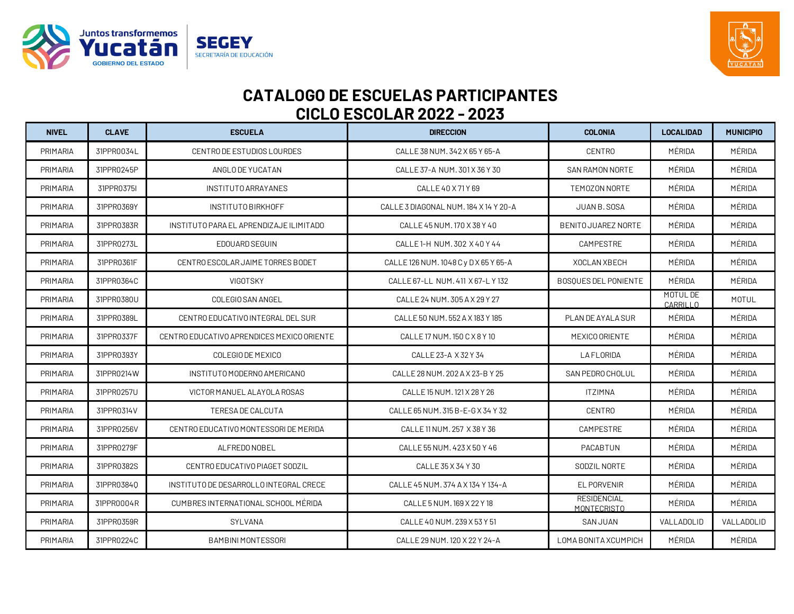



| <b>NIVEL</b> | <b>CLAVE</b> | <b>ESCUELA</b>                             | <b>DIRECCION</b>                      | <b>COLONIA</b>                    | <b>LOCALIDAD</b>     | <b>MUNICIPIO</b> |
|--------------|--------------|--------------------------------------------|---------------------------------------|-----------------------------------|----------------------|------------------|
| PRIMARIA     | 31PPR0034L   | CENTRO DE ESTUDIOS LOURDES                 | CALLE 38 NUM. 342 X 65 Y 65-A         | <b>CENTRO</b>                     | MÉRIDA               | MÉRIDA           |
| PRIMARIA     | 31PPR0245P   | ANGLO DE YUCATAN                           | CALLE 37-A NUM. 301 X 36 Y 30         | <b>SAN RAMON NORTE</b>            | MÉRIDA               | MÉRIDA           |
| PRIMARIA     | 31PPR0375I   | INSTITUTO ARRAYANES                        | CALLE 40 X 71 Y 69                    | TEMOZON NORTE                     | MÉRIDA               | MÉRIDA           |
| PRIMARIA     | 31PPR0369Y   | INSTITUTO BIRKHOFF                         | CALLE 3 DIAGONAL NUM. 184 X 14 Y 20-A | JUAN B. SOSA                      | MÉRIDA               | MÉRIDA           |
| PRIMARIA     | 31PPR0383R   | INSTITUTO PARA EL APRENDIZAJE ILIMITADO    | CALLE 45 NUM. 170 X 38 Y 40           | <b>BENITO JUAREZ NORTE</b>        | MÉRIDA               | MÉRIDA           |
| PRIMARIA     | 31PPR0273L   | EDOUARD SEGUIN                             | CALLE 1-H NUM. 302 X 40 Y 44          | CAMPESTRE                         | MÉRIDA               | MÉRIDA           |
| PRIMARIA     | 31PPR0361F   | CENTRO ESCOLAR JAIME TORRES BODET          | CALLE 126 NUM. 1048 C y D X 65 Y 65-A | XOCLAN XBECH                      | MÉRIDA               | MÉRIDA           |
| PRIMARIA     | 31PPR0364C   | VIGOTSKY                                   | CALLE 67-LL NUM, 411 X 67-L Y 132     | <b>BOSQUES DEL PONIENTE</b>       | MÉRIDA               | MÉRIDA           |
| PRIMARIA     | 31PPR0380U   | COLEGIO SAN ANGEL                          | CALLE 24 NUM. 305 A X 29 Y 27         |                                   | MOTUL DE<br>CARRILLO | MOTUL            |
| PRIMARIA     | 31PPR0389L   | CENTRO EDUCATIVO INTEGRAL DEL SUR          | CALLE 50 NUM, 552 A X 183 Y 185       | PLAN DE AYALA SUR                 | MÉRIDA               | MÉRIDA           |
| PRIMARIA     | 31PPR0337F   | CENTRO EDUCATIVO APRENDICES MEXICO ORIENTE | CALLE 17 NUM. 150 C X 8 Y 10          | MEXICO ORIENTE                    | MÉRIDA               | MÉRIDA           |
| PRIMARIA     | 31PPR0393Y   | COLEGIO DE MEXICO                          | CALLE 23-A X 32 Y 34                  | <b>LAFLORIDA</b>                  | MÉRIDA               | MÉRIDA           |
| PRIMARIA     | 31PPR0214W   | INSTITUTO MODERNO AMERICANO                | CALLE 28 NUM. 202 A X 23-B Y 25       | SAN PEDRO CHOLUL                  | MÉRIDA               | MÉRIDA           |
| PRIMARIA     | 31PPR0257U   | VICTOR MANUEL ALAYOLA ROSAS                | CALLE 15 NUM. 121 X 28 Y 26           | <b>ITZIMNA</b>                    | MÉRIDA               | MÉRIDA           |
| PRIMARIA     | 31PPR0314V   | TERESA DE CALCUTA                          | CALLE 65 NUM. 315 B-E-G X 34 Y 32     | <b>CENTRO</b>                     | MÉRIDA               | MÉRIDA           |
| PRIMARIA     | 31PPR0256V   | CENTRO EDUCATIVO MONTESSORI DE MERIDA      | CALLE 11 NUM, 257 X 38 Y 36           | CAMPESTRE                         | MÉRIDA               | MÉRIDA           |
| PRIMARIA     | 31PPR0279F   | ALFREDO NOBEL                              | CALLE 55 NUM. 423 X 50 Y 46           | PACABTUN                          | MÉRIDA               | MÉRIDA           |
| PRIMARIA     | 31PPR0382S   | CENTRO EDUCATIVO PIAGET SODZIL             | CALLE 35 X 34 Y 30                    | SODZIL NORTE                      | MÉRIDA               | MÉRIDA           |
| PRIMARIA     | 31PPR0384Q   | INSTITUTO DE DESARROLLO INTEGRAL CRECE     | CALLE 45 NUM. 374 A X 134 Y 134-A     | <b>EL PORVENIR</b>                | MÉRIDA               | MÉRIDA           |
| PRIMARIA     | 31PPR0004R   | CUMBRES INTERNATIONAL SCHOOL MÉRIDA        | CALLE 5 NUM. 169 X 22 Y 18            | <b>RESIDENCIAL</b><br>MONTECRISTO | MÉRIDA               | MÉRIDA           |
| PRIMARIA     | 31PPR0359R   | SYLVANA                                    | CALLE 40 NUM. 239 X 53 Y 51           | <b>SAN JUAN</b>                   | VALLADOLID           | VALLADOLID       |
| PRIMARIA     | 31PPR0224C   | <b>BAMBINI MONTESSORI</b>                  | CALLE 29 NUM. 120 X 22 Y 24-A         | LOMA BONITA XCUMPICH              | MÉRIDA               | MÉRIDA           |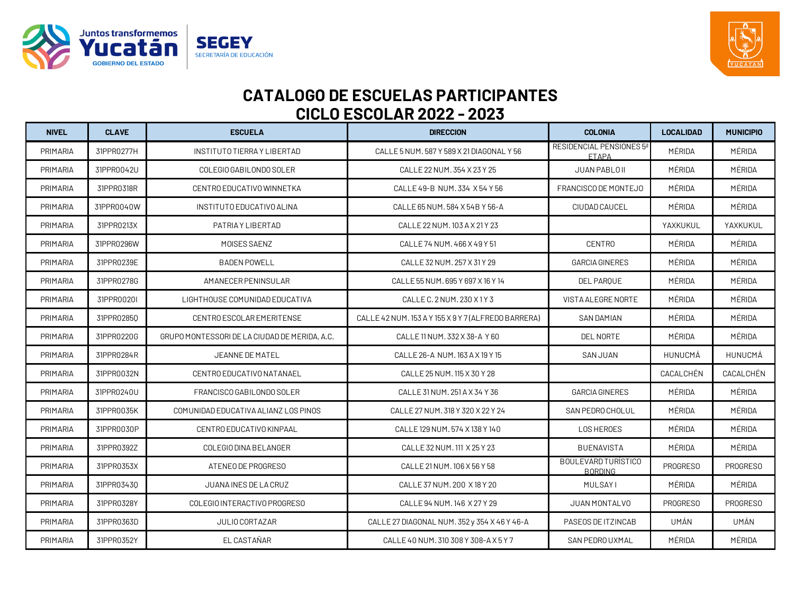



| <b>NIVEL</b> | <b>CLAVE</b> | <b>ESCUELA</b>                                | <b>DIRECCION</b>                                    | <b>COLONIA</b>                               | <b>LOCALIDAD</b> | <b>MUNICIPIO</b> |
|--------------|--------------|-----------------------------------------------|-----------------------------------------------------|----------------------------------------------|------------------|------------------|
| PRIMARIA     | 31PPR0277H   | INSTITUTO TIERRA Y LIBERTAD                   | CALLE 5 NUM. 587 Y 589 X 21 DIAGONAL Y 56           | RESIDENCIAL PENSIONES 5ª<br><b>ETAPA</b>     | MÉRIDA           | MÉRIDA           |
| PRIMARIA     | 31PPR0042U   | COLEGIO GABILONDO SOLER                       | CALLE 22 NUM. 354 X 23 Y 25                         | JUAN PABLO II                                | MÉRIDA           | MÉRIDA           |
| PRIMARIA     | 31PPR0318R   | CENTRO EDUCATIVO WINNETKA                     | CALLE 49-B NUM. 334 X 54 Y 56                       | FRANCISCO DE MONTEJO                         | MÉRIDA           | MÉRIDA           |
| PRIMARIA     | 31PPR0040W   | INSTITUTO EDUCATIVO ALINA                     | CALLE 65 NUM, 584 X 54B Y 56-A                      | CIUDAD CAUCEL                                | MÉRIDA           | MÉRIDA           |
| PRIMARIA     | 31PPR0213X   | PATRIA Y LIBERTAD                             | CALLE 22 NUM. 103 A X 21 Y 23                       |                                              | YAXKUKUL         | YAXKUKUL         |
| PRIMARIA     | 31PPR0296W   | MOISES SAENZ                                  | CALLE 74 NUM. 466 X 49 Y 51                         | <b>CENTRO</b>                                | MÉRIDA           | MÉRIDA           |
| PRIMARIA     | 31PPR0239E   | <b>BADEN POWELL</b>                           | CALLE 32 NUM. 257 X 31 Y 29                         | <b>GARCIA GINERES</b>                        | MÉRIDA           | MÉRIDA           |
| PRIMARIA     | 31PPR0278G   | AMANECER PENINSULAR                           | CALLE 55 NUM. 695 Y 697 X 16 Y 14                   | DEL PARQUE                                   | MÉRIDA           | MÉRIDA           |
| PRIMARIA     | 31PPR0020I   | LIGHTHOUSE COMUNIDAD EDUCATIVA                | CALLE C. 2 NUM. 230 X 1 Y 3                         | VISTA ALEGRE NORTE                           | MÉRIDA           | MÉRIDA           |
| PRIMARIA     | 31PPR02850   | CENTRO ESCOLAR EMERITENSE                     | CALLE 42 NUM. 153 A Y 155 X 9 Y 7 (ALFREDO BARRERA) | <b>SAN DAMIAN</b>                            | MÉRIDA           | MÉRIDA           |
| PRIMARIA     | 31PPR0220G   | GRUPO MONTESSORI DE LA CIUDAD DE MERIDA, A.C. | CALLE 11 NUM. 332 X 38-A Y 60                       | DEL NORTE                                    | MÉRIDA           | MÉRIDA           |
| PRIMARIA     | 31PPR0284R   | JEANNE DE MATEL                               | CALLE 26-A NUM. 163 A X 19 Y 15                     | <b>SAN JUAN</b>                              | HUNUCMÁ          | HUNUCMÁ          |
| PRIMARIA     | 31PPR0032N   | CENTRO EDUCATIVO NATANAEL                     | CALLE 25 NUM. 115 X 30 Y 28                         |                                              | CACALCHÉN        | CACALCHÉN        |
| PRIMARIA     | 31PPR0240U   | FRANCISCO GABILONDO SOLER                     | CALLE 31 NUM. 251 A X 34 Y 36                       | <b>GARCIA GINERES</b>                        | MÉRIDA           | MÉRIDA           |
| PRIMARIA     | 31PPR0035K   | COMUNIDAD EDUCATIVA ALIANZILOS PINOS          | CALLE 27 NUM. 318 Y 320 X 22 Y 24                   | SAN PEDRO CHOLUL                             | MÉRIDA           | MÉRIDA           |
| PRIMARIA     | 31PPR0030P   | CENTRO EDUCATIVO KINPAAL                      | CALLE 129 NUM, 574 X 138 Y 140                      | <b>LOS HEROES</b>                            | MÉRIDA           | MÉRIDA           |
| PRIMARIA     | 31PPR0392Z   | COLEGIO DINA BELANGER                         | CALLE 32 NUM. 111 X 25 Y 23                         | <b>BUENAVISTA</b>                            | MÉRIDA           | MÉRIDA           |
| PRIMARIA     | 31PPR0353X   | ATENEO DE PROGRESO                            | CALLE 21 NUM. 106 X 56 Y 58                         | <b>BOULEVARD TURÍSTICO</b><br><b>BORDING</b> | <b>PROGRESO</b>  | PROGRESO         |
| PRIMARIA     | 31PPR03430   | JUANA INES DE LA CRUZ                         | CALLE 37 NUM. 200 X 18 Y 20                         | <b>MULSAYI</b>                               | MÉRIDA           | MÉRIDA           |
| PRIMARIA     | 31PPR0328Y   | COLEGIO INTERACTIVO PROGRESO                  | CALLE 94 NUM, 146 X 27 Y 29                         | JUAN MONTALVO                                | PROGRESO         | PROGRESO         |
| PRIMARIA     | 31PPR0363D   | JULIO CORTAZAR                                | CALLE 27 DIAGONAL NUM. 352 y 354 X 46 Y 46-A        | PASEOS DE ITZINCAB                           | UMÁN             | UMÁN             |
| PRIMARIA     | 31PPR0352Y   | EL CASTAÑAR                                   | CALLE 40 NUM. 310 308 Y 308-A X 5 Y 7               | SAN PEDRO UXMAL                              | MÉRIDA           | MÉRIDA           |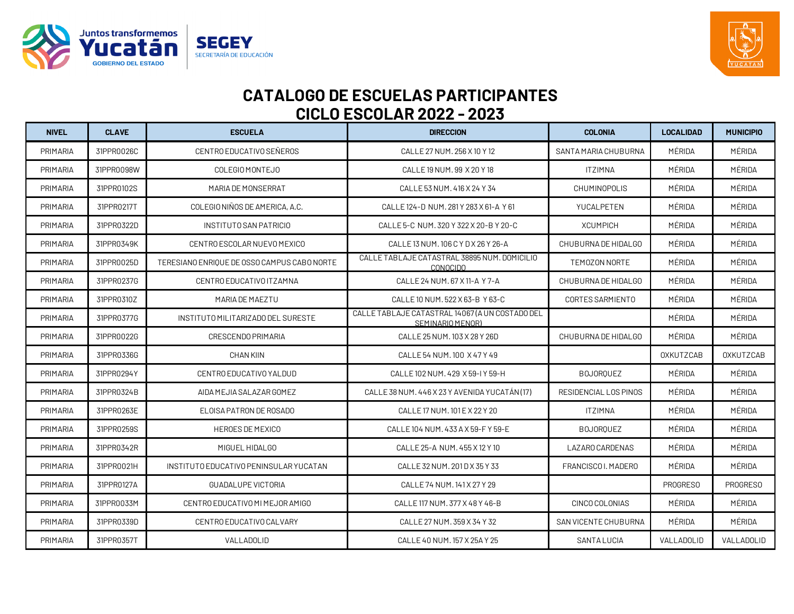



| <b>NIVEL</b>    | <b>CLAVE</b> | <b>ESCUELA</b>                              | <b>DIRECCION</b>                                                    | <b>COLONIA</b>              | <b>LOCALIDAD</b> | <b>MUNICIPIO</b> |
|-----------------|--------------|---------------------------------------------|---------------------------------------------------------------------|-----------------------------|------------------|------------------|
| PRIMARIA        | 31PPR0026C   | CENTRO EDUCATIVO SEÑEROS                    | CALLE 27 NUM, 256 X 10 Y 12                                         | SANTA MARIA CHUBURNA        | MÉRIDA           | MÉRIDA           |
| PRIMARIA        | 31PPR0098W   | COLEGIO MONTEJO                             | CALLE 19 NUM, 99 X 20 Y 18                                          | <b>ITZIMNA</b>              | MÉRIDA           | MÉRIDA           |
| PRIMARIA        | 31PPR0102S   | MARIA DE MONSERRAT                          | CALLE 53 NUM, 416 X 24 Y 34                                         | <b>CHUMINOPOLIS</b>         | MÉRIDA           | MÉRIDA           |
| PRIMARIA        | 31PPR0217T   | COLEGIO NIÑOS DE AMERICA, A.C.              | CALLE 124-D NUM. 281 Y 283 X 61-A Y 61                              | YUCALPETEN                  | MÉRIDA           | MÉRIDA           |
| <b>PRIMARIA</b> | 31PPR0322D   | INSTITUTO SAN PATRICIO                      | CALLE 5-C NUM. 320 Y 322 X 20-B Y 20-C                              | <b>XCUMPICH</b>             | MÉRIDA           | MÉRIDA           |
| PRIMARIA        | 31PPR0349K   | CENTRO ESCOLAR NUEVO MEXICO                 | CALLE 13 NUM, 106 C Y D X 26 Y 26-A                                 | CHUBURNA DE HIDALGO         | MÉRIDA           | MÉRIDA           |
| PRIMARIA        | 31PPR0025D   | TERESIANO ENRIQUE DE OSSO CAMPUS CABO NORTE | CALLE TABLAJE CATASTRAL 38895 NUM. DOMICILIO<br><b>CONOCIDO</b>     | TEMOZON NORTE               | MÉRIDA           | MÉRIDA           |
| PRIMARIA        | 31PPR0237G   | CENTRO EDUCATIVO ITZAMNA                    | CALLE 24 NUM. 67 X 11-A Y 7-A                                       | CHUBURNA DE HIDALGO         | MÉRIDA           | MÉRIDA           |
| PRIMARIA        | 31PPR0310Z   | MARIA DE MAEZTU                             | CALLE 10 NUM. 522 X 63-B Y 63-C                                     | CORTES SARMIENTO            | MÉRIDA           | MÉRIDA           |
| <b>PRIMARIA</b> | 31PPR0377G   | INSTITUTO MILITARIZADO DEL SURESTE          | CALLE TABLAJE CATASTRAL 14067 (A UN COSTADO DEL<br>SEMINARIO MENORI |                             | MÉRIDA           | MÉRIDA           |
| PRIMARIA        | 31PPR0022G   | CRESCENDO PRIMARIA                          | CALLE 25 NUM. 103 X 28 Y 26D                                        | CHUBURNA DE HIDALGO         | MÉRIDA           | MÉRIDA           |
| <b>PRIMARIA</b> | 31PPR0336G   | <b>CHAN KIIN</b>                            | CALLE 54 NUM. 100 X 47 Y 49                                         |                             | <b>OXKUTZCAB</b> | <b>OXKUTZCAB</b> |
| PRIMARIA        | 31PPR0294Y   | CENTRO EDUCATIVO YALDUD                     | CALLE 102 NUM, 429 X 59-I Y 59-H                                    | <b>BOJOROUEZ</b>            | MÉRIDA           | MÉRIDA           |
| <b>PRIMARIA</b> | 31PPR0324B   | AIDA MEJIA SALAZAR GOMEZ                    | CALLE 38 NUM, 446 X 23 Y AVENIDA YUCATAN (17)                       | RESIDENCIAL LOS PINOS       | MÉRIDA           | MÉRIDA           |
| PRIMARIA        | 31PPR0263E   | ELOISA PATRON DE ROSADO                     | CALLE 17 NUM, 101 E X 22 Y 20                                       | <b>ITZIMNA</b>              | MÉRIDA           | MÉRIDA           |
| <b>PRIMARIA</b> | 31PPR0259S   | <b>HEROES DE MEXICO</b>                     | CALLE 104 NUM. 433 A X 59-F Y 59-E                                  | <b>BOJORQUEZ</b>            | MÉRIDA           | MÉRIDA           |
| <b>PRIMARIA</b> | 31PPR0342R   | MIGUEL HIDALGO                              | CALLE 25-A NUM, 455 X 12 Y 10                                       | LAZARO CARDENAS             | MÉRIDA           | MÉRIDA           |
| PRIMARIA        | 31PPR0021H   | INSTITUTO EDUCATIVO PENINSULAR YUCATAN      | CALLE 32 NUM, 201 D X 35 Y 33                                       | FRANCISCO I. MADERO         | MÉRIDA           | MÉRIDA           |
| PRIMARIA        | 31PPR0127A   | <b>GUADALUPE VICTORIA</b>                   | CALLE 74 NUM. 141 X 27 Y 29                                         |                             | <b>PROGRESO</b>  | PROGRESO         |
| PRIMARIA        | 31PPR0033M   | CENTRO EDUCATIVO MI MEJOR AMIGO             | CALLE 117 NUM, 377 X 48 Y 46-B                                      | CINCO COLONIAS              | MÉRIDA           | MÉRIDA           |
| PRIMARIA        | 31PPR0339D   | CENTRO EDUCATIVO CALVARY                    | CALLE 27 NUM. 359 X 34 Y 32                                         | <b>SAN VICENTE CHUBURNA</b> | MÉRIDA           | MÉRIDA           |
| PRIMARIA        | 31PPR0357T   | VALLADOLID                                  | CALLE 40 NUM. 157 X 25A Y 25                                        | <b>SANTA LUCIA</b>          | VALLADOLID       | VALLADOLID       |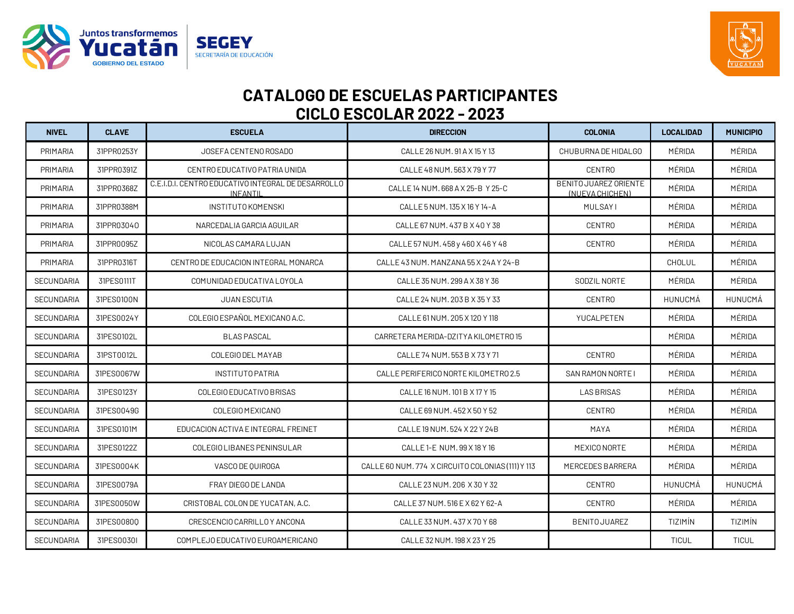



| <b>NIVEL</b>      | <b>CLAVE</b> | <b>ESCUELA</b>                                                        | <b>DIRECCION</b>                                  | <b>COLONIA</b>                           | <b>LOCALIDAD</b> | <b>MUNICIPIO</b> |
|-------------------|--------------|-----------------------------------------------------------------------|---------------------------------------------------|------------------------------------------|------------------|------------------|
| PRIMARIA          | 31PPR0253Y   | JOSEFA CENTENO ROSADO                                                 | CALLE 26 NUM, 91 A X 15 Y 13                      | CHUBURNA DE HIDALGO                      | MÉRIDA           | MÉRIDA           |
| PRIMARIA          | 31PPR0391Z   | CENTRO EDUCATIVO PATRIA UNIDA                                         | CALLE 48 NUM, 563 X 79 Y 77                       | <b>CENTRO</b>                            | MÉRIDA           | MÉRIDA           |
| PRIMARIA          | 31PPR0368Z   | C.E.I.D.I. CENTRO EDUCATIVO INTEGRAL DE DESARROLLO<br><b>INFANTIL</b> | CALLE 14 NUM. 668 A X 25-B Y 25-C                 | BENITO JUAREZ ORIENTE<br>(NUEVA CHICHEN) | MÉRIDA           | MÉRIDA           |
| PRIMARIA          | 31PPR0388M   | <b>INSTITUTO KOMENSKI</b>                                             | CALLE 5 NUM. 135 X 16 Y 14-A                      | <b>MULSAYI</b>                           | MÉRIDA           | MÉRIDA           |
| PRIMARIA          | 31PPR03040   | NARCEDALIA GARCIA AGUILAR                                             | CALLE 67 NUM, 437 B X 40 Y 38                     | <b>CENTRO</b>                            | MÉRIDA           | MÉRIDA           |
| PRIMARIA          | 31PPR0095Z   | NICOLAS CAMARA LUJAN                                                  | CALLE 57 NUM. 458 y 460 X 46 Y 48                 | <b>CENTRO</b>                            | MÉRIDA           | MÉRIDA           |
| PRIMARIA          | 31PPR0316T   | CENTRO DE EDUCACION INTEGRAL MONARCA                                  | CALLE 43 NUM, MANZANA 55 X 24A Y 24-B             |                                          | CHOLUL           | MÉRIDA           |
| <b>SECUNDARIA</b> | 31PES0111T   | COMUNIDAD EDUCATIVA LOYOLA                                            | CALLE 35 NUM. 299 A X 38 Y 36                     | SODZIL NORTE                             | MÉRIDA           | MÉRIDA           |
| <b>SECUNDARIA</b> | 31PES0100N   | JUAN ESCUTIA                                                          | CALLE 24 NUM. 203 B X 35 Y 33                     | <b>CENTRO</b>                            | HUNUCMÁ          | HUNUCMÁ          |
| <b>SECUNDARIA</b> | 31PES0024Y   | COLEGIO ESPAÑOL MEXICANO A.C.                                         | CALLE 61 NUM. 205 X 120 Y 118                     | YUCALPETEN                               | MÉRIDA           | MÉRIDA           |
| SECUNDARIA        | 31PES0102L   | <b>BLAS PASCAL</b>                                                    | CARRETERA MERIDA-DZITYA KILOMETRO 15              |                                          | MÉRIDA           | MÉRIDA           |
| <b>SECUNDARIA</b> | 31PST0012L   | COLEGIO DEL MAYAB                                                     | CALLE 74 NUM, 553 B X 73 Y 71                     | <b>CENTRO</b>                            | MÉRIDA           | MÉRIDA           |
| <b>SECUNDARIA</b> | 31PES0067W   | <b>INSTITUTO PATRIA</b>                                               | CALLE PERIFERICO NORTE KILOMETRO 2.5              | SAN RAMON NORTE I                        | MÉRIDA           | MÉRIDA           |
| <b>SECUNDARIA</b> | 31PES0123Y   | COLEGIO EDUCATIVO BRISAS                                              | CALLE 16 NUM, 101 B X 17 Y 15                     | <b>LAS BRISAS</b>                        | MÉRIDA           | MÉRIDA           |
| <b>SECUNDARIA</b> | 31PES0049G   | COLEGIO MEXICANO                                                      | CALLE 69 NUM, 452 X 50 Y 52                       | <b>CENTRO</b>                            | MÉRIDA           | MÉRIDA           |
| <b>SECUNDARIA</b> | 31PES0101M   | EDUCACION ACTIVA E INTEGRAL FREINET                                   | CALLE 19 NUM, 524 X 22 Y 24 B                     | MAYA                                     | MÉRIDA           | MÉRIDA           |
| <b>SECUNDARIA</b> | 31PES0122Z   | COLEGIO LIBANES PENINSULAR                                            | CALLE 1-E NUM, 99 X 18 Y 16                       | MEXICO NORTE                             | MÉRIDA           | MÉRIDA           |
| SECUNDARIA        | 31PES0004K   | VASCO DE QUIROGA                                                      | CALLE 60 NUM. 774 X CIRCUITO COLONIAS (111) Y 113 | MERCEDES BARRERA                         | MÉRIDA           | MÉRIDA           |
| SECUNDARIA        | 31PES0079A   | FRAY DIEGO DE LANDA                                                   | CALLE 23 NUM. 206 X 30 Y 32                       | <b>CENTRO</b>                            | HUNUCMÁ          | HUNUCMÁ          |
| <b>SECUNDARIA</b> | 31PES0050W   | CRISTOBAL COLON DE YUCATAN, A.C.                                      | CALLE 37 NUM, 516 E X 62 Y 62-A                   | <b>CENTRO</b>                            | MÉRIDA           | MÉRIDA           |
| SECUNDARIA        | 31PES0080Q   | CRESCENCIO CARRILLO Y ANCONA                                          | CALLE 33 NUM. 437 X 70 Y 68                       | BENITO JUAREZ                            | TIZIMÍN          | <b>TIZIMÍN</b>   |
| SECUNDARIA        | 31PES0030I   | COMPLEJO EDUCATIVO EUROAMERICANO                                      | CALLE 32 NUM. 198 X 23 Y 25                       |                                          | <b>TICUL</b>     | <b>TICUL</b>     |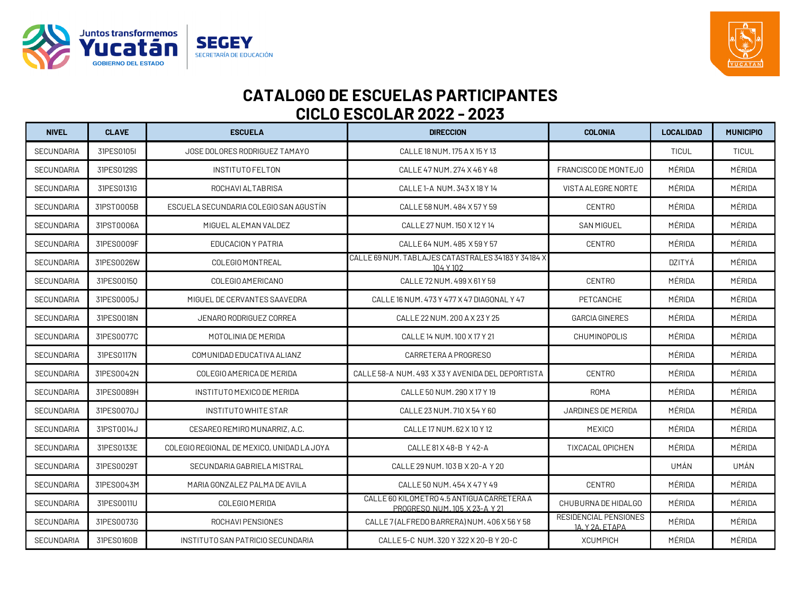



| <b>NIVEL</b>      | <b>CLAVE</b> | <b>ESCUELA</b>                             | <b>DIRECCION</b>                                                            | <b>COLONIA</b>                           | <b>LOCALIDAD</b> | <b>MUNICIPIO</b> |
|-------------------|--------------|--------------------------------------------|-----------------------------------------------------------------------------|------------------------------------------|------------------|------------------|
| SECUNDARIA        | 31PES0105I   | JOSE DOLORES RODRIGUEZ TAMAYO              | CALLE 18 NUM. 175 A X 15 Y 13                                               |                                          | <b>TICUL</b>     | <b>TICUL</b>     |
| <b>SECUNDARIA</b> | 31PES0129S   | <b>INSTITUTOFELTON</b>                     | CALLE 47 NUM. 274 X 46 Y 48                                                 | FRANCISCO DE MONTEJO                     | MÉRIDA           | MÉRIDA           |
| <b>SECUNDARIA</b> | 31PES0131G   | ROCHAVI ALTABRISA                          | CALLE 1-A NUM. 343 X 18 Y 14                                                | VISTA ALEGRE NORTE                       | MÉRIDA           | MÉRIDA           |
| <b>SECUNDARIA</b> | 31PST0005B   | ESCUELA SECUNDARIA COLEGIO SAN AGUSTIN     | CALLE 58 NUM, 484 X 57 Y 59                                                 | <b>CENTRO</b>                            | MÉRIDA           | MÉRIDA           |
| <b>SECUNDARIA</b> | 31PST0006A   | MIGUEL ALEMAN VALDEZ                       | CALLE 27 NUM. 150 X 12 Y 14                                                 | <b>SAN MIGUEL</b>                        | MÉRIDA           | MÉRIDA           |
| <b>SECUNDARIA</b> | 31PES0009F   | EDUCACION Y PATRIA                         | CALLE 64 NUM, 485 X 59 Y 57                                                 | <b>CENTRO</b>                            | MÉRIDA           | MÉRIDA           |
| <b>SECUNDARIA</b> | 31PES0026W   | COLEGIO MONTREAL                           | CALLE 69 NUM. TABLAJES CATASTRALES 34183 Y 34184 X<br>104 Y 102             |                                          | DZITYÁ           | MÉRIDA           |
| <b>SECUNDARIA</b> | 31PES00150   | COLEGIO AMERICANO                          | CALLE 72 NUM. 499 X 61 Y 59                                                 | <b>CENTRO</b>                            | MÉRIDA           | MÉRIDA           |
| <b>SECUNDARIA</b> | 31PES0005J   | MIGUEL DE CERVANTES SAAVEDRA               | CALLE 16 NUM, 473 Y 477 X 47 DIAGONAL Y 47                                  | PETCANCHE                                | MÉRIDA           | MÉRIDA           |
| <b>SECUNDARIA</b> | 31PES0018N   | JENARO RODRIGUEZ CORREA                    | CALLE 22 NUM. 200 A X 23 Y 25                                               | <b>GARCIA GINERES</b>                    | MÉRIDA           | MÉRIDA           |
| SECUNDARIA        | 31PES0077C   | MOTOLINIA DE MERIDA                        | CALLE 14 NUM, 100 X 17 Y 21                                                 | <b>CHUMINOPOLIS</b>                      | MÉRIDA           | MÉRIDA           |
| SECUNDARIA        | 31PES0117N   | COMUNIDAD EDUCATIVA ALIANZ                 | CARRETERA A PROGRESO                                                        |                                          | MÉRIDA           | MÉRIDA           |
| <b>SECUNDARIA</b> | 31PES0042N   | COLEGIO AMERICA DE MERIDA                  | CALLE 58-A NUM, 493 X 33 Y AVENIDA DEL DEPORTISTA                           | <b>CENTRO</b>                            | MÉRIDA           | MÉRIDA           |
| <b>SECUNDARIA</b> | 31PES0089H   | INSTITUTO MEXICO DE MERIDA                 | CALLE 50 NUM, 290 X 17 Y 19                                                 | ROMA                                     | MÉRIDA           | MÉRIDA           |
| <b>SECUNDARIA</b> | 31PES0070J   | INSTITUTO WHITE STAR                       | CALLE 23 NUM, 710 X 54 Y 60                                                 | JARDINES DE MERIDA                       | MÉRIDA           | MÉRIDA           |
| <b>SECUNDARIA</b> | 31PST0014J   | CESAREO REMIRO MUNARRIZ, A.C.              | CALLE 17 NUM, 62 X 10 Y 12                                                  | <b>MEXICO</b>                            | MÉRIDA           | MÉRIDA           |
| SECUNDARIA        | 31PES0133E   | COLEGIO REGIONAL DE MEXICO, UNIDAD LA JOYA | CALLE 81 X 48-B Y 42-A                                                      | TIXCACAL OPICHEN                         | MÉRIDA           | MÉRIDA           |
| <b>SECUNDARIA</b> | 31PES0029T   | SECUNDARIA GABRIELA MISTRAL                | CALLE 29 NUM. 103 B X 20-A Y 20                                             |                                          | UMÁN             | UMÁN             |
| <b>SECUNDARIA</b> | 31PES0043M   | MARIA GONZALEZ PALMA DE AVILA              | CALLE 50 NUM, 454 X 47 Y 49                                                 | <b>CENTRO</b>                            | MÉRIDA           | MÉRIDA           |
| <b>SECUNDARIA</b> | 31PES0011U   | COLEGIO MERIDA                             | CALLE 60 KILOMETRO 4.5 ANTIGUA CARRETERA A<br>PROGRESO NUM. 105 X 23-A Y 21 | CHUBURNA DE HIDALGO                      | MÉRIDA           | MÉRIDA           |
| <b>SECUNDARIA</b> | 31PES0073G   | ROCHAVI PENSIONES                          | CALLE 7 (ALFREDO BARRERA) NUM. 406 X 56 Y 58                                | RESIDENCIAL PENSIONES<br>1A. Y 2A. ETAPA | MÉRIDA           | MÉRIDA           |
| <b>SECUNDARIA</b> | 31PES0160B   | INSTITUTO SAN PATRICIO SECUNDARIA          | CALLE 5-C NUM. 320 Y 322 X 20-B Y 20-C                                      | <b>XCUMPICH</b>                          | MÉRIDA           | MÉRIDA           |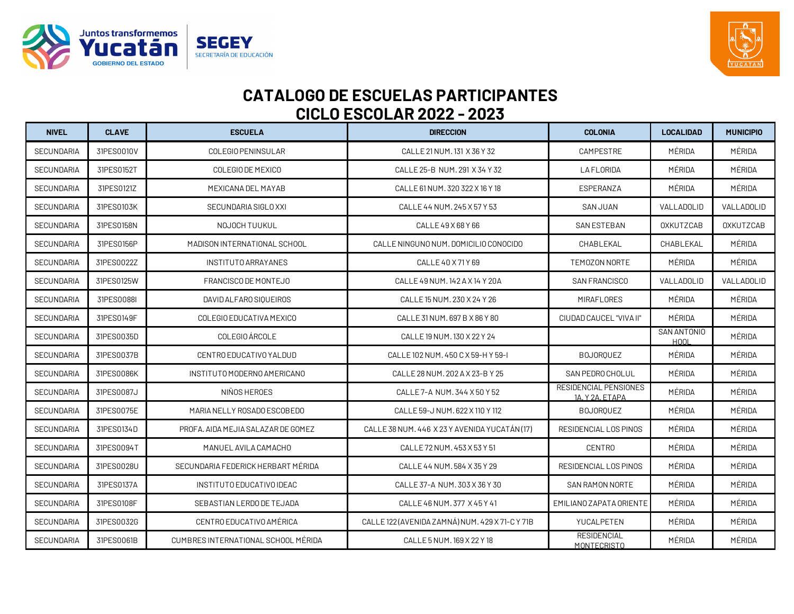



| <b>NIVEL</b>      | <b>CLAVE</b> | <b>ESCUELA</b>                      | <b>DIRECCION</b>                                | <b>COLONIA</b>                                  | <b>LOCALIDAD</b>           | <b>MUNICIPIO</b> |
|-------------------|--------------|-------------------------------------|-------------------------------------------------|-------------------------------------------------|----------------------------|------------------|
| <b>SECUNDARIA</b> | 31PES0010V   | COLEGIO PENINSULAR                  | CALLE 21 NUM. 131 X 36 Y 32                     | CAMPESTRE                                       | MÉRIDA                     | MÉRIDA           |
| <b>SECUNDARIA</b> | 31PES0152T   | COLEGIO DE MEXICO                   | CALLE 25-B NUM. 291 X 34 Y 32                   | <b>LAFLORIDA</b>                                | MÉRIDA                     | MÉRIDA           |
| SECUNDARIA        | 31PES0121Z   | MEXICANA DEL MAYAB                  | CALLE 61 NUM. 320 322 X 16 Y 18                 | ESPERANZA                                       | MÉRIDA                     | MÉRIDA           |
| <b>SECUNDARIA</b> | 31PES0103K   | SECUNDARIA SIGLO XXI                | CALLE 44 NUM. 245 X 57 Y 53                     | <b>SAN JUAN</b>                                 | VALLADOLID                 | VALLADOLID       |
| <b>SECUNDARIA</b> | 31PES0158N   | NOJOCH TUUKUL                       | CALLE 49 X 68 Y 66                              | <b>SAN ESTEBAN</b>                              | <b>OXKUTZCAB</b>           | <b>OXKUTZCAB</b> |
| <b>SECUNDARIA</b> | 31PES0156P   | MADISON INTERNATIONAL SCHOOL        | CALLE NINGUNO NUM. DOMICILIO CONOCIDO           | CHABLEKAL                                       | CHABLEKAL                  | MÉRIDA           |
| <b>SECUNDARIA</b> | 31PES0022Z   | INSTITUTO ARRAYANES                 | CALLE 40 X 71 Y 69                              | TEMOZON NORTE                                   | MÉRIDA                     | MÉRIDA           |
| <b>SECUNDARIA</b> | 31PES0125W   | FRANCISCO DE MONTEJO                | CALLE 49 NUM. 142 A X 14 Y 20A                  | SAN FRANCISCO                                   | VALLADOLID                 | VALLADOLID       |
| SECUNDARIA        | 31PES0088I   | DAVID ALFARO SIQUEIROS              | CALLE 15 NUM. 230 X 24 Y 26                     | MIRAFLORES                                      | MÉRIDA                     | MÉRIDA           |
| SECUNDARIA        | 31PES0149F   | COLEGIO EDUCATIVA MEXICO            | CALLE 31 NUM. 697 B X 86 Y 80                   | CIUDAD CAUCEL "VIVA II"                         | MÉRIDA                     | MÉRIDA           |
| <b>SECUNDARIA</b> | 31PES0035D   | COLEGIO ÁRCOLE                      | CALLE 19 NUM. 130 X 22 Y 24                     |                                                 | SAN ANTONIO<br><b>HOOL</b> | MÉRIDA           |
| <b>SECUNDARIA</b> | 31PES0037B   | CENTRO EDUCATIVO YALDUD             | CALLE 102 NUM, 450 C X 59-H Y 59-I              | <b>BOJORQUEZ</b>                                | MÉRIDA                     | MÉRIDA           |
| <b>SECUNDARIA</b> | 31PES0086K   | INSTITUTO MODERNO AMERICANO         | CALLE 28 NUM. 202 A X 23-B Y 25                 | SAN PEDRO CHOLUL                                | MÉRIDA                     | MÉRIDA           |
| <b>SECUNDARIA</b> | 31PES0087J   | NIÑOS HEROES                        | CALLE 7-A NUM. 344 X 50 Y 52                    | <b>RESIDENCIAL PENSIONES</b><br>1A. Y 2A. ETAPA | MÉRIDA                     | MÉRIDA           |
| <b>SECUNDARIA</b> | 31PES0075E   | MARIA NELLY ROSADO ESCOBEDO         | CALLE 59-J NUM. 622 X 110 Y 112                 | <b>BOJOROUEZ</b>                                | MÉRIDA                     | MÉRIDA           |
| SECUNDARIA        | 31PES0134D   | PROFA. AIDA MEJIA SALAZAR DE GOMEZ  | CALLE 38 NUM. 446 X 23 Y AVENIDA YUCATÁN (17)   | RESIDENCIAL LOS PINOS                           | MÉRIDA                     | MÉRIDA           |
| <b>SECUNDARIA</b> | 31PES0094T   | MANUEL AVILA CAMACHO                | CALLE 72 NUM, 453 X 53 Y 51                     | <b>CENTRO</b>                                   | MÉRIDA                     | MÉRIDA           |
| <b>SECUNDARIA</b> | 31PES0028U   | SECUNDARIA FEDERICK HERBART MÉRIDA  | CALLE 44 NUM. 584 X 35 Y 29                     | RESIDENCIAL LOS PINOS                           | MÉRIDA                     | MÉRIDA           |
| <b>SECUNDARIA</b> | 31PES0137A   | INSTITUTO EDUCATIVO IDEAC           | CALLE 37-A NUM. 303 X 36 Y 30                   | SAN RAMON NORTE                                 | MÉRIDA                     | MÉRIDA           |
| <b>SECUNDARIA</b> | 31PES0108F   | SEBASTIAN LERDO DE TEJADA           | CALLE 46 NUM, 377 X 45 Y 41                     | EMILIANO ZAPATA ORIENTE                         | MÉRIDA                     | MÉRIDA           |
| <b>SECUNDARIA</b> | 31PES0032G   | CENTRO EDUCATIVO AMÉRICA            | CALLE 122 (AVENIDA ZAMNÁ) NUM. 429 X 71-C Y 71B | YUCALPETEN                                      | MÉRIDA                     | MÉRIDA           |
| <b>SECUNDARIA</b> | 31PES0061B   | CUMBRES INTERNATIONAL SCHOOL MÉRIDA | CALLE 5 NUM. 169 X 22 Y 18                      | <b>RESIDENCIAL</b><br>MONTECRISTO               | MÉRIDA                     | MÉRIDA           |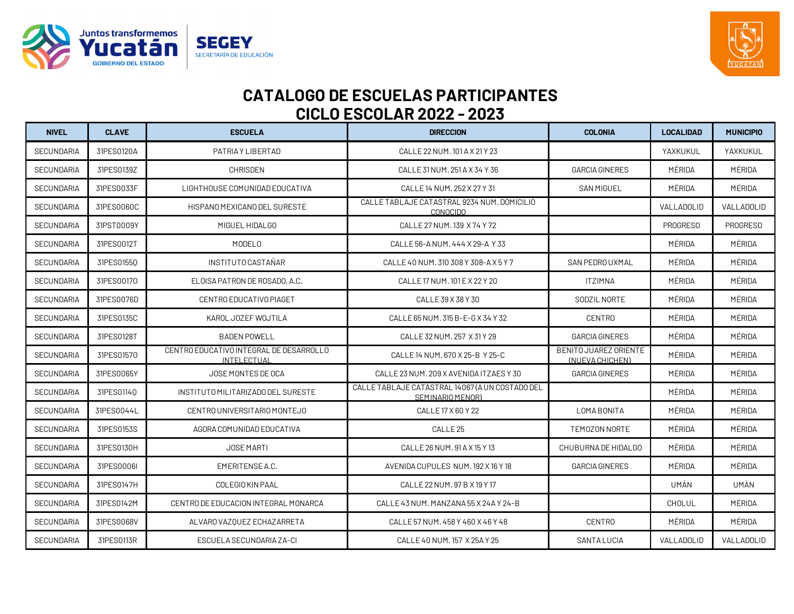



| <b>NIVEL</b>      | <b>CLAVE</b> | <b>ESCUELA</b>                                         | <b>DIRECCION</b>                                                    | <b>COLONIA</b>                           | <b>LOCALIDAD</b> | <b>MUNICIPIO</b> |
|-------------------|--------------|--------------------------------------------------------|---------------------------------------------------------------------|------------------------------------------|------------------|------------------|
| <b>SECUNDARIA</b> | 31PES0120A   | PATRIA Y LIBERTAD                                      | CALLE 22 NUM. 101 A X 21 Y 23                                       |                                          | YAXKUKUL         | YAXKUKUL         |
| <b>SECUNDARIA</b> | 31PES0139Z   | <b>CHRISDEN</b>                                        | CALLE 31 NUM. 251 A X 34 Y 36                                       | <b>GARCIA GINERES</b>                    | MÉRIDA           | MÉRIDA           |
| <b>SECUNDARIA</b> | 31PES0033F   | LIGHTHOUSE COMUNIDAD EDUCATIVA                         | CALLE 14 NUM, 252 X 27 Y 31                                         | <b>SAN MIGUEL</b>                        | MÉRIDA           | MÉRIDA           |
| <b>SECUNDARIA</b> | 31PES0060C   | HISPANO MEXICANO DEL SURESTE                           | CALLE TABLAJE CATASTRAL 9234 NUM. DOMICILIO<br><b>CONOCIDO</b>      |                                          | VALLADOLID       | VALLADOLID       |
| <b>SECUNDARIA</b> | 31PST0009Y   | MIGUEL HIDALGO                                         | CALLE 27 NUM. 139 X 74 Y 72                                         |                                          | <b>PROGRESO</b>  | <b>PROGRESO</b>  |
| <b>SECUNDARIA</b> | 31PES0012T   | MODEL <sub>0</sub>                                     | CALLE 56-A NUM, 444 X 29-A Y 33                                     |                                          | MÉRIDA           | MÉRIDA           |
| <b>SECUNDARIA</b> | 31PES01550   | <b>INSTITUTO CASTAÑAR</b>                              | CALLE 40 NUM, 310 308 Y 308-A X 5 Y 7                               | SAN PEDRO UXMAL                          | MÉRIDA           | MÉRIDA           |
| <b>SECUNDARIA</b> | 31PES00170   | ELOISA PATRON DE ROSADO, A.C.                          | CALLE 17 NUM. 101 E X 22 Y 20                                       | <b>ITZIMNA</b>                           | MÉRIDA           | MÉRIDA           |
| <b>SECUNDARIA</b> | 31PES0076D   | CENTRO EDUCATIVO PIAGET                                | CALLE 39 X 38 Y 30                                                  | SODZIL NORTE                             | MÉRIDA           | MÉRIDA           |
| <b>SECUNDARIA</b> | 31PES0135C   | KAROL JOZEF WOJTILA                                    | CALLE 65 NUM, 315 B-E-G X 34 Y 32                                   | <b>CENTRO</b>                            | MÉRIDA           | MÉRIDA           |
| <b>SECUNDARIA</b> | 31PES0128T   | <b>BADEN POWELL</b>                                    | CALLE 32 NUM. 257 X 31 Y 29                                         | <b>GARCIA GINERES</b>                    | MÉRIDA           | MÉRIDA           |
| <b>SECUNDARIA</b> | 31PES01570   | CENTRO EDUCATIVO INTEGRAL DE DESARROLLO<br>INTELECTUAL | CALLE 14 NUM. 670 X 25-B Y 25-C                                     | BENITO JUAREZ ORIENTE<br>(NUEVA CHICHEN) | MÉRIDA           | MÉRIDA           |
| <b>SECUNDARIA</b> | 31PES0065Y   | JOSE MONTES DE OCA                                     | CALLE 23 NUM. 209 X AVENIDA ITZAES Y 30                             | <b>GARCIA GINERES</b>                    | MÉRIDA           | MÉRIDA           |
| <b>SECUNDARIA</b> | 31PES01140   | INSTITUTO MILITARIZADO DEL SURESTE                     | CALLE TABLAJE CATASTRAL 14067 (A UN COSTADO DEL<br>SEMINARIO MENOR) |                                          | MÉRIDA           | MÉRIDA           |
| <b>SECUNDARIA</b> | 31PES0044L   | CENTRO UNIVERSITARIO MONTEJO                           | CALLE 17 X 60 Y 22                                                  | LOMA BONITA                              | MÉRIDA           | MÉRIDA           |
| <b>SECUNDARIA</b> | 31PES0153S   | AGORA COMUNIDAD EDUCATIVA                              | CALLE <sub>25</sub>                                                 | TEMOZON NORTE                            | MÉRIDA           | MÉRIDA           |
| <b>SECUNDARIA</b> | 31PES0130H   | <b>JOSE MARTI</b>                                      | CALLE 26 NUM, 91 A X 15 Y 13                                        | CHUBURNA DE HIDALGO                      | MÉRIDA           | MÉRIDA           |
| <b>SECUNDARIA</b> | 31PES0006I   | EMERITENSE A.C.                                        | AVENIDA CUPULES NUM. 192 X 16 Y 18                                  | <b>GARCIA GINERES</b>                    | MÉRIDA           | MÉRIDA           |
| SECUNDARIA        | 31PES0147H   | COLEGIO KIN PAAL                                       | CALLE 22 NUM. 97 B X 19 Y 17                                        |                                          | UMÁN             | UMÁN             |
| <b>SECUNDARIA</b> | 31PES0142M   | CENTRO DE EDUCACION INTEGRAL MONARCA                   | CALLE 43 NUM. MANZANA 55 X 24A Y 24-B                               |                                          | CHOLUL           | MÉRIDA           |
| SECUNDARIA        | 31PES0068V   | ALVARO VAZQUEZ ECHAZARRETA                             | CALLE 57 NUM, 458 Y 460 X 46 Y 48                                   | <b>CENTRO</b>                            | MÉRIDA           | MÉRIDA           |
| SECUNDARIA        | 31PES0113R   | ESCUELA SECUNDARIA ZA-CI                               | CALLE 40 NUM. 157 X 25A Y 25                                        | <b>SANTA LUCIA</b>                       | VALLADOLID       | VALLADOLID       |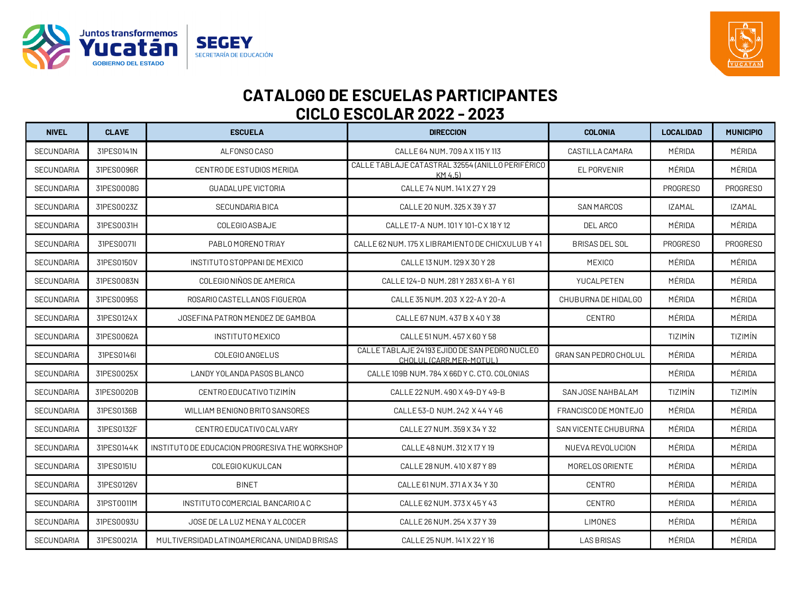



| <b>NIVEL</b>      | <b>CLAVE</b> | <b>ESCUELA</b>                                 | <b>DIRECCION</b>                                                         | <b>COLONIA</b>               | <b>LOCALIDAD</b> | <b>MUNICIPIO</b> |
|-------------------|--------------|------------------------------------------------|--------------------------------------------------------------------------|------------------------------|------------------|------------------|
| <b>SECUNDARIA</b> | 31PES0141N   | ALFONSO CASO                                   | CALLE 64 NUM, 709 A X 115 Y 113                                          | CASTILLA CAMARA              | MÉRIDA           | MÉRIDA           |
| <b>SECUNDARIA</b> | 31PES0096R   | CENTRO DE ESTUDIOS MERIDA                      | CALLE TABLAJE CATASTRAL 32554 (ANILLO PERIFÉRICO<br>KM 4.5)              | <b>EL PORVENIR</b>           | MÉRIDA           | MÉRIDA           |
| <b>SECUNDARIA</b> | 31PES0008G   | <b>GUADALUPE VICTORIA</b>                      | CALLE 74 NUM. 141 X 27 Y 29                                              |                              | PROGRESO         | PROGRESO         |
| <b>SECUNDARIA</b> | 31PES0023Z   | <b>SECUNDARIA BICA</b>                         | CALLE 20 NUM, 325 X 39 Y 37                                              | <b>SAN MARCOS</b>            | <b>IZAMAL</b>    | <b>IZAMAL</b>    |
| <b>SECUNDARIA</b> | 31PES0031H   | COLEGIO ASBAJE                                 | CALLE 17-A NUM. 101 Y 101-C X 18 Y 12                                    | DEL ARCO                     | MÉRIDA           | MÉRIDA           |
| <b>SECUNDARIA</b> | 31PES0071I   | PABLOMORENO TRIAY                              | CALLE 62 NUM. 175 X LIBRAMIENTO DE CHICXULUB Y 41                        | <b>BRISAS DEL SOL</b>        | <b>PROGRESO</b>  | <b>PROGRESO</b>  |
| <b>SECUNDARIA</b> | 31PES0150V   | INSTITUTO STOPPANI DE MEXICO                   | CALLE 13 NUM. 129 X 30 Y 28                                              | <b>MEXICO</b>                | MÉRIDA           | MÉRIDA           |
| SECUNDARIA        | 31PES0083N   | COLEGIO NIÑOS DE AMERICA                       | CALLE 124-D NUM. 281 Y 283 X 61-A Y 61                                   | YUCALPETEN                   | MÉRIDA           | MÉRIDA           |
| <b>SECUNDARIA</b> | 31PES0095S   | ROSARIO CASTELLANOS FIGUEROA                   | CALLE 35 NUM. 203 X 22-A Y 20-A                                          | CHUBURNA DE HIDALGO          | MÉRIDA           | MÉRIDA           |
| SECUNDARIA        | 31PES0124X   | JOSEFINA PATRON MENDEZ DE GAMBOA               | CALLE 67 NUM, 437 B X 40 Y 38                                            | <b>CENTRO</b>                | MÉRIDA           | MÉRIDA           |
| SECUNDARIA        | 31PES0062A   | <b>INSTITUTO MEXICO</b>                        | CALLE 51 NUM. 457 X 60 Y 58                                              |                              | TIZIMÍN          | TIZIMÍN          |
| <b>SECUNDARIA</b> | 31PES0146I   | COLEGIO ANGELUS                                | CALLE TABLAJE 24193 EJIDO DE SAN PEDRO NUCLEO<br>CHOLUL (CARR.MER-MOTUL) | <b>GRAN SAN PEDRO CHOLUL</b> | MÉRIDA           | MÉRIDA           |
| <b>SECUNDARIA</b> | 31PES0025X   | LANDY YOLANDA PASOS BLANCO                     | CALLE 109B NUM. 784 X 66D Y C. CTO. COLONIAS                             |                              | MÉRIDA           | MÉRIDA           |
| <b>SECUNDARIA</b> | 31PES0020B   | CENTRO EDUCATIVO TIZIMÍN                       | CALLE 22 NUM. 490 X 49-D Y 49-B                                          | SAN JOSE NAHBALAM            | TIZIMÍN          | TIZIMÍN          |
| <b>SECUNDARIA</b> | 31PES0136B   | WILLIAM BENIGNO BRITO SANSORES                 | CALLE 53-D NUM. 242 X 44 Y 46                                            | FRANCISCO DE MONTEJO         | MÉRIDA           | MÉRIDA           |
| <b>SECUNDARIA</b> | 31PES0132F   | CENTRO EDUCATIVO CALVARY                       | CALLE 27 NUM. 359 X 34 Y 32                                              | <b>SAN VICENTE CHUBURNA</b>  | MÉRIDA           | MÉRIDA           |
| SECUNDARIA        | 31PES0144K   | INSTITUTO DE EDUCACION PROGRESIVA THE WORKSHOP | CALLE 48 NUM. 312 X 17 Y 19                                              | NUEVA REVOLUCION             | MÉRIDA           | MÉRIDA           |
| <b>SECUNDARIA</b> | 31PES0151U   | COLEGIO KUKULCAN                               | CALLE 28 NUM, 410 X 87 Y 89                                              | MORELOS ORIENTE              | MÉRIDA           | MÉRIDA           |
| <b>SECUNDARIA</b> | 31PES0126V   | <b>BINET</b>                                   | CALLE 61 NUM. 371 A X 34 Y 30                                            | <b>CENTRO</b>                | MÉRIDA           | MÉRIDA           |
| <b>SECUNDARIA</b> | 31PST0011M   | INSTITUTO COMERCIAL BANCARIO A C               | CALLE 62 NUM. 373 X 45 Y 43                                              | <b>CENTRO</b>                | MÉRIDA           | MÉRIDA           |
| SECUNDARIA        | 31PES0093U   | JOSE DE LA LUZ MENA Y ALCOCER                  | CALLE 26 NUM. 254 X 37 Y 39                                              | <b>LIMONES</b>               | MÉRIDA           | MÉRIDA           |
| SECUNDARIA        | 31PES0021A   | MULTIVERSIDAD LATINOAMERICANA, UNIDAD BRISAS   | CALLE 25 NUM. 141 X 22 Y 16                                              | <b>LAS BRISAS</b>            | MÉRIDA           | MÉRIDA           |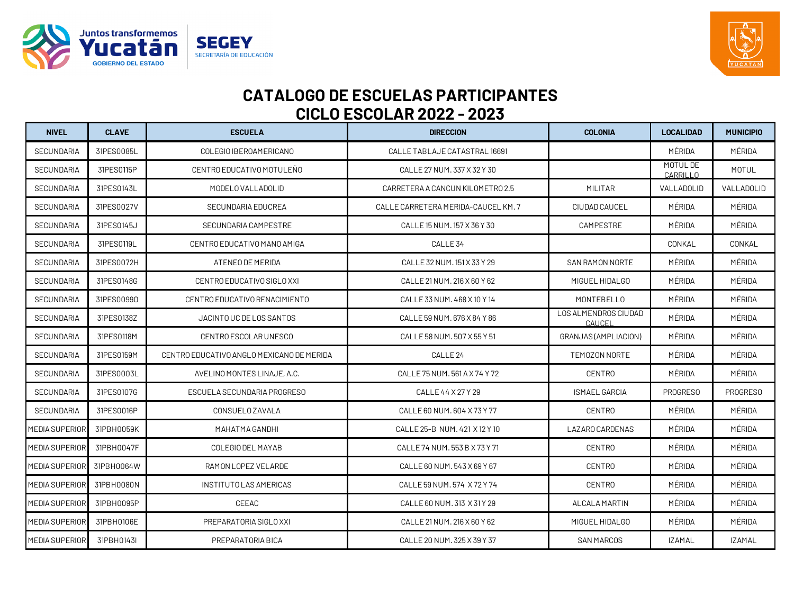



| <b>NIVEL</b>          | <b>CLAVE</b> | <b>ESCUELA</b>                            | <b>DIRECCION</b>                    | <b>COLONIA</b>                        | <b>LOCALIDAD</b>     | <b>MUNICIPIO</b> |
|-----------------------|--------------|-------------------------------------------|-------------------------------------|---------------------------------------|----------------------|------------------|
| <b>SECUNDARIA</b>     | 31PES0085L   | COLEGIO IBEROAMERICANO                    | CALLE TABLAJE CATASTRAL 16691       |                                       | MÉRIDA               | MÉRIDA           |
| <b>SECUNDARIA</b>     | 31PES0115P   | CENTRO EDUCATIVO MOTULEÑO                 | CALLE 27 NUM. 337 X 32 Y 30         |                                       | MOTUL DE<br>CARRILLO | <b>MOTUL</b>     |
| <b>SECUNDARIA</b>     | 31PES0143L   | MODELO VALLADOLID                         | CARRETERA A CANCUN KILOMETRO 2.5    | <b>MILITAR</b>                        | VALLADOLID           | VALLADOLID       |
| <b>SECUNDARIA</b>     | 31PES0027V   | <b>SECUNDARIA EDUCREA</b>                 | CALLE CARRETERA MERIDA-CAUCEL KM. 7 | CIUDAD CAUCEL                         | MÉRIDA               | MÉRIDA           |
| <b>SECUNDARIA</b>     | 31PES0145J   | SECUNDARIA CAMPESTRE                      | CALLE 15 NUM. 157 X 36 Y 30         | CAMPESTRE                             | MÉRIDA               | MÉRIDA           |
| <b>SECUNDARIA</b>     | 31PES0119L   | CENTRO EDUCATIVO MANO AMIGA               | CALLE <sub>34</sub>                 |                                       | CONKAL               | CONKAL           |
| <b>SECUNDARIA</b>     | 31PES0072H   | ATENEO DE MERIDA                          | CALLE 32 NUM. 151 X 33 Y 29         | SAN RAMON NORTE                       | MÉRIDA               | MÉRIDA           |
| <b>SECUNDARIA</b>     | 31PES0148G   | CENTRO EDUCATIVO SIGLO XXI                | CALLE 21 NUM. 216 X 60 Y 62         | MIGUEL HIDALGO                        | MÉRIDA               | MÉRIDA           |
| <b>SECUNDARIA</b>     | 31PES00990   | CENTRO EDUCATIVO RENACIMIENTO             | CALLE 33 NUM, 468 X 10 Y 14         | MONTEBELLO                            | MÉRIDA               | MÉRIDA           |
| <b>SECUNDARIA</b>     | 31PES0138Z   | JACINTO UC DE LOS SANTOS                  | CALLE 59 NUM. 676 X 84 Y 86         | <b>LOS ALMENDROS CIUDAD</b><br>CAUCEL | MÉRIDA               | MÉRIDA           |
| <b>SECUNDARIA</b>     | 31PES0118M   | CENTRO ESCOLAR UNESCO                     | CALLE 58 NUM, 507 X 55 Y 51         | GRANJAS (AMPLIACION)                  | MÉRIDA               | MÉRIDA           |
| <b>SECUNDARIA</b>     | 31PES0159M   | CENTRO EDUCATIVO ANGLO MEXICANO DE MERIDA | CALLE <sub>24</sub>                 | TEMOZON NORTE                         | MÉRIDA               | MÉRIDA           |
| <b>SECUNDARIA</b>     | 31PES0003L   | AVELINO MONTES LINAJE, A.C.               | CALLE 75 NUM, 561 A X 74 Y 72       | <b>CENTRO</b>                         | MÉRIDA               | MÉRIDA           |
| <b>SECUNDARIA</b>     | 31PES0107G   | ESCUELA SECUNDARIA PROGRESO               | CALLE 44 X 27 Y 29                  | <b>ISMAEL GARCIA</b>                  | <b>PROGRESO</b>      | <b>PROGRESO</b>  |
| <b>SECUNDARIA</b>     | 31PES0016P   | CONSUELO ZAVALA                           | CALLE 60 NUM. 604 X 73 Y 77         | <b>CENTRO</b>                         | MÉRIDA               | MÉRIDA           |
| MEDIA SUPERIOR        | 31PBH0059K   | MAHATMA GANDHI                            | CALLE 25-B NUM, 421 X 12 Y 10       | LAZARO CARDENAS                       | MÉRIDA               | MÉRIDA           |
| MEDIA SUPERIOR        | 31PBH0047F   | COLEGIO DEL MAYAB                         | CALLE 74 NUM, 553 B X 73 Y 71       | <b>CENTRO</b>                         | MÉRIDA               | MÉRIDA           |
| <b>MEDIA SUPERIOR</b> | 31PBH0064W   | RAMON LOPEZ VELARDE                       | CALLE 60 NUM, 543 X 69 Y 67         | <b>CENTRO</b>                         | MÉRIDA               | MÉRIDA           |
| <b>MEDIA SUPERIOR</b> | 31PBH0080N   | INSTITUTO LAS AMERICAS                    | CALLE 59 NUM. 574 X 72 Y 74         | <b>CENTRO</b>                         | MÉRIDA               | MÉRIDA           |
| <b>MEDIA SUPERIOR</b> | 31PBH0095P   | CEEAC                                     | CALLE 60 NUM, 313 X 31 Y 29         | ALCALA MARTIN                         | MÉRIDA               | MÉRIDA           |
| MEDIA SUPERIOR        | 31PBH0106E   | PREPARATORIA SIGLO XXI                    | CALLE 21 NUM. 216 X 60 Y 62         | MIGUEL HIDALGO                        | MÉRIDA               | MÉRIDA           |
| MEDIA SUPERIOR        | 31PBH0143I   | PREPARATORIA BICA                         | CALLE 20 NUM. 325 X 39 Y 37         | <b>SAN MARCOS</b>                     | <b>IZAMAL</b>        | <b>IZAMAL</b>    |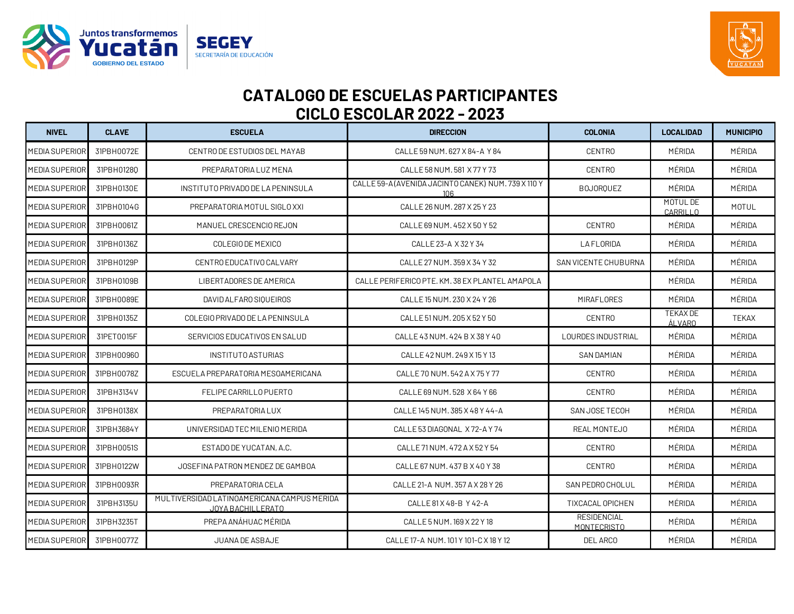



| <b>NIVEL</b>          | <b>CLAVE</b> | <b>ESCUELA</b>                                                   | <b>DIRECCION</b>                                           | <b>COLONIA</b>                           | <b>LOCALIDAD</b>            | <b>MUNICIPIO</b> |
|-----------------------|--------------|------------------------------------------------------------------|------------------------------------------------------------|------------------------------------------|-----------------------------|------------------|
| MEDIA SUPERIOR        | 31PBH0072E   | CENTRO DE ESTUDIOS DEL MAYAB                                     | CALLE 59 NUM. 627 X 84-A Y 84                              | <b>CENTRO</b>                            | MÉRIDA                      | MÉRIDA           |
| MEDIA SUPERIOR        | 31PBH01280   | PREPARATORIA LUZ MENA                                            | CALLE 58 NUM, 581 X 77 Y 73                                | <b>CENTRO</b>                            | MÉRIDA                      | MÉRIDA           |
| <b>MEDIA SUPERIOR</b> | 31PBH0130E   | INSTITUTO PRIVADO DE LA PENINSULA                                | CALLE 59-A (AVENIDA JACINTO CANEK) NUM. 739 X 110 Y<br>106 | <b>BOJORQUEZ</b>                         | MÉRIDA                      | MÉRIDA           |
| MEDIA SUPERIOR        | 31PBH0104G   | PREPARATORIA MOTUL SIGLO XXI                                     | CALLE 26 NUM. 287 X 25 Y 23                                |                                          | MOTUL DE<br><b>CARRILLO</b> | <b>MOTUL</b>     |
| MEDIA SUPERIOR        | 31PBH0061Z   | MANUEL CRESCENCIO REJON                                          | CALLE 69 NUM, 452 X 50 Y 52                                | <b>CENTRO</b>                            | MÉRIDA                      | MÉRIDA           |
| MEDIA SUPERIOR        | 31PBH0136Z   | COLEGIO DE MEXICO                                                | CALLE 23-A X 32 Y 34                                       | <b>LAFLORIDA</b>                         | MÉRIDA                      | MÉRIDA           |
| <b>MEDIA SUPERIOR</b> | 31PBH0129P   | CENTRO EDUCATIVO CALVARY                                         | CALLE 27 NUM. 359 X 34 Y 32                                | SAN VICENTE CHUBURNA                     | MÉRIDA                      | MÉRIDA           |
| <b>MEDIA SUPERIOR</b> | 31PBH0109B   | LIBERTADORES DE AMERICA                                          | CALLE PERIFERICO PTE. KM. 38 EX PLANTEL AMAPOLA            |                                          | MÉRIDA                      | MÉRIDA           |
| MEDIA SUPERIOR        | 31PBH0089E   | DAVID ALFARO SIOUEIROS                                           | CALLE 15 NUM, 230 X 24 Y 26                                | MIRAFLORES                               | MÉRIDA                      | MÉRIDA           |
| <b>MEDIA SUPERIOR</b> | 31PBH0135Z   | COLEGIO PRIVADO DE LA PENINSULA                                  | CALLE 51 NUM. 205 X 52 Y 50                                | <b>CENTRO</b>                            | <b>TEKAX DE</b><br>ÁLVARO   | <b>TEKAX</b>     |
| <b>MEDIA SUPERIOR</b> | 31PET0015F   | SERVICIOS EDUCATIVOS EN SALUD                                    | CALLE 43 NUM, 424 B X 38 Y 40                              | <b>LOURDES INDUSTRIAL</b>                | MÉRIDA                      | MÉRIDA           |
| <b>MEDIA SUPERIOR</b> | 31PBH00960   | INSTITUTO ASTURIAS                                               | CALLE 42 NUM, 249 X 15 Y 13                                | <b>SAN DAMIAN</b>                        | MÉRIDA                      | MÉRIDA           |
| <b>MEDIA SUPERIOR</b> | 31PBH0078Z   | ESCUELA PREPARATORIA MESOAMERICANA                               | CALLE 70 NUM. 542 A X 75 Y 77                              | <b>CENTRO</b>                            | MÉRIDA                      | MÉRIDA           |
| MEDIA SUPERIOR        | 31PBH3134V   | FELIPE CARRILLO PUERTO                                           | CALLE 69 NUM, 528 X 64 Y 66                                | <b>CENTRO</b>                            | MÉRIDA                      | MÉRIDA           |
| MEDIA SUPERIOR        | 31PBH0138X   | PREPARATORIA LUX                                                 | CALLE 145 NUM, 385 X 48 Y 44-A                             | SAN JOSE TECOH                           | MÉRIDA                      | MÉRIDA           |
| MEDIA SUPERIOR        | 31PBH3684Y   | UNIVERSIDAD TEC MILENIO MERIDA                                   | CALLE 53 DIAGONAL X72-AY74                                 | REAL MONTEJO                             | MÉRIDA                      | MÉRIDA           |
| MEDIA SUPERIOR        | 31PBH0051S   | ESTADO DE YUCATAN, A.C.                                          | CALLE 71 NUM, 472 A X 52 Y 54                              | <b>CENTRO</b>                            | MÉRIDA                      | MÉRIDA           |
| MEDIA SUPERIOR        | 31PBH0122W   | JOSEFINA PATRON MENDEZ DE GAMBOA                                 | CALLE 67 NUM, 437 B X 40 Y 38                              | <b>CENTRO</b>                            | MÉRIDA                      | MÉRIDA           |
| <b>MEDIA SUPERIOR</b> | 31PBH0093R   | PREPARATORIA CELA                                                | CALLE 21-A NUM. 357 A X 28 Y 26                            | SAN PEDRO CHOLUL                         | MÉRIDA                      | MÉRIDA           |
| <b>MEDIA SUPERIOR</b> | 31PBH3135U   | MULTIVERSIDAD LATINOAMERICANA CAMPUS MERIDA<br>JOYA BACHILLERATO | CALLE 81 X 48-B Y 42-A                                     | TIXCACAL OPICHEN                         | MÉRIDA                      | MÉRIDA           |
| <b>MEDIA SUPERIOR</b> | 31PBH3235T   | PREPA ANÁHUAC MÉRIDA                                             | CALLE 5 NUM. 169 X 22 Y 18                                 | <b>RESIDENCIAL</b><br><b>MONTECRISTO</b> | MÉRIDA                      | MÉRIDA           |
| <b>MEDIA SUPERIOR</b> | 31PBH0077Z   | JUANA DE ASBAJE                                                  | CALLE 17-A NUM. 101 Y 101-C X 18 Y 12                      | DEL ARCO                                 | MÉRIDA                      | MÉRIDA           |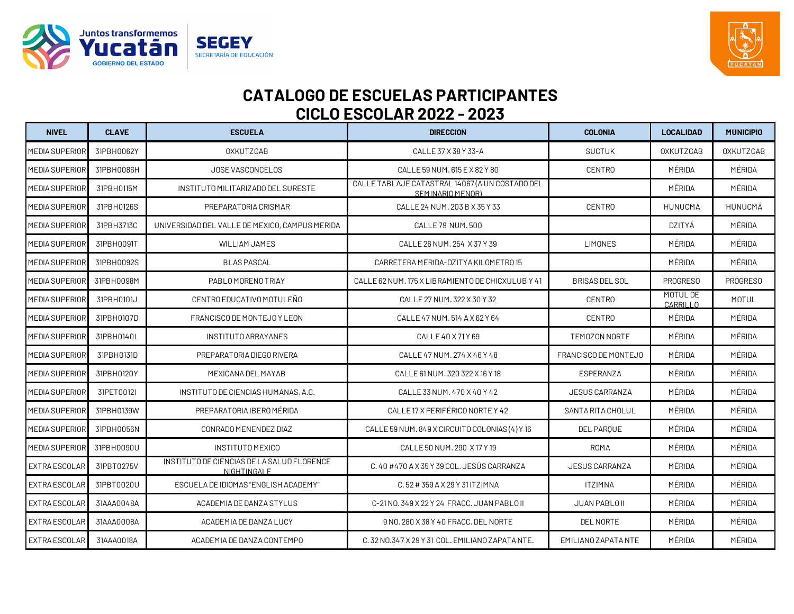



| <b>NIVEL</b>          | <b>CLAVE</b> | <b>ESCUELA</b>                                            | <b>DIRECCION</b>                                                    | <b>COLONIA</b>        | <b>LOCALIDAD</b>     | <b>MUNICIPIO</b> |
|-----------------------|--------------|-----------------------------------------------------------|---------------------------------------------------------------------|-----------------------|----------------------|------------------|
| <b>MEDIA SUPERIOR</b> | 31PBH0062Y   | <b>OXKUTZCAB</b>                                          | CALLE 37 X 38 Y 33-A                                                | <b>SUCTUK</b>         | <b>OXKUTZCAB</b>     | <b>OXKUTZCAB</b> |
| <b>MEDIA SUPERIOR</b> | 31PBH0086H   | JOSE VASCONCELOS                                          | CALLE 59 NUM, 615 E X 82 Y 80                                       | <b>CENTRO</b>         | MÉRIDA               | MÉRIDA           |
| <b>MEDIA SUPERIOR</b> | 31PBH0115M   | INSTITUTO MILITARIZADO DEL SURESTE                        | CALLE TABLAJE CATASTRAL 14067 (A UN COSTADO DEL<br>SEMINARIO MENOR) |                       | MÉRIDA               | MÉRIDA           |
| <b>MEDIA SUPERIOR</b> | 31PBH0126S   | PREPARATORIA CRISMAR                                      | CALLE 24 NUM. 203 B X 35 Y 33                                       | <b>CENTRO</b>         | HUNUCMÁ              | HUNUCMÁ          |
| <b>MEDIA SUPERIOR</b> | 31PBH3713C   | UNIVERSIDAD DEL VALLE DE MEXICO, CAMPUS MERIDA            | CALLE 79 NUM.500                                                    |                       | DZITYÁ               | MÉRIDA           |
| <b>MEDIA SUPERIOR</b> | 31PBH0091T   | <b>WILLIAM JAMES</b>                                      | CALLE 26 NUM, 254 X 37 Y 39                                         | <b>LIMONES</b>        | MÉRIDA               | MÉRIDA           |
| <b>MEDIA SUPERIOR</b> | 31PBH0092S   | <b>BLAS PASCAL</b>                                        | CARRETERA MERIDA-DZITYA KILOMETRO 15                                |                       | MÉRIDA               | MÉRIDA           |
| <b>MEDIA SUPERIOR</b> | 31PBH0098M   | PABLOMORENO TRIAY                                         | CALLE 62 NUM. 175 X LIBRAMIENTO DE CHICXULUB Y 41                   | <b>BRISAS DEL SOL</b> | PROGRESO             | PROGRESO         |
| <b>MEDIA SUPERIOR</b> | 31PBH0101J   | CENTRO EDUCATIVO MOTULEÑO                                 | CALLE 27 NUM. 322 X 30 Y 32                                         | <b>CENTRO</b>         | MOTUL DE<br>CARRILLO | <b>MOTUL</b>     |
| <b>MEDIA SUPERIOR</b> | 31PBH0107D   | FRANCISCO DE MONTEJO Y LEON                               | CALLE 47 NUM. 514 A X 62 Y 64                                       | <b>CENTRO</b>         | MÉRIDA               | MÉRIDA           |
| <b>MEDIA SUPERIOR</b> | 31PBH0140L   | INSTITUTO ARRAYANES                                       | CALLE 40 X 71 Y 69                                                  | TEMOZON NORTE         | MÉRIDA               | MÉRIDA           |
| <b>MEDIA SUPERIOR</b> | 31PBH0131D   | PREPARATORIA DIEGO RIVERA                                 | CALLE 47 NUM, 274 X 46 Y 48                                         | FRANCISCO DE MONTEJO  | MÉRIDA               | MÉRIDA           |
| MEDIA SUPERIOR        | 31PBH0120Y   | MEXICANA DEL MAYAB                                        | CALLE 61 NUM. 320 322 X 16 Y 18                                     | ESPERANZA             | MÉRIDA               | MÉRIDA           |
| <b>MEDIA SUPERIOR</b> | 31PET0012I   | INSTITUTO DE CIENCIAS HUMANAS, A.C.                       | CALLE 33 NUM, 470 X 40 Y 42                                         | <b>JESUS CARRANZA</b> | MÉRIDA               | MÉRIDA           |
| <b>MEDIA SUPERIOR</b> | 31PBH0139W   | PREPARATORIA IBERO MÉRIDA                                 | CALLE 17 X PERIFÉRICO NORTE Y 42                                    | SANTA RITA CHOLUL     | MÉRIDA               | MÉRIDA           |
| <b>MEDIA SUPERIOR</b> | 31PBH0056N   | CONRADO MENENDEZ DIAZ                                     | CALLE 59 NUM. 849 X CIRCUITO COLONIAS (4) Y 16                      | DEL PARQUE            | MÉRIDA               | MÉRIDA           |
| <b>MEDIA SUPERIOR</b> | 31PBH0090U   | <b>INSTITUTO MEXICO</b>                                   | CALLE 50 NUM, 290 X 17 Y 19                                         | <b>ROMA</b>           | MÉRIDA               | MÉRIDA           |
| EXTRA ESCOLAR         | 31PBT0275V   | INSTITUTO DE CIENCIAS DE LA SALUD FLORENCE<br>NIGHTINGALE | C. 40 #470 A X 35 Y 39 COL, JESÚS CARRANZA                          | <b>JESUS CARRANZA</b> | MÉRIDA               | MÉRIDA           |
| EXTRA ESCOLAR         | 31PBT0020U   | ESCUELA DE IDIOMAS "ENGLISH ACADEMY"                      | C.52 # 359 A X 29 Y 31 ITZIMNA                                      | <b>ITZIMNA</b>        | MÉRIDA               | MÉRIDA           |
| EXTRA ESCOLAR         | 31AAA0048A   | ACADEMIA DE DANZA STYLUS                                  | C-21 NO. 349 X 22 Y 24 FRACC. JUAN PABLO II                         | JUAN PABLO II         | MÉRIDA               | MÉRIDA           |
| EXTRA ESCOLAR         | 31AAA0008A   | ACADEMIA DE DANZA LUCY                                    | 9 NO. 280 X 38 Y 40 FRACC, DEL NORTE                                | DEL NORTE             | MÉRIDA               | MÉRIDA           |
| <b>EXTRA ESCOLAR</b>  | 31AAA0018A   | ACADEMIA DE DANZA CONTEMPO                                | C. 32 NO.347 X 29 Y 31 COL. EMILIANO ZAPATA NTE.                    | EMILIANO ZAPATA NTE   | MÉRIDA               | MÉRIDA           |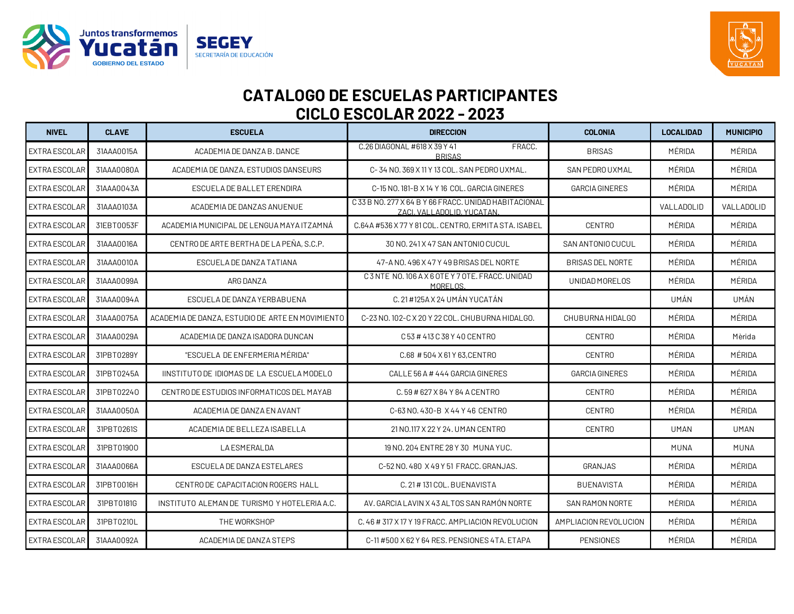



| <b>NIVEL</b>         | <b>CLAVE</b> | <b>ESCUELA</b>                                   | <b>DIRECCION</b>                                                                   | <b>COLONIA</b>          | <b>LOCALIDAD</b> | <b>MUNICIPIO</b> |
|----------------------|--------------|--------------------------------------------------|------------------------------------------------------------------------------------|-------------------------|------------------|------------------|
| <b>EXTRA ESCOLAR</b> | 31AAA0015A   | ACADEMIA DE DANZA B. DANCE                       | C.26 DIAGONAL #618 X 39 Y 41<br>FRACC.<br><b>BRISAS</b>                            | <b>BRISAS</b>           | MÉRIDA           | MÉRIDA           |
| EXTRA ESCOLAR        | 31AAA0080A   | ACADEMIA DE DANZA, ESTUDIOS DANSEURS             | C-34 NO. 369 X 11 Y 13 COL. SAN PEDRO UXMAL.                                       | SAN PEDROUXMAL          | MÉRIDA           | MÉRIDA           |
| EXTRA ESCOLAR        | 31AAA0043A   | ESCUELA DE BALLET ERENDIRA                       | C-15 NO. 181-B X 14 Y 16 COL, GARCIA GINERES                                       | <b>GARCIA GINERES</b>   | MÉRIDA           | MÉRIDA           |
| <b>EXTRA ESCOLAR</b> | 31AAA0103A   | ACADEMIA DE DANZAS ANUENUE                       | C33 B NO. 277 X 64 B Y 66 FRACC, UNIDAD HABITACIONAL<br>ZACI, VALLADOLID, YUCATAN. |                         | VALLADOLID       | VALLADOLID       |
| EXTRA ESCOLAR        | 31EBT0053F   | ACADEMIA MUNICIPAL DE LENGUA MAYA ITZAMNÁ        | C.64A #536 X 77 Y 81 COL. CENTRO, ERMITA STA. ISABEL                               | <b>CENTRO</b>           | MÉRIDA           | MÉRIDA           |
| <b>EXTRA ESCOLAR</b> | 31AAA0016A   | CENTRO DE ARTE BERTHA DE LA PENA, S.C.P.         | 30 NO. 241 X 47 SAN ANTONIO CUCUL                                                  | SAN ANTONIO CUCUL       | MÉRIDA           | MÉRIDA           |
| <b>EXTRA ESCOLAR</b> | 31AAA0010A   | ESCUELA DE DANZA TATIANA                         | 47-A NO. 496 X 47 Y 49 BRISAS DEL NORTE                                            | <b>BRISAS DEL NORTE</b> | MÉRIDA           | MÉRIDA           |
| EXTRA ESCOLAR        | 31AAA0099A   | ARG DANZA                                        | C3NTE NO. 106 A X 6 OTE Y 7 OTE, FRACC, UNIDAD<br>MORELOS.                         | UNIDAD MORELOS          | MÉRIDA           | MÉRIDA           |
| <b>EXTRA ESCOLAR</b> | 31AAA0094A   | ESCUELA DE DANZA YERBABUENA                      | C. 21 #125A X 24 UMAN YUCATAN                                                      |                         | UMÁN             | UMÁN             |
| EXTRA ESCOLAR        | 31AAA0075A   | ACADEMIA DE DANZA, ESTUDIO DE ARTE EN MOVIMIENTO | C-23 NO. 102-C X 20 Y 22 COL, CHUBURNA HIDALGO.                                    | CHUBURNA HIDALGO        | MÉRIDA           | MÉRIDA           |
| <b>EXTRA ESCOLAR</b> | 31AAA0029A   | ACADEMIA DE DANZA ISADORA DUNCAN                 | C 53 # 413 C 38 Y 40 CENTRO                                                        | <b>CENTRO</b>           | MÉRIDA           | Mèrida           |
| <b>EXTRA ESCOLAR</b> | 31PBT0289Y   | "ESCUELA DE ENFERMERIA MÉRIDA"                   | C.68 # 504 X 61 Y 63, CENTRO                                                       | <b>CENTRO</b>           | MÉRIDA           | MÉRIDA           |
| <b>EXTRA ESCOLAR</b> | 31PBT0245A   | IINSTITUTO DE IDIOMAS DE LA ESCUELA MODELO       | CALLE 56 A # 444 GARCIA GINERES                                                    | <b>GARCIA GINERES</b>   | MÉRIDA           | MÉRIDA           |
| EXTRA ESCOLAR        | 31PBT02240   | CENTRO DE ESTUDIOS INFORMATICOS DEL MAYAB        | C.59 # 627 X 84 Y 84 A CENTRO                                                      | <b>CENTRO</b>           | MÉRIDA           | MÉRIDA           |
| <b>EXTRA ESCOLAR</b> | 31AAA0050A   | ACADEMIA DE DANZA EN AVANT                       | C-63 NO. 430-B X 44 Y 46 CENTRO                                                    | <b>CENTRO</b>           | MÉRIDA           | MÉRIDA           |
| <b>EXTRA ESCOLAR</b> | 31PBT0261S   | ACADEMIA DE BELLEZA ISABELLA                     | 21 NO.117 X 22 Y 24, UMAN CENTRO                                                   | <b>CENTRO</b>           | <b>UMAN</b>      | <b>UMAN</b>      |
| <b>EXTRA ESCOLAR</b> | 31PBT01900   | <b>LA ESMERALDA</b>                              | 19 NO. 204 ENTRE 28 Y 30 MUNA YUC.                                                 |                         | <b>MUNA</b>      | <b>MUNA</b>      |
| <b>EXTRA ESCOLAR</b> | 31AAA0066A   | ESCUELA DE DANZA ESTELARES                       | C-52 NO. 480 X 49 Y 51 FRACC, GRANJAS.                                             | GRANJAS                 | MÉRIDA           | MÉRIDA           |
| EXTRA ESCOLAR        | 31PBT0016H   | CENTRO DE CAPACITACION ROGERS HALL               | C. 21 # 131 COL. BUENAVISTA                                                        | <b>BUENAVISTA</b>       | MÉRIDA           | MÉRIDA           |
| <b>EXTRA ESCOLAR</b> | 31PBT0181G   | INSTITUTO ALEMAN DE TURISMO Y HOTELERIA A.C.     | AV. GARCIA LAVIN X 43 ALTOS SAN RAMÓN NORTE                                        | SAN RAMON NORTE         | MÉRIDA           | MÉRIDA           |
| <b>EXTRA ESCOLAR</b> | 31PBT0210L   | THE WORKSHOP                                     | C. 46 # 317 X 17 Y 19 FRACC. AMPLIACION REVOLUCION                                 | AMPLIACION REVOLUCION   | MÉRIDA           | MÉRIDA           |
| <b>EXTRA ESCOLAR</b> | 31AAA0092A   | ACADEMIA DE DANZA STEPS                          | C-11 #500 X 62 Y 64 RES, PENSIONES 4TA, ETAPA                                      | <b>PENSIONES</b>        | MÉRIDA           | MÉRIDA           |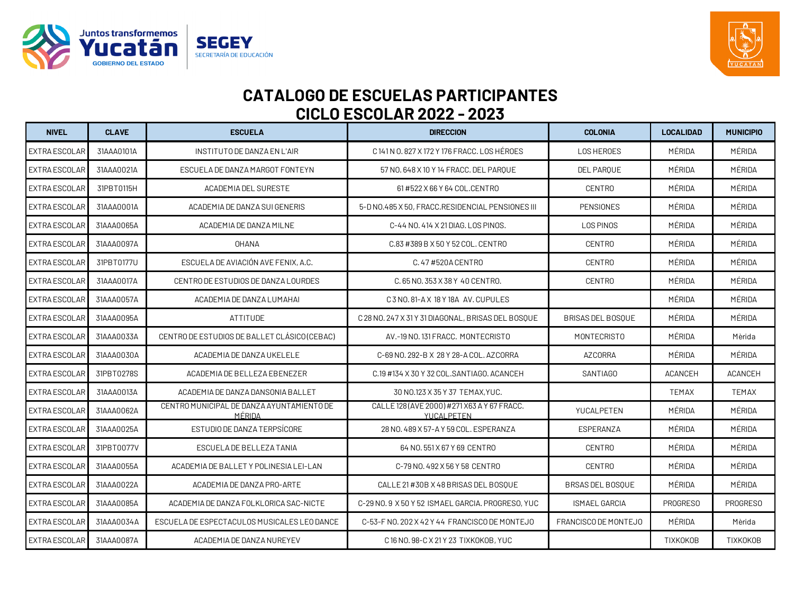



| <b>NIVEL</b>         | <b>CLAVE</b> | <b>ESCUELA</b>                                      | <b>DIRECCION</b>                                           | <b>COLONIA</b>           | <b>LOCALIDAD</b> | <b>MUNICIPIO</b> |
|----------------------|--------------|-----------------------------------------------------|------------------------------------------------------------|--------------------------|------------------|------------------|
| <b>EXTRA ESCOLAR</b> | 31AAA0101A   | INSTITUTO DE DANZA EN L'AIR                         | C 141 N 0.827 X 172 Y 176 FRACC. LOS HÉROES                | <b>LOS HEROES</b>        | MÉRIDA           | MÉRIDA           |
| <b>EXTRA ESCOLAR</b> | 31AAA0021A   | ESCUELA DE DANZA MARGOT FONTEYN                     | 57 NO. 648 X 10 Y 14 FRACC. DEL PARQUE                     | DEL PARQUE               | MÉRIDA           | MÉRIDA           |
| EXTRA ESCOLAR        | 31PBT0115H   | <b>ACADEMIA DEL SURESTE</b>                         | 61 #522 X 66 Y 64 COL.CENTRO                               | <b>CENTRO</b>            | MÉRIDA           | MÉRIDA           |
| <b>EXTRA ESCOLAR</b> | 31AAA0001A   | ACADEMIA DE DANZA SUI GENERIS                       | 5-D NO.485 X 50, FRACC.RESIDENCIAL PENSIONES III           | <b>PENSIONES</b>         | MÉRIDA           | MÉRIDA           |
| <b>EXTRA ESCOLAR</b> | 31AAA0065A   | ACADEMIA DE DANZA MILNE                             | C-44 NO. 414 X 21 DIAG. LOS PINOS.                         | LOS PINOS                | MÉRIDA           | MÉRIDA           |
| EXTRA ESCOLAR        | 31AAA0097A   | <b>OHANA</b>                                        | C.83 #389 B X 50 Y 52 COL. CENTRO                          | <b>CENTRO</b>            | MÉRIDA           | MÉRIDA           |
| <b>EXTRA ESCOLAR</b> | 31PBT0177U   | ESCUELA DE AVIACIÓN AVE FENIX, A.C.                 | C. 47 #520A CENTRO                                         | <b>CENTRO</b>            | MÉRIDA           | MÉRIDA           |
| EXTRA ESCOLAR        | 31AAA0017A   | CENTRO DE ESTUDIOS DE DANZA LOURDES                 | C. 65 NO. 353 X 38 Y 40 CENTRO.                            | <b>CENTRO</b>            | MÉRIDA           | MÉRIDA           |
| EXTRA ESCOLAR        | 31AAA0057A   | ACADEMIA DE DANZA LUMAHAI                           | C3NO.81-AX 18Y18A AV.CUPULES                               |                          | MÉRIDA           | MÉRIDA           |
| EXTRA ESCOLAR        | 31AAA0095A   | ATTITUDE                                            | C 28 NO. 247 X 31 Y 31 DIAGONAL, BRISAS DEL BOSQUE         | <b>BRISAS DEL BOSOUE</b> | MÉRIDA           | MÉRIDA           |
| EXTRA ESCOLAR        | 31AAA0033A   | CENTRO DE ESTUDIOS DE BALLET CLÁSICO (CEBAC)        | AV.-19 NO. 131 FRACC. MONTECRISTO                          | <b>MONTECRISTO</b>       | MÉRIDA           | Mèrida           |
| EXTRA ESCOLAR        | 31AAA0030A   | ACADEMIA DE DANZA UKELELE                           | C-69 NO. 292-B X 28 Y 28-A COL, AZCORRA                    | <b>AZCORRA</b>           | MÉRIDA           | MÉRIDA           |
| <b>EXTRA ESCOLAR</b> | 31PBT0278S   | ACADEMIA DE BELLEZA EBENEZER                        | C.19 #134 X 30 Y 32 COL.SANTIAGO. ACANCEH                  | <b>SANTIAGO</b>          | <b>ACANCEH</b>   | <b>ACANCEH</b>   |
| EXTRA ESCOLAR        | 31AAA0013A   | ACADEMIA DE DANZA DANSONIA BALLET                   | 30 NO.123 X 35 Y 37 TEMAX, YUC.                            |                          | <b>TEMAX</b>     | <b>TEMAX</b>     |
| <b>EXTRA ESCOLAR</b> | 31AAA0062A   | CENTRO MUNICIPAL DE DANZA AYUNTAMIENTO DE<br>MÉRIDA | CALLE 128 (AVE 2000) # 271 X63 A Y 67 FRACC.<br>YUCALPETEN | YUCALPETEN               | MÉRIDA           | MÉRIDA           |
| <b>EXTRA ESCOLAR</b> | 31AAA0025A   | ESTUDIO DE DANZA TERPSÍCORE                         | 28 NO. 489 X 57-A Y 59 COL, ESPERANZA                      | ESPERANZA                | MÉRIDA           | MÉRIDA           |
| EXTRA ESCOLAR        | 31PBT0077V   | ESCUELA DE BELLEZA TANIA                            | 64 NO. 551 X 67 Y 69 CENTRO                                | <b>CENTRO</b>            | MÉRIDA           | MÉRIDA           |
| <b>EXTRA ESCOLAR</b> | 31AAA0055A   | ACADEMIA DE BALLET Y POLINESIA LEI-LAN              | C-79 NO. 492 X 56 Y 58 CENTRO                              | <b>CENTRO</b>            | MÉRIDA           | MÉRIDA           |
| EXTRA ESCOLAR        | 31AAA0022A   | ACADEMIA DE DANZA PRO-ARTE                          | CALLE 21 #30B X 48 BRISAS DEL BOSQUE                       | <b>BRSAS DEL BOSQUE</b>  | MÉRIDA           | MÉRIDA           |
| <b>EXTRA ESCOLAR</b> | 31AAA0085A   | ACADEMIA DE DANZA FOLKLORICA SAC-NICTE              | C-29 NO. 9 X 50 Y 52 ISMAEL GARCIA, PROGRESO, YUC          | <b>ISMAEL GARCIA</b>     | PROGRESO         | PROGRESO         |
| EXTRA ESCOLAR        | 31AAA0034A   | ESCUELA DE ESPECTACULOS MUSICALES LEO DANCE         | C-53-F NO. 202 X 42 Y 44 FRANCISCO DE MONTEJO              | FRANCISCO DE MONTEJO     | MÉRIDA           | Mèrida           |
| EXTRA ESCOLAR        | 31AAA0087A   | ACADEMIA DE DANZA NUREYEV                           | C 16 NO. 98-C X 21 Y 23 TIXKOKOB, YUC                      |                          | <b>TIXKOKOB</b>  | <b>TIXKOKOB</b>  |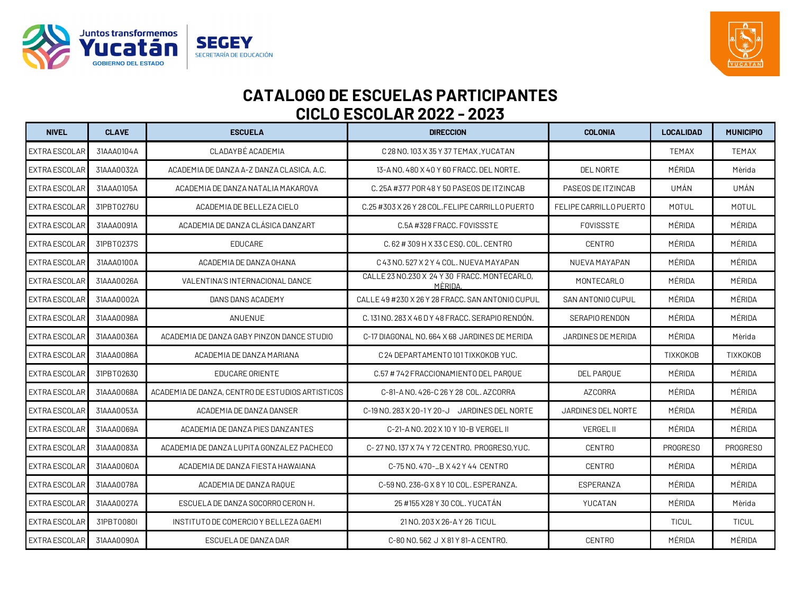



| <b>NIVEL</b>         | <b>CLAVE</b> | <b>ESCUELA</b>                                   | <b>DIRECCION</b>                                        | <b>COLONIA</b>         | <b>LOCALIDAD</b> | <b>MUNICIPIO</b> |
|----------------------|--------------|--------------------------------------------------|---------------------------------------------------------|------------------------|------------------|------------------|
| <b>EXTRA ESCOLAR</b> | 31AAA0104A   | CLADAYBÉ ACADEMIA                                | C 28 NO. 103 X 35 Y 37 TEMAX, YUCATAN                   |                        | <b>TEMAX</b>     | TEMAX            |
| <b>EXTRA ESCOLAR</b> | 31AAA0032A   | ACADEMIA DE DANZA A-Z DANZA CLASICA, A.C.        | 13-A NO. 480 X 40 Y 60 FRACC. DEL NORTE.                | <b>DEL NORTE</b>       | MÉRIDA           | Mèrida           |
| <b>EXTRA ESCOLAR</b> | 31AAA0105A   | ACADEMIA DE DANZA NATALIA MAKAROVA               | C. 25A #377 POR 48 Y 50 PASEOS DE ITZINCAB              | PASEOS DE ITZINCAB     | UMÁN             | UMÁN             |
| <b>EXTRA ESCOLAR</b> | 31PBT0276U   | ACADEMIA DE BELLEZA CIELO                        | C.25 #303 X 26 Y 28 COL.FELIPE CARRILLO PUERTO          | FELIPE CARRILLO PUERTO | <b>MOTUL</b>     | <b>MOTUL</b>     |
| <b>EXTRA ESCOLAR</b> | 31AAA0091A   | ACADEMIA DE DANZA CLÁSICA DANZART                | C.5A #328 FRACC, FOVISSSTE                              | <b>FOVISSSTE</b>       | MÉRIDA           | MÉRIDA           |
| <b>EXTRA ESCOLAR</b> | 31PBT0237S   | <b>EDUCARE</b>                                   | C.62 # 309 H X 33 C ESO. COL. CENTRO                    | <b>CENTRO</b>          | MÉRIDA           | MÉRIDA           |
| <b>EXTRA ESCOLAR</b> | 31AAA0100A   | ACADEMIA DE DANZA OHANA                          | C 43 NO. 527 X 2 Y 4 COL. NUEVA MAYAPAN                 | NUEVA MAYAPAN          | MÉRIDA           | MÉRIDA           |
| EXTRA ESCOLAR        | 31AAA0026A   | VALENTINA'S INTERNACIONAL DANCE                  | CALLE 23 NO.230 X 24 Y 30 FRACC, MONTECARLO,<br>MÈRIDA. | MONTECARLO             | MÉRIDA           | MÉRIDA           |
| EXTRA ESCOLAR        | 31AAA0002A   | DANS DANS ACADEMY                                | CALLE 49 #230 X 26 Y 28 FRACC, SAN ANTONIO CUPUL        | SAN ANTONIO CUPUL      | MÉRIDA           | MÉRIDA           |
| <b>EXTRA ESCOLAR</b> | 31AAA0098A   | ANUENUE                                          | C. 131 NO. 283 X 46 D Y 48 FRACC. SERAPIO RENDON.       | SERAPIO RENDON         | MÉRIDA           | MÉRIDA           |
| EXTRA ESCOLAR        | 31AAA0036A   | ACADEMIA DE DANZA GABY PINZON DANCE STUDIO       | C-17 DIAGONAL NO. 664 X 68 JARDINES DE MERIDA           | JARDINES DE MERIDA     | MÉRIDA           | Mèrida           |
| <b>EXTRA ESCOLAR</b> | 31AAA0086A   | ACADEMIA DE DANZA MARIANA                        | C 24 DEPARTAMENTO 101 TIXKOKOB YUC.                     |                        | <b>TIXKOKOB</b>  | <b>TIXKOKOB</b>  |
| EXTRA ESCOLAR        | 31PBT02630   | EDUCARE ORIENTE                                  | C.57 # 742 FRACCIONAMIENTO DEL PAROUE                   | <b>DEL PAROUE</b>      | MÉRIDA           | MÉRIDA           |
| EXTRA ESCOLAR        | 31AAA0068A   | ACADEMIA DE DANZA, CENTRO DE ESTUDIOS ARTISTICOS | C-81-A NO. 426-C 26 Y 28 COL. AZCORRA                   | <b>AZCORRA</b>         | MÉRIDA           | MÉRIDA           |
| <b>EXTRA ESCOLAR</b> | 31AAA0053A   | ACADEMIA DE DANZA DANSER                         | C-19 NO. 283 X 20-1 Y 20-J JARDINES DEL NORTE           | JARDINES DEL NORTE     | MÉRIDA           | MÉRIDA           |
| EXTRA ESCOLAR        | 31AAA0069A   | ACADEMIA DE DANZA PIES DANZANTES                 | C-21-A NO. 202 X 10 Y 10-B VERGEL II                    | <b>VERGEL II</b>       | MÉRIDA           | MÉRIDA           |
| EXTRA ESCOLAR        | 31AAA0083A   | ACADEMIA DE DANZA LUPITA GONZALEZ PACHECO        | C-27 NO. 137 X 74 Y 72 CENTRO. PROGRESO. YUC.           | <b>CENTRO</b>          | <b>PROGRESO</b>  | <b>PROGRESO</b>  |
| <b>EXTRA ESCOLAR</b> | 31AAA0060A   | ACADEMIA DE DANZA FIESTA HAWAIANA                | C-75 NO. 470-LB X 42 Y 44 CENTRO                        | <b>CENTRO</b>          | MÉRIDA           | MÉRIDA           |
| EXTRA ESCOLAR        | 31AAA0078A   | ACADEMIA DE DANZA RAQUE                          | C-59 NO. 236-G X 8 Y 10 COL. ESPERANZA.                 | ESPERANZA              | MÉRIDA           | MÉRIDA           |
| <b>EXTRA ESCOLAR</b> | 31AAA0027A   | ESCUELA DE DANZA SOCORRO CERON H.                | 25 #155 X28 Y 30 COL. YUCATÁN                           | YUCATAN                | MÉRIDA           | Mèrida           |
| <b>EXTRA ESCOLAR</b> | 31PBT0080I   | INSTITUTO DE COMERCIO Y BELLEZA GAEMI            | 21 NO. 203 X 26-A Y 26 TICUL                            |                        | <b>TICUL</b>     | <b>TICUL</b>     |
| <b>EXTRA ESCOLAR</b> | 31AAA0090A   | ESCUELA DE DANZA DAR                             | C-80 NO. 562 J X 81 Y 81-A CENTRO.                      | <b>CENTRO</b>          | MÉRIDA           | MÉRIDA           |